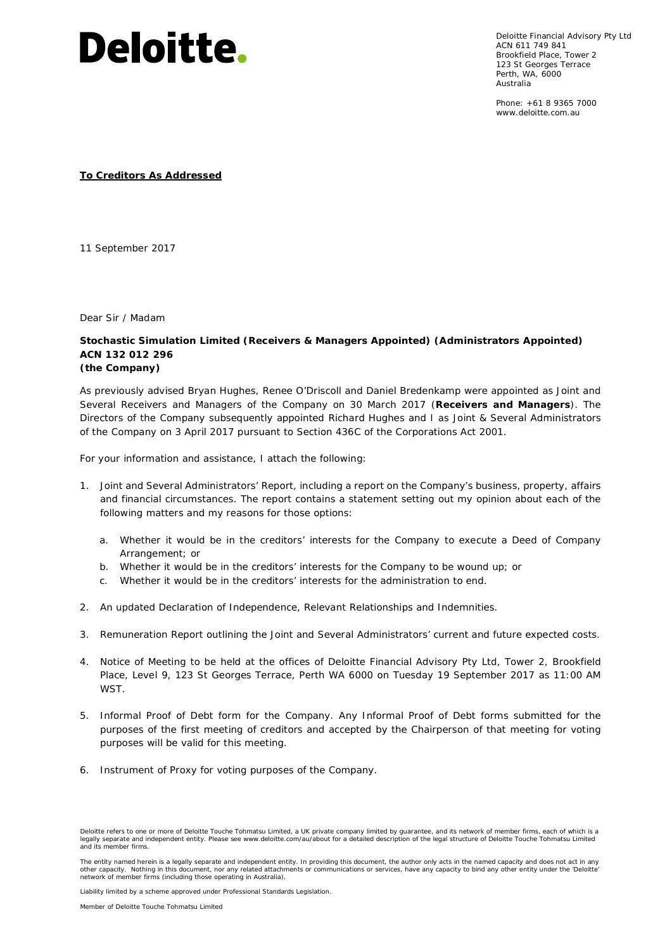

Deloitte Financial Advisory Pty Ltd ACN 611 749 841 Brookfield Place, Tower 2 123 St Georges Terrace Perth, WA, 6000 Australia

Phone: +61 8 9365 7000 www.deloitte.com.au

**To Creditors As Addressed**

11 September 2017

Dear Sir / Madam

**Stochastic Simulation Limited (Receivers & Managers Appointed) (Administrators Appointed) ACN 132 012 296 (the Company)**

As previously advised Bryan Hughes, Renee O'Driscoll and Daniel Bredenkamp were appointed as Joint and Several Receivers and Managers of the Company on 30 March 2017 (**Receivers and Managers**). The Directors of the Company subsequently appointed Richard Hughes and I as Joint & Several Administrators of the Company on 3 April 2017 pursuant to Section 436C of the *Corporations Act 2001*.

For your information and assistance, I attach the following:

- 1. Joint and Several Administrators' Report, including a report on the Company's business, property, affairs and financial circumstances. The report contains a statement setting out my opinion about each of the following matters and my reasons for those options:
	- a. Whether it would be in the creditors' interests for the Company to execute a Deed of Company Arrangement; or
	- b. Whether it would be in the creditors' interests for the Company to be wound up; or
	- c. Whether it would be in the creditors' interests for the administration to end.
- 2. An updated Declaration of Independence, Relevant Relationships and Indemnities.
- 3. Remuneration Report outlining the Joint and Several Administrators' current and future expected costs.
- 4. Notice of Meeting to be held at the offices of Deloitte Financial Advisory Pty Ltd, Tower 2, Brookfield Place, Level 9, 123 St Georges Terrace, Perth WA 6000 on Tuesday 19 September 2017 as 11:00 AM **WST.**
- 5. Informal Proof of Debt form for the Company. Any Informal Proof of Debt forms submitted for the purposes of the first meeting of creditors and accepted by the Chairperson of that meeting for voting purposes will be valid for this meeting.
- 6. Instrument of Proxy for voting purposes of the Company.

Liability limited by a scheme approved under Professional Standards Legislation.

Member of Deloitte Touche Tohmatsu Limited

Deloitte refers to one or more of Deloitte Touche Tohmatsu Limited, a UK private company limited by guarantee, and its network of member firms, each of which is a<br>legally separate and independent entity. Please see www.del and its member firms.

The entity named herein is a legally separate and independent entity. In providing this document, the author only acts in the named capacity and does not act in any other capacity. Nothing in this document, nor any related attachments or communications or services, have any capacity to bind any other entity under the 'Deloitte'<br>network of member firms (including those operating in Aus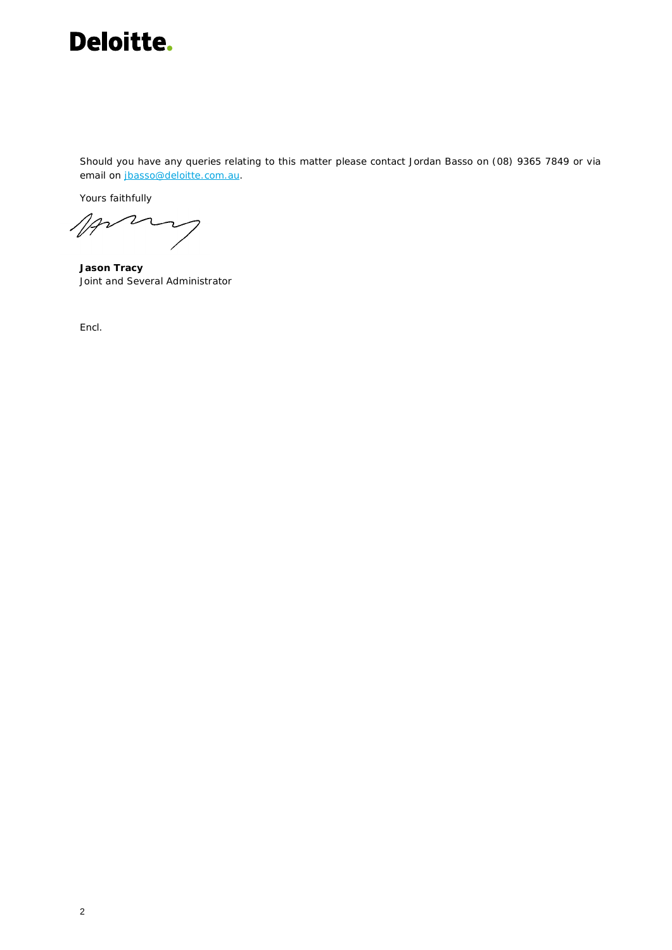

Should you have any queries relating to this matter please contact Jordan Basso on (08) 9365 7849 or via email on jbasso@deloitte.com.au.

Yours faithfully

Mars

**Jason Tracy** Joint and Several Administrator

*Encl.*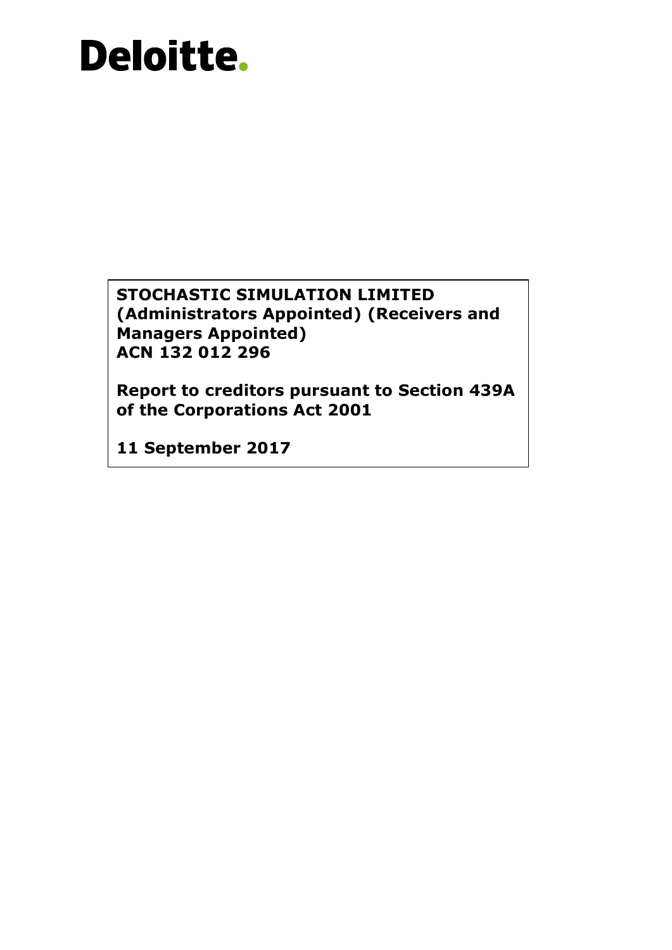**STOCHASTIC SIMULATION LIMITED (Administrators Appointed) (Receivers and Managers Appointed) ACN 132 012 296**

**Report to creditors pursuant to Section 439A of the Corporations Act 2001**

**11 September 2017**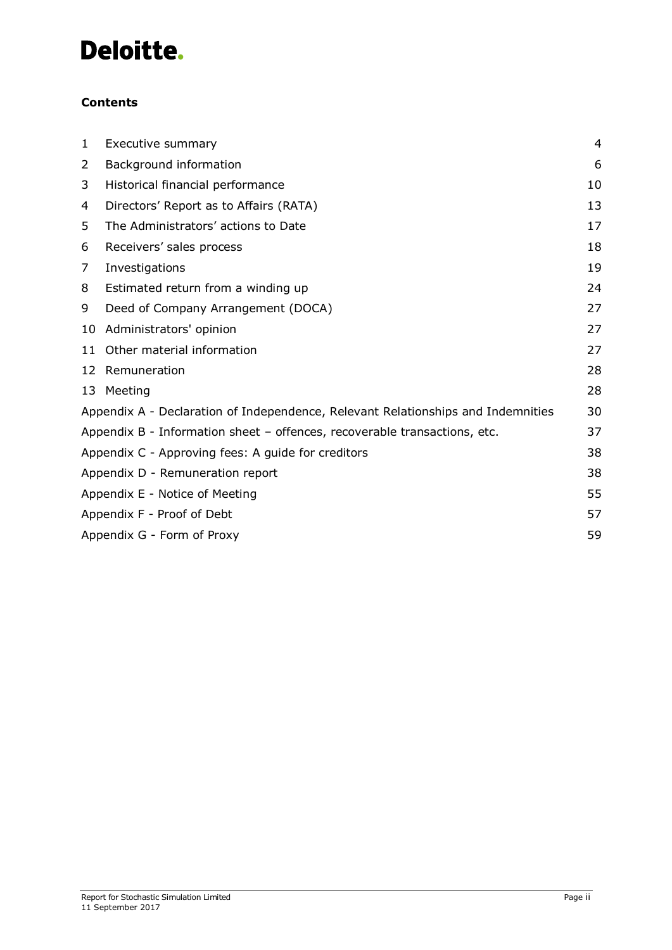## **Contents**

| 1  | Executive summary                                                                | 4  |
|----|----------------------------------------------------------------------------------|----|
| 2  | Background information                                                           | 6  |
| 3  | Historical financial performance                                                 | 10 |
| 4  | Directors' Report as to Affairs (RATA)                                           | 13 |
| 5  | The Administrators' actions to Date                                              | 17 |
| 6  | Receivers' sales process                                                         | 18 |
| 7  | Investigations                                                                   | 19 |
| 8  | Estimated return from a winding up                                               | 24 |
| 9  | Deed of Company Arrangement (DOCA)                                               | 27 |
| 10 | Administrators' opinion                                                          | 27 |
| 11 | Other material information                                                       | 27 |
| 12 | Remuneration                                                                     | 28 |
|    | 13 Meeting                                                                       | 28 |
|    | Appendix A - Declaration of Independence, Relevant Relationships and Indemnities | 30 |
|    | Appendix B - Information sheet - offences, recoverable transactions, etc.        | 37 |
|    | Appendix C - Approving fees: A guide for creditors                               | 38 |
|    | Appendix D - Remuneration report                                                 | 38 |
|    | Appendix E - Notice of Meeting                                                   | 55 |
|    | Appendix F - Proof of Debt                                                       | 57 |
|    | Appendix G - Form of Proxy                                                       | 59 |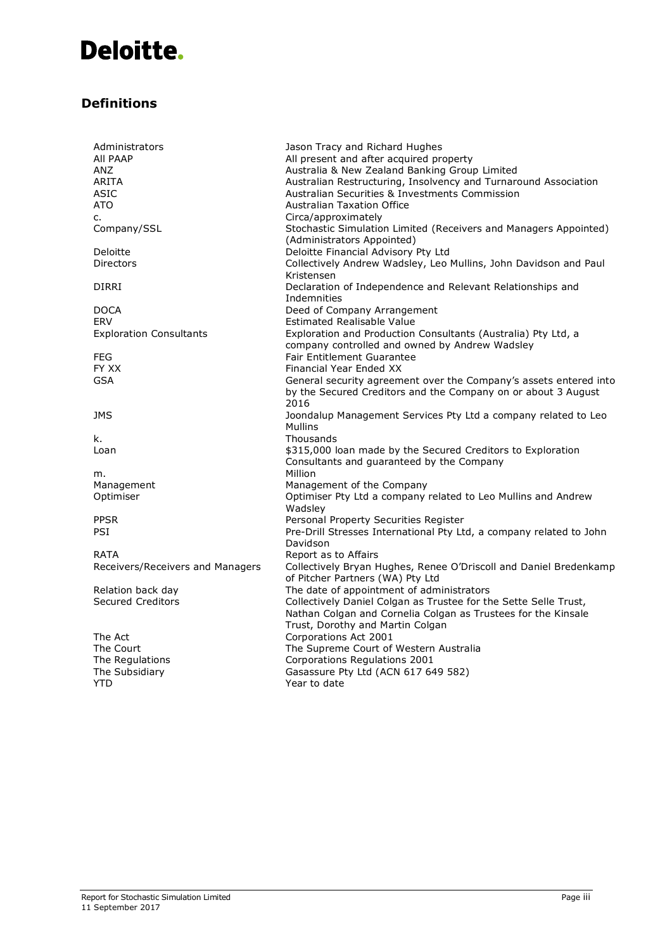## **Definitions**

| Administrators                   | Jason Tracy and Richard Hughes                                      |
|----------------------------------|---------------------------------------------------------------------|
| AII PAAP                         | All present and after acquired property                             |
| ANZ                              | Australia & New Zealand Banking Group Limited                       |
| ARITA                            | Australian Restructuring, Insolvency and Turnaround Association     |
|                                  |                                                                     |
| ASIC                             | Australian Securities & Investments Commission                      |
| ATO                              | <b>Australian Taxation Office</b>                                   |
| c.                               | Circa/approximately                                                 |
| Company/SSL                      | Stochastic Simulation Limited (Receivers and Managers Appointed)    |
|                                  | (Administrators Appointed)                                          |
| Deloitte                         | Deloitte Financial Advisory Pty Ltd                                 |
| <b>Directors</b>                 | Collectively Andrew Wadsley, Leo Mullins, John Davidson and Paul    |
|                                  | Kristensen                                                          |
| DIRRI                            | Declaration of Independence and Relevant Relationships and          |
|                                  | Indemnities                                                         |
|                                  |                                                                     |
| DOCA                             | Deed of Company Arrangement                                         |
| ERV                              | <b>Estimated Realisable Value</b>                                   |
| <b>Exploration Consultants</b>   | Exploration and Production Consultants (Australia) Pty Ltd, a       |
|                                  | company controlled and owned by Andrew Wadsley                      |
| FEG                              | <b>Fair Entitlement Guarantee</b>                                   |
| FY XX                            | Financial Year Ended XX                                             |
| GSA                              | General security agreement over the Company's assets entered into   |
|                                  | by the Secured Creditors and the Company on or about 3 August       |
|                                  | 2016                                                                |
| JMS                              | Joondalup Management Services Pty Ltd a company related to Leo      |
|                                  | Mullins                                                             |
|                                  |                                                                     |
| k.                               | Thousands                                                           |
| Loan                             | \$315,000 loan made by the Secured Creditors to Exploration         |
|                                  | Consultants and guaranteed by the Company                           |
| m.                               | Million                                                             |
| Management                       | Management of the Company                                           |
| Optimiser                        | Optimiser Pty Ltd a company related to Leo Mullins and Andrew       |
|                                  | Wadsley                                                             |
| <b>PPSR</b>                      | Personal Property Securities Register                               |
| PSI                              | Pre-Drill Stresses International Pty Ltd, a company related to John |
|                                  | Davidson                                                            |
| RATA                             | Report as to Affairs                                                |
|                                  | Collectively Bryan Hughes, Renee O'Driscoll and Daniel Bredenkamp   |
| Receivers/Receivers and Managers |                                                                     |
|                                  | of Pitcher Partners (WA) Pty Ltd                                    |
| Relation back day                | The date of appointment of administrators                           |
| <b>Secured Creditors</b>         | Collectively Daniel Colgan as Trustee for the Sette Selle Trust,    |
|                                  | Nathan Colgan and Cornelia Colgan as Trustees for the Kinsale       |
|                                  | Trust, Dorothy and Martin Colgan                                    |
| The Act                          | Corporations Act 2001                                               |
| The Court                        | The Supreme Court of Western Australia                              |
| The Regulations                  | Corporations Regulations 2001                                       |
| The Subsidiary                   | Gasassure Pty Ltd (ACN 617 649 582)                                 |
| YTD                              | Year to date                                                        |
|                                  |                                                                     |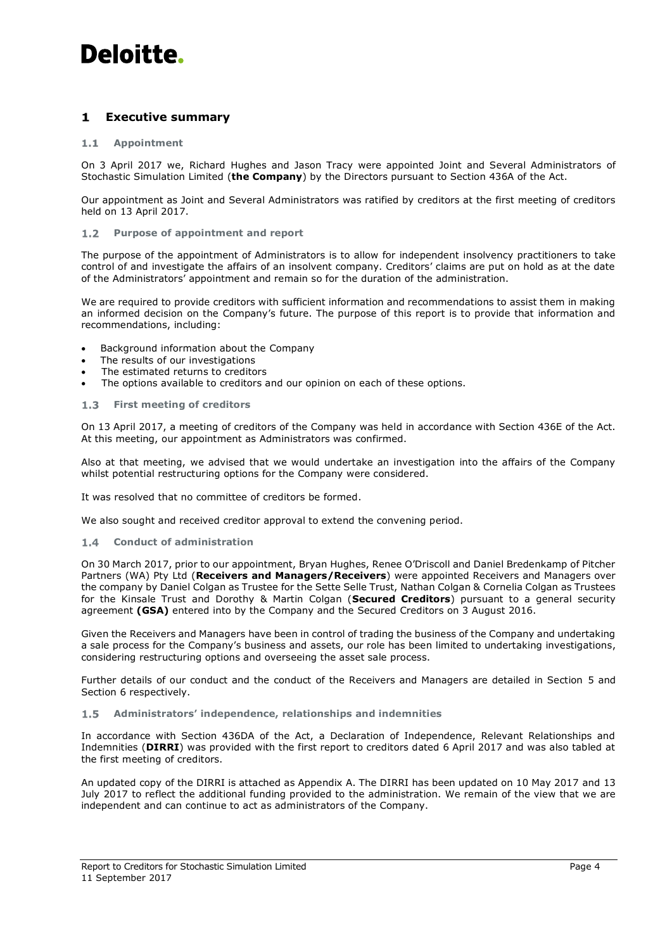#### <span id="page-6-0"></span> $\mathbf{1}$ **Executive summary**

#### $1.1$ **Appointment**

On 3 April 2017 we, Richard Hughes and Jason Tracy were appointed Joint and Several Administrators of Stochastic Simulation Limited (**the Company**) by the Directors pursuant to Section 436A of the Act.

Our appointment as Joint and Several Administrators was ratified by creditors at the first meeting of creditors held on 13 April 2017.

#### $1.2 -$ **Purpose of appointment and report**

The purpose of the appointment of Administrators is to allow for independent insolvency practitioners to take control of and investigate the affairs of an insolvent company. Creditors' claims are put on hold as at the date of the Administrators' appointment and remain so for the duration of the administration.

We are required to provide creditors with sufficient information and recommendations to assist them in making an informed decision on the Company's future. The purpose of this report is to provide that information and recommendations, including:

- Background information about the Company
- The results of our investigations
- The estimated returns to creditors
- The options available to creditors and our opinion on each of these options.

#### **First meeting of creditors**  $1.3<sub>1</sub>$

On 13 April 2017, a meeting of creditors of the Company was held in accordance with Section 436E of the Act. At this meeting, our appointment as Administrators was confirmed.

Also at that meeting, we advised that we would undertake an investigation into the affairs of the Company whilst potential restructuring options for the Company were considered.

It was resolved that no committee of creditors be formed.

<span id="page-6-1"></span>We also sought and received creditor approval to extend the convening period.

#### $1.4$ **Conduct of administration**

On 30 March 2017, prior to our appointment, Bryan Hughes, Renee O'Driscoll and Daniel Bredenkamp of Pitcher Partners (WA) Pty Ltd (**Receivers and Managers/Receivers**) were appointed Receivers and Managers over the company by Daniel Colgan as Trustee for the Sette Selle Trust, Nathan Colgan & Cornelia Colgan as Trustees for the Kinsale Trust and Dorothy & Martin Colgan (**Secured Creditors**) pursuant to a general security agreement **(GSA)** entered into by the Company and the Secured Creditors on 3 August 2016.

Given the Receivers and Managers have been in control of trading the business of the Company and undertaking a sale process for the Company's business and assets, our role has been limited to undertaking investigations, considering restructuring options and overseeing the asset sale process.

Further details of our conduct and the conduct of the Receivers and Managers are detailed in Section [5](#page-19-0) and Section [6](#page-20-0) respectively.

#### $1.5$ **Administrators' independence, relationships and indemnities**

In accordance with Section 436DA of the Act, a Declaration of Independence, Relevant Relationships and Indemnities (**DIRRI**) was provided with the first report to creditors dated 6 April 2017 and was also tabled at the first meeting of creditors.

An updated copy of the DIRRI is attached as Appendix A. The DIRRI has been updated on 10 May 2017 and 13 July 2017 to reflect the additional funding provided to the administration. We remain of the view that we are independent and can continue to act as administrators of the Company.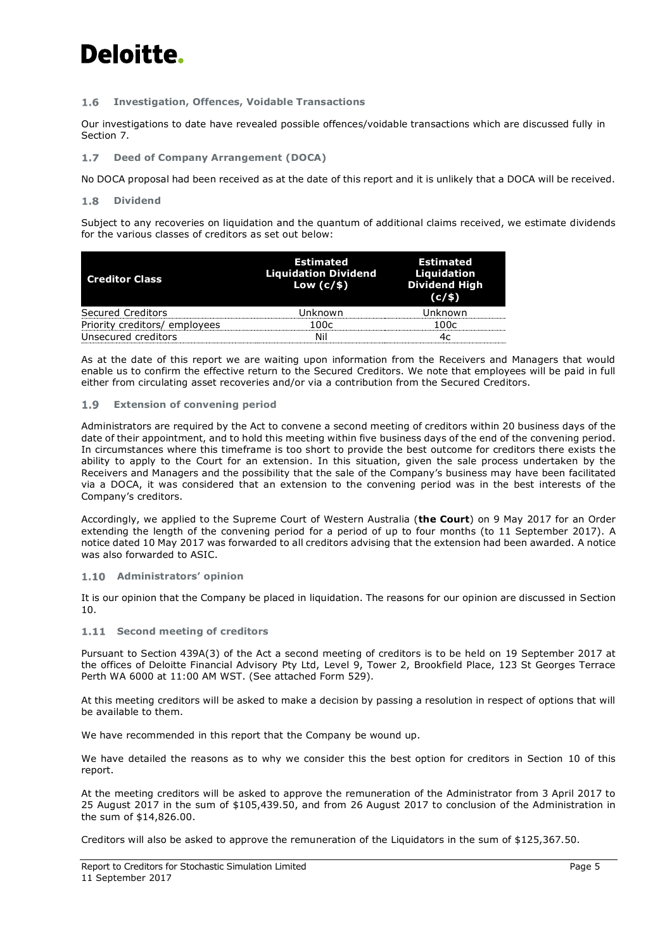#### $1.6$ **Investigation, Offences, Voidable Transactions**

Our investigations to date have revealed possible offences/voidable transactions which are discussed fully in Section [7.](#page-21-0)

#### **Deed of Company Arrangement (DOCA)**  $1.7$

No DOCA proposal had been received as at the date of this report and it is unlikely that a DOCA will be received.

#### $1.8$ **Dividend**

Subject to any recoveries on liquidation and the quantum of additional claims received, we estimate dividends for the various classes of creditors as set out below:

| <b>Creditor Class</b>         | <b>Estimated</b><br><b>Liquidation Dividend</b><br>Low $(c/s)$ | <b>Estimated</b><br>Liquidation<br><b>Dividend High</b><br>(c/s) |
|-------------------------------|----------------------------------------------------------------|------------------------------------------------------------------|
| <b>Secured Creditors</b>      | Inknown                                                        | ∙nkn∩wn                                                          |
| Priority creditors/ employees | 100c                                                           | 100c                                                             |
| Unsecured creditors           |                                                                |                                                                  |

As at the date of this report we are waiting upon information from the Receivers and Managers that would enable us to confirm the effective return to the Secured Creditors. We note that employees will be paid in full either from circulating asset recoveries and/or via a contribution from the Secured Creditors.

#### $1.9$ **Extension of convening period**

Administrators are required by the Act to convene a second meeting of creditors within 20 business days of the date of their appointment, and to hold this meeting within five business days of the end of the convening period. In circumstances where this timeframe is too short to provide the best outcome for creditors there exists the ability to apply to the Court for an extension. In this situation, given the sale process undertaken by the Receivers and Managers and the possibility that the sale of the Company's business may have been facilitated via a DOCA, it was considered that an extension to the convening period was in the best interests of the Company's creditors.

Accordingly, we applied to the Supreme Court of Western Australia (**the Court**) on 9 May 2017 for an Order extending the length of the convening period for a period of up to four months (to 11 September 2017). A notice dated 10 May 2017 was forwarded to all creditors advising that the extension had been awarded. A notice was also forwarded to ASIC.

## **Administrators' opinion**

It is our opinion that the Company be placed in liquidation. The reasons for our opinion are discussed in Section [10.](#page-29-1)

### **1.11 Second meeting of creditors**

Pursuant to Section 439A(3) of the Act a second meeting of creditors is to be held on 19 September 2017 at the offices of Deloitte Financial Advisory Pty Ltd, Level 9, Tower 2, Brookfield Place, 123 St Georges Terrace Perth WA 6000 at 11:00 AM WST. (See attached Form 529).

At this meeting creditors will be asked to make a decision by passing a resolution in respect of options that will be available to them.

We have recommended in this report that the Company be wound up.

We have detailed the reasons as to why we consider this the best option for creditors in Section [10](#page-29-1) of this report.

At the meeting creditors will be asked to approve the remuneration of the Administrator from 3 April 2017 to 25 August 2017 in the sum of \$105,439.50, and from 26 August 2017 to conclusion of the Administration in the sum of \$14,826.00.

Creditors will also be asked to approve the remuneration of the Liquidators in the sum of \$125,367.50.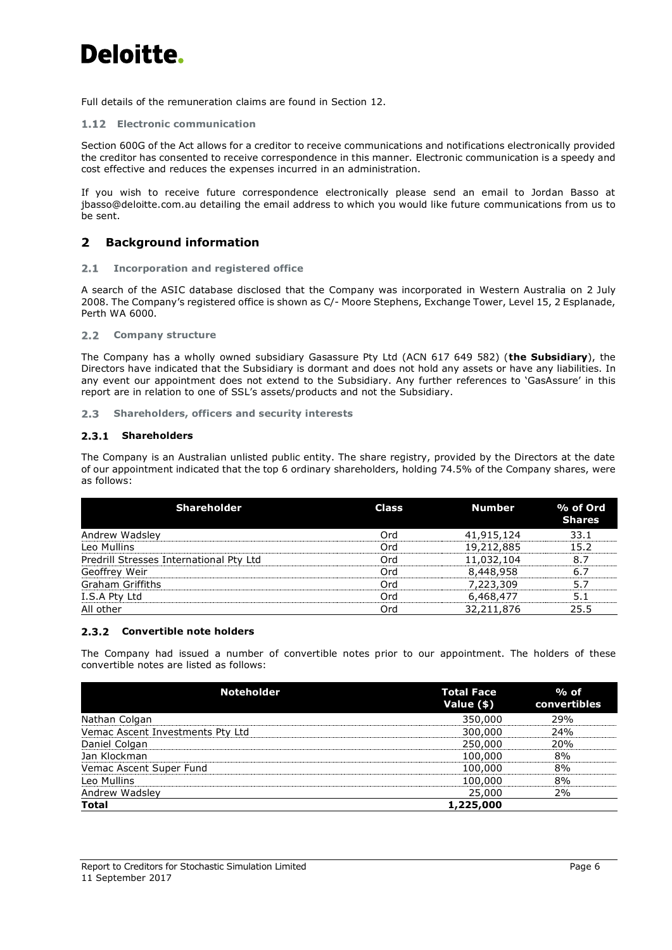Full details of the remuneration claims are found in Section [12.](#page-30-0)

## **Electronic communication**

Section 600G of the Act allows for a creditor to receive communications and notifications electronically provided the creditor has consented to receive correspondence in this manner. Electronic communication is a speedy and cost effective and reduces the expenses incurred in an administration.

If you wish to receive future correspondence electronically please send an email to Jordan Basso at [jbasso@deloitte.com.au](mailto:jbasso@deloitte.com.au) detailing the email address to which you would like future communications from us to be sent.

#### <span id="page-8-0"></span> $\overline{2}$ **Background information**

#### **Incorporation and registered office**  $2.1$

A search of the ASIC database disclosed that the Company was incorporated in Western Australia on 2 July 2008. The Company's registered office is shown as C/- Moore Stephens, Exchange Tower, Level 15, 2 Esplanade, Perth WA 6000.

## **Company structure**

The Company has a wholly owned subsidiary Gasassure Pty Ltd (ACN 617 649 582) (**the Subsidiary**), the Directors have indicated that the Subsidiary is dormant and does not hold any assets or have any liabilities. In any event our appointment does not extend to the Subsidiary. Any further references to 'GasAssure' in this report are in relation to one of SSL's assets/products and not the Subsidiary.

**Shareholders, officers and security interests**   $2.3$ 

## 2.3.1 Shareholders

The Company is an Australian unlisted public entity. The share registry, provided by the Directors at the date of our appointment indicated that the top 6 ordinary shareholders, holding 74.5% of the Company shares, were as follows:

| <b>Shareholder</b>                      | <b>Class</b> | <b>Number</b> | % of Ord<br><b>Shares</b> |
|-----------------------------------------|--------------|---------------|---------------------------|
| Andrew Wadsley                          | Ord          | 41,915,124    | 33.1                      |
| Leo Mullins                             | Ord          | 19,212,885    | 15.2                      |
| Predrill Stresses International Pty Ltd | Ord          | 11,032,104    | 8.7                       |
| Geoffrey Weir                           | Ord          | 8,448,958     | 6.7                       |
| <b>Graham Griffiths</b>                 | Ord          | 7,223,309     | 5.7                       |
| I.S.A Pty Ltd                           | Ord          | 6,468,477     | 5.1                       |
| All other                               | Ord          | 32,211,876    | 25.5                      |

## **Convertible note holders**

The Company had issued a number of convertible notes prior to our appointment. The holders of these convertible notes are listed as follows:

| <b>Noteholder</b>                | <b>Total Face</b><br>Value (\$) | $%$ of<br>convertibles |
|----------------------------------|---------------------------------|------------------------|
| Nathan Colgan                    | 350,000                         | 29%                    |
| Vemac Ascent Investments Pty Ltd | 300,000                         | 24%                    |
| Daniel Colgan                    | 250,000                         | 20%                    |
| Jan Klockman                     | 100,000                         | 8%                     |
| Vemac Ascent Super Fund          | 100,000                         | 8%                     |
| Leo Mullins                      | 100,000                         | 8%                     |
| Andrew Wadsley                   | 25,000                          | 2%                     |
| <b>Total</b>                     | 1,225,000                       |                        |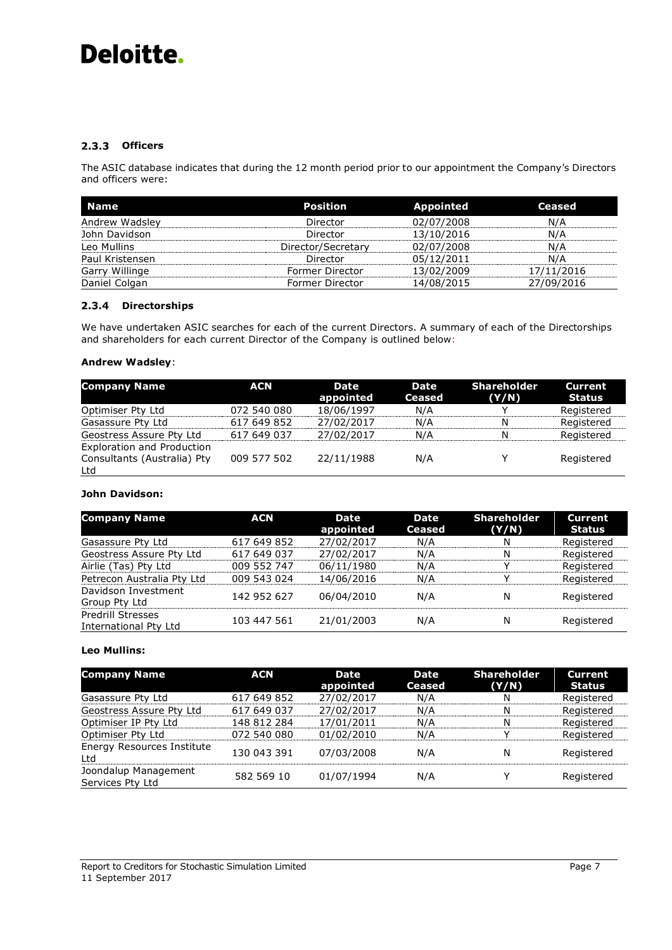## 2.3.3 Officers

The ASIC database indicates that during the 12 month period prior to our appointment the Company's Directors and officers were:

| Name            | Position           | <b>Appointed</b> | Ceased     |
|-----------------|--------------------|------------------|------------|
| Andrew Wadsley  | Director           | 02/07/2008       | N/A        |
| John Davidson   | Director           | 13/10/2016       | N/A        |
| Leo Mullins     | Director/Secretary | 02/07/2008       | N/A        |
| Paul Kristensen | Director           | 05/12/2011       | N/A        |
| Garry Willinge  | Former Director    | 13/02/2009       | 17/11/2016 |
| Daniel Colgan   | Former Director    | 14/08/2015       | 27/09/2016 |

## **Directorships**

We have undertaken ASIC searches for each of the current Directors. A summary of each of the Directorships and shareholders for each current Director of the Company is outlined below:

## **Andrew Wadsley**:

| <b>Company Name</b>               | <b>ACN</b>  | <b>Date</b><br>appointed | Date<br><b>Ceased</b> | <b>Shareholder</b><br>(Y/N) | <b>Current</b><br>Status |
|-----------------------------------|-------------|--------------------------|-----------------------|-----------------------------|--------------------------|
| Optimiser Pty Ltd                 | 072 540 080 | 18/06/1997               | N/A                   |                             | Registered               |
| Gasassure Pty Ltd                 | 617 649 852 | 27/02/2017               | N/A                   | N                           | Registered               |
| Geostress Assure Pty Ltd          | 617 649 037 | 27/02/2017               | N/A                   | N                           | Registered               |
| <b>Exploration and Production</b> |             |                          |                       |                             |                          |
| Consultants (Australia) Pty       | 009 577 502 | 22/11/1988               | N/A                   | ٧                           | Registered               |
| Ltd                               |             |                          |                       |                             |                          |

## **John Davidson:**

| <b>Company Name</b>                                      | <b>ACN</b>  | <b>Date</b><br>appointed | <b>Date</b><br>Ceased | <b>Shareholder</b><br>(Y/N) | Current<br>Status |
|----------------------------------------------------------|-------------|--------------------------|-----------------------|-----------------------------|-------------------|
| Gasassure Pty Ltd                                        | 617 649 852 | 27/02/2017               | N/A                   | N                           | Registered        |
| Geostress Assure Pty Ltd                                 | 617 649 037 | 27/02/2017               | N/A                   | N                           | Registered        |
| Airlie (Tas) Pty Ltd                                     | 009 552 747 | 06/11/1980               | N/A                   | v                           | Registered        |
| Petrecon Australia Pty Ltd                               | 009 543 024 | 14/06/2016               | N/A                   |                             | Registered        |
| Davidson Investment<br>Group Pty Ltd                     | 142 952 627 | 06/04/2010               | N/A                   | N                           | Registered        |
| <b>Predrill Stresses</b><br><b>International Pty Ltd</b> | 103 447 561 | 21/01/2003               | N/A                   | N                           | Registered        |

## **Leo Mullins:**

| <b>Company Name</b>                      | <b>ACN</b>  | Date<br>appointed | Date<br><b>Ceased</b> | <b>Shareholder</b><br>(Y/N) | <b>Current</b><br>Status |
|------------------------------------------|-------------|-------------------|-----------------------|-----------------------------|--------------------------|
| Gasassure Pty Ltd                        | 617 649 852 | 27/02/2017        | N/A                   | N                           | Registered               |
| Geostress Assure Pty Ltd                 | 617 649 037 | 27/02/2017        | N/A                   | N                           | Registered               |
| Optimiser IP Pty Ltd                     | 148 812 284 | 17/01/2011        | N/A                   | N                           | Registered               |
| Optimiser Pty Ltd                        | 072 540 080 | 01/02/2010        | N/A                   | v                           | Registered               |
| <b>Energy Resources Institute</b><br>Ltd | 130 043 391 | 07/03/2008        | N/A                   | N                           | Registered               |
| Joondalup Management<br>Services Pty Ltd | 582 569 10  | 01/07/1994        | N/A                   | v                           | Registered               |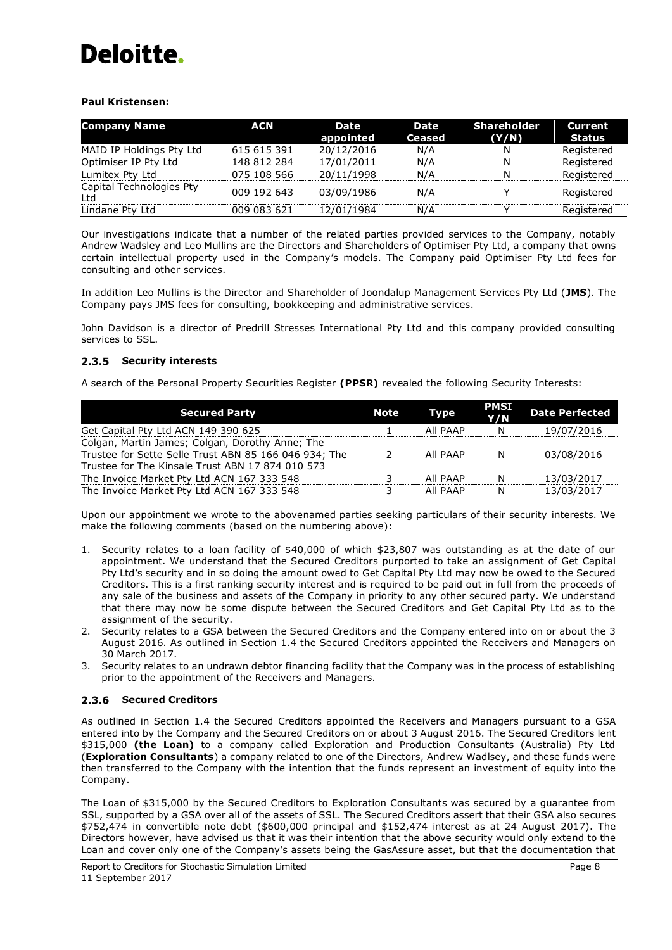## **Paul Kristensen:**

| <b>Company Name</b>             | <b>ACN</b>  | <b>Date</b><br>appointed | Date<br><b>Ceased</b> | <b>Shareholder</b><br>(Y/N) | <b>Current</b><br>Status |
|---------------------------------|-------------|--------------------------|-----------------------|-----------------------------|--------------------------|
| MAID IP Holdings Pty Ltd        | 615 615 391 | 20/12/2016               | N/A                   | N                           | Registered               |
| Optimiser IP Pty Ltd            | 148 812 284 | 17/01/2011               | N/A                   | Ν                           | Registered               |
| Lumitex Pty Ltd                 | 075 108 566 | 20/11/1998               | N/A                   | Ν                           | Registered               |
| Capital Technologies Pty<br>Ltd | 009 192 643 | 03/09/1986               | N/A                   |                             | Registered               |
| Lindane Pty Ltd                 | 009 083 621 | 12/01/1984               | N/A                   |                             | Registered               |

Our investigations indicate that a number of the related parties provided services to the Company, notably Andrew Wadsley and Leo Mullins are the Directors and Shareholders of Optimiser Pty Ltd, a company that owns certain intellectual property used in the Company's models. The Company paid Optimiser Pty Ltd fees for consulting and other services.

In addition Leo Mullins is the Director and Shareholder of Joondalup Management Services Pty Ltd (**JMS**). The Company pays JMS fees for consulting, bookkeeping and administrative services.

John Davidson is a director of Predrill Stresses International Pty Ltd and this company provided consulting services to SSL.

## 2.3.5 Security interests

A search of the Personal Property Securities Register **(PPSR)** revealed the following Security Interests:

| <b>Secured Party</b>                                  | Note | Type     | <b>PMSI</b><br>Y/N | <b>Date Perfected</b> |
|-------------------------------------------------------|------|----------|--------------------|-----------------------|
| Get Capital Pty Ltd ACN 149 390 625                   |      | AII PAAP | N                  | 19/07/2016            |
| Colgan, Martin James; Colgan, Dorothy Anne; The       |      |          |                    |                       |
| Trustee for Sette Selle Trust ABN 85 166 046 934; The |      | AII PAAP | N                  | 03/08/2016            |
| Trustee for The Kinsale Trust ABN 17 874 010 573      |      |          |                    |                       |
| The Invoice Market Pty Ltd ACN 167 333 548            |      | AII PAAP | N                  | 13/03/2017            |
| The Invoice Market Pty Ltd ACN 167 333 548            |      | AII PAAP | N                  | 13/03/2017            |

Upon our appointment we wrote to the abovenamed parties seeking particulars of their security interests. We make the following comments (based on the numbering above):

- 1. Security relates to a loan facility of \$40,000 of which \$23,807 was outstanding as at the date of our appointment. We understand that the Secured Creditors purported to take an assignment of Get Capital Pty Ltd's security and in so doing the amount owed to Get Capital Pty Ltd may now be owed to the Secured Creditors. This is a first ranking security interest and is required to be paid out in full from the proceeds of any sale of the business and assets of the Company in priority to any other secured party. We understand that there may now be some dispute between the Secured Creditors and Get Capital Pty Ltd as to the assignment of the security.
- 2. Security relates to a GSA between the Secured Creditors and the Company entered into on or about the 3 August 2016. As outlined in Section 1.4 the Secured Creditors appointed the Receivers and Managers on 30 March 2017.
- 3. Security relates to an undrawn debtor financing facility that the Company was in the process of establishing prior to the appointment of the Receivers and Managers.

## 2.3.6 Secured Creditors

As outlined in Section [1.4](#page-6-1) the Secured Creditors appointed the Receivers and Managers pursuant to a GSA entered into by the Company and the Secured Creditors on or about 3 August 2016. The Secured Creditors lent \$315,000 **(the Loan)** to a company called Exploration and Production Consultants (Australia) Pty Ltd (**Exploration Consultants**) a company related to one of the Directors, Andrew Wadlsey, and these funds were then transferred to the Company with the intention that the funds represent an investment of equity into the Company.

The Loan of \$315,000 by the Secured Creditors to Exploration Consultants was secured by a guarantee from SSL, supported by a GSA over all of the assets of SSL. The Secured Creditors assert that their GSA also secures \$752,474 in convertible note debt (\$600,000 principal and \$152,474 interest as at 24 August 2017). The Directors however, have advised us that it was their intention that the above security would only extend to the Loan and cover only one of the Company's assets being the GasAssure asset, but that the documentation that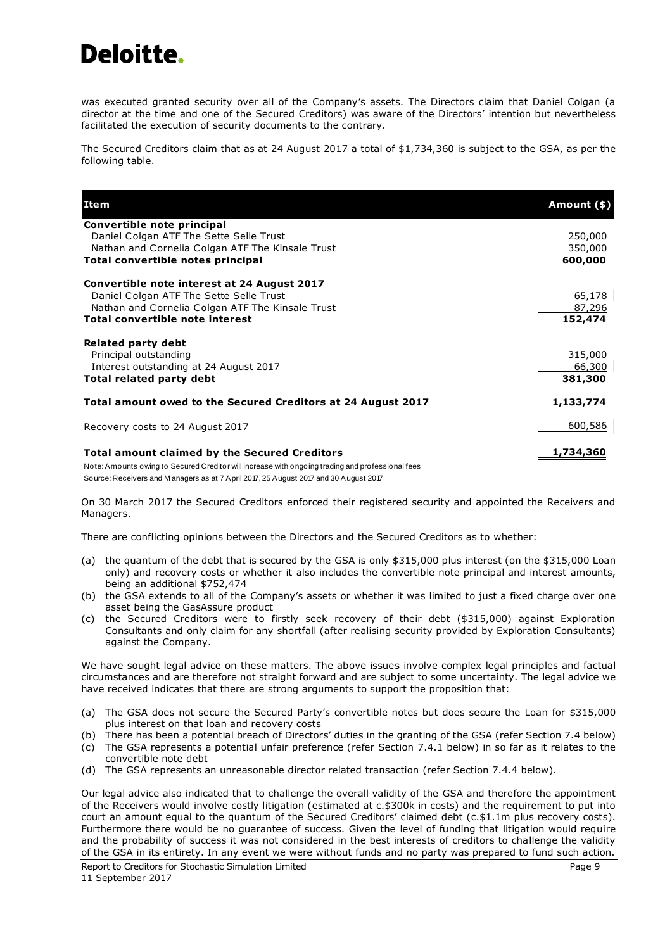was executed granted security over all of the Company's assets. The Directors claim that Daniel Colgan (a director at the time and one of the Secured Creditors) was aware of the Directors' intention but nevertheless facilitated the execution of security documents to the contrary.

The Secured Creditors claim that as at 24 August 2017 a total of \$1,734,360 is subject to the GSA, as per the following table.

| <b>Item</b>                                                                                      | Amount (\$) |
|--------------------------------------------------------------------------------------------------|-------------|
| Convertible note principal                                                                       |             |
| Daniel Colgan ATF The Sette Selle Trust                                                          | 250,000     |
| Nathan and Cornelia Colgan ATF The Kinsale Trust                                                 | 350,000     |
| Total convertible notes principal                                                                | 600,000     |
| Convertible note interest at 24 August 2017                                                      |             |
| Daniel Colgan ATF The Sette Selle Trust                                                          | 65,178      |
| Nathan and Cornelia Colgan ATF The Kinsale Trust                                                 | 87,296      |
| <b>Total convertible note interest</b>                                                           | 152,474     |
| <b>Related party debt</b>                                                                        |             |
| Principal outstanding                                                                            | 315,000     |
| Interest outstanding at 24 August 2017                                                           | 66,300      |
| Total related party debt                                                                         | 381,300     |
| Total amount owed to the Secured Creditors at 24 August 2017                                     | 1,133,774   |
| Recovery costs to 24 August 2017                                                                 | 600,586     |
| <b>Total amount claimed by the Secured Creditors</b>                                             | 1,734,360   |
| Note: Amounts owing to Secured Creditor will increase with ongoing trading and professional fees |             |

Source: Receivers and M anagers as at 7 April 2017, 25 August 2017 and 30 August 2017

On 30 March 2017 the Secured Creditors enforced their registered security and appointed the Receivers and Managers.

There are conflicting opinions between the Directors and the Secured Creditors as to whether:

- (a) the quantum of the debt that is secured by the GSA is only \$315,000 plus interest (on the \$315,000 Loan only) and recovery costs or whether it also includes the convertible note principal and interest amounts, being an additional \$752,474
- (b) the GSA extends to all of the Company's assets or whether it was limited to just a fixed charge over one asset being the GasAssure product
- (c) the Secured Creditors were to firstly seek recovery of their debt (\$315,000) against Exploration Consultants and only claim for any shortfall (after realising security provided by Exploration Consultants) against the Company.

We have sought legal advice on these matters. The above issues involve complex legal principles and factual circumstances and are therefore not straight forward and are subject to some uncertainty. The legal advice we have received indicates that there are strong arguments to support the proposition that:

- (a) The GSA does not secure the Secured Party's convertible notes but does secure the Loan for \$315,000 plus interest on that loan and recovery costs
- (b) There has been a potential breach of Directors' duties in the granting of the GSA (refer Section [7.4](#page-22-0) below)
- (c) The GSA represents a potential unfair preference (refer Section [7.4.1](#page-23-0) below) in so far as it relates to the convertible note debt
- (d) The GSA represents an unreasonable director related transaction (refer Section [7.4.4](#page-23-1) below).

Our legal advice also indicated that to challenge the overall validity of the GSA and therefore the appointment of the Receivers would involve costly litigation (estimated at c.\$300k in costs) and the requirement to put into court an amount equal to the quantum of the Secured Creditors' claimed debt (c.\$1.1m plus recovery costs). Furthermore there would be no guarantee of success. Given the level of funding that litigation would require and the probability of success it was not considered in the best interests of creditors to challenge the validity of the GSA in its entirety. In any event we were without funds and no party was prepared to fund such action.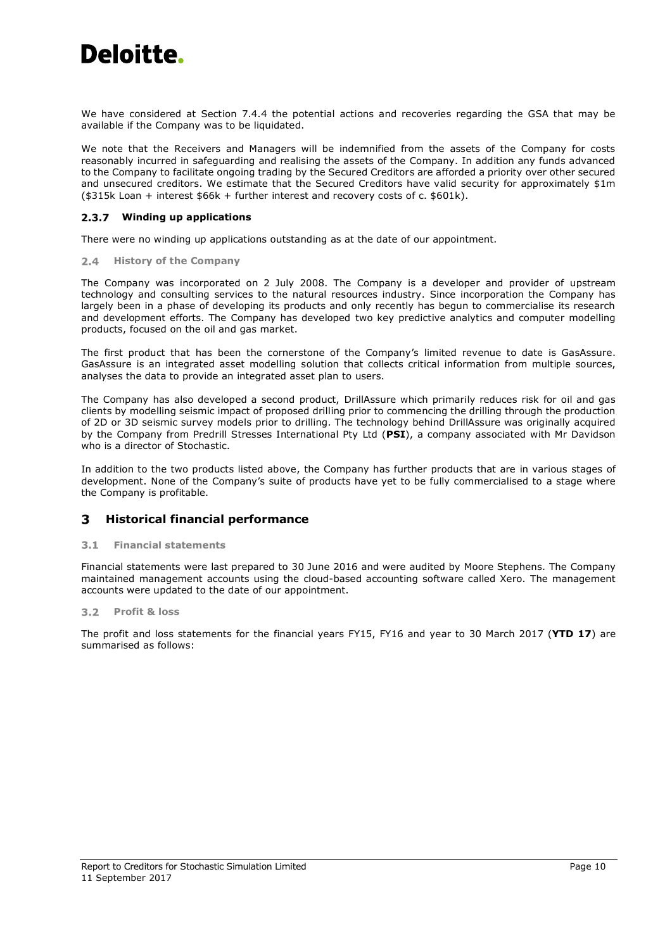

We have considered at Section [7.4.4](#page-23-1) the potential actions and recoveries regarding the GSA that may be available if the Company was to be liquidated.

We note that the Receivers and Managers will be indemnified from the assets of the Company for costs reasonably incurred in safeguarding and realising the assets of the Company. In addition any funds advanced to the Company to facilitate ongoing trading by the Secured Creditors are afforded a priority over other secured and unsecured creditors. We estimate that the Secured Creditors have valid security for approximately \$1m (\$315k Loan + interest \$66k + further interest and recovery costs of c. \$601k).

## **Winding up applications**

There were no winding up applications outstanding as at the date of our appointment.

### **2.4 History of the Company**

The Company was incorporated on 2 July 2008. The Company is a developer and provider of upstream technology and consulting services to the natural resources industry. Since incorporation the Company has largely been in a phase of developing its products and only recently has begun to commercialise its research and development efforts. The Company has developed two key predictive analytics and computer modelling products, focused on the oil and gas market.

The first product that has been the cornerstone of the Company's limited revenue to date is GasAssure. GasAssure is an integrated asset modelling solution that collects critical information from multiple sources, analyses the data to provide an integrated asset plan to users.

The Company has also developed a second product, DrillAssure which primarily reduces risk for oil and gas clients by modelling seismic impact of proposed drilling prior to commencing the drilling through the production of 2D or 3D seismic survey models prior to drilling. The technology behind DrillAssure was originally acquired by the Company from Predrill Stresses International Pty Ltd (**PSI**), a company associated with Mr Davidson who is a director of Stochastic.

In addition to the two products listed above, the Company has further products that are in various stages of development. None of the Company's suite of products have yet to be fully commercialised to a stage where the Company is profitable.

#### <span id="page-12-0"></span>3 **Historical financial performance**

#### **Financial statements**  $3.1$

Financial statements were last prepared to 30 June 2016 and were audited by Moore Stephens. The Company maintained management accounts using the cloud-based accounting software called Xero. The management accounts were updated to the date of our appointment.

### **Profit & loss**

The profit and loss statements for the financial years FY15, FY16 and year to 30 March 2017 (**YTD 17**) are summarised as follows: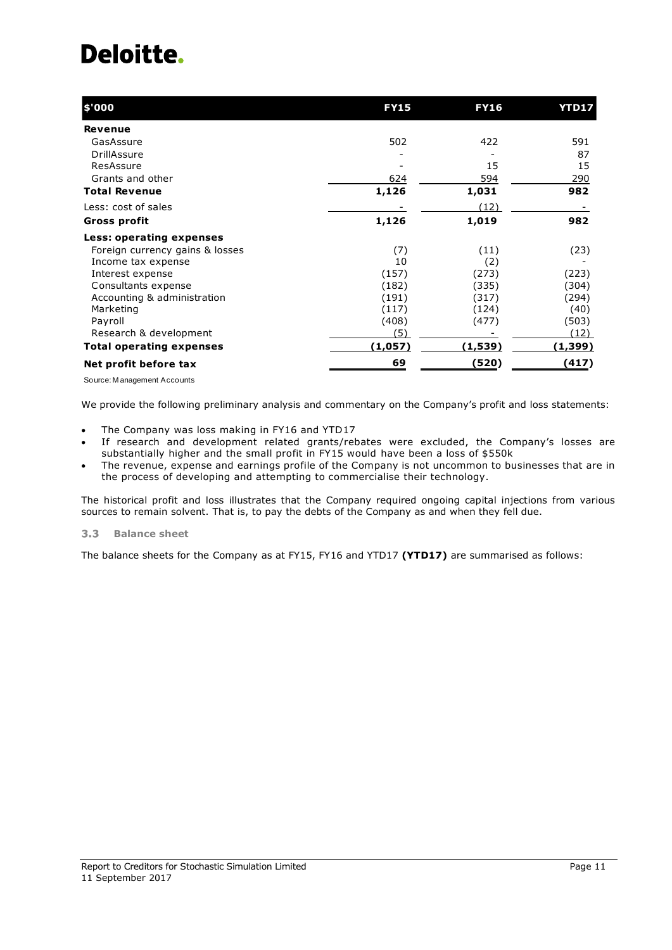| \$'000                          | <b>FY15</b> | <b>FY16</b> | <b>YTD17</b>   |
|---------------------------------|-------------|-------------|----------------|
| Revenue                         |             |             |                |
| GasAssure                       | 502         | 422         | 591            |
| DrillAssure                     |             |             | 87             |
| ResAssure                       |             | 15          | 15             |
| Grants and other                | 624         | 594         | 290            |
| <b>Total Revenue</b>            | 1,126       | 1,031       | 982            |
| Less: cost of sales             |             | (12)        |                |
| Gross profit                    | 1,126       | 1,019       | 982            |
| Less: operating expenses        |             |             |                |
| Foreign currency gains & losses | (7)         | (11)        | (23)           |
| Income tax expense              | 10          | (2)         |                |
| Interest expense                | (157)       | (273)       | (223)          |
| Consultants expense             | (182)       | (335)       | (304)          |
| Accounting & administration     | (191)       | (317)       | (294)          |
| Marketing                       | (117)       | (124)       | (40)           |
| Payroll                         | (408)       | (477)       | (503)          |
| Research & development          | (5)         |             | (12)           |
| <b>Total operating expenses</b> | (1,057)     | (1,539)     | <u>(1,399)</u> |
| Net profit before tax           | 69          | (520)       | (417)          |

Source: M anagement Accounts

We provide the following preliminary analysis and commentary on the Company's profit and loss statements:

- The Company was loss making in FY16 and YTD17
- If research and development related grants/rebates were excluded, the Company's losses are substantially higher and the small profit in FY15 would have been a loss of \$550k
- The revenue, expense and earnings profile of the Company is not uncommon to businesses that are in the process of developing and attempting to commercialise their technology.

The historical profit and loss illustrates that the Company required ongoing capital injections from various sources to remain solvent. That is, to pay the debts of the Company as and when they fell due.

#### $3.3$ **Balance sheet**

The balance sheets for the Company as at FY15, FY16 and YTD17 **(YTD17)** are summarised as follows: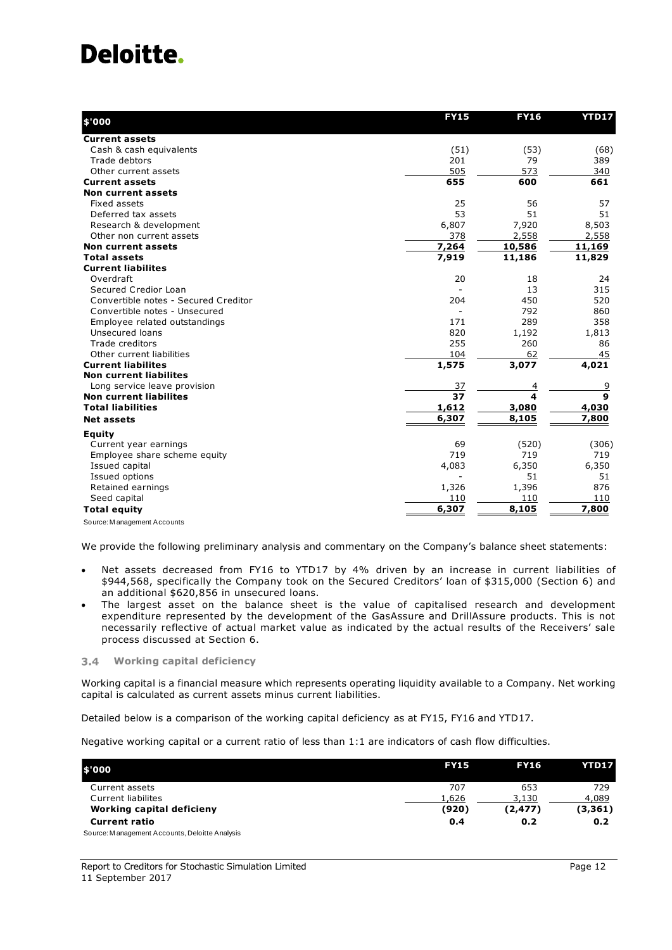| \$'000                               | <b>FY15</b>              | <b>FY16</b> | <b>YTD17</b> |
|--------------------------------------|--------------------------|-------------|--------------|
| <b>Current assets</b>                |                          |             |              |
| Cash & cash equivalents              | (51)                     | (53)        | (68)         |
| Trade debtors                        | 201                      | 79          | 389          |
| Other current assets                 | 505                      | 573         | 340          |
| <b>Current assets</b>                | 655                      | 600         | 661          |
| <b>Non current assets</b>            |                          |             |              |
| Fixed assets                         | 25                       | 56          | 57           |
| Deferred tax assets                  | 53                       | 51          | 51           |
| Research & development               | 6,807                    | 7,920       | 8,503        |
| Other non current assets             | 378                      | 2,558       | 2,558        |
| Non current assets                   | 7,264                    | 10,586      | 11,169       |
| <b>Total assets</b>                  | 7,919                    | 11,186      | 11,829       |
| <b>Current liabilites</b>            |                          |             |              |
| Overdraft                            | 20                       | 18          | 24           |
| Secured Credior Loan                 | $\overline{\phantom{a}}$ | 13          | 315          |
| Convertible notes - Secured Creditor | 204                      | 450         | 520          |
| Convertible notes - Unsecured        | $\overline{\phantom{a}}$ | 792         | 860          |
| Employee related outstandings        | 171                      | 289         | 358          |
| Unsecured loans                      | 820                      | 1,192       | 1,813        |
| Trade creditors                      | 255                      | 260         | 86           |
| Other current liabilities            | 104                      | 62          | 45           |
| <b>Current liabilites</b>            | 1,575                    | 3,077       | 4,021        |
| <b>Non current liabilites</b>        |                          |             |              |
| Long service leave provision         | 37                       | 4           | <u>9</u>     |
| <b>Non current liabilites</b>        | 37                       | 4           | $\mathbf{9}$ |
| <b>Total liabilities</b>             | 1,612                    | 3,080       | 4,030        |
| <b>Net assets</b>                    | 6,307                    | 8,105       | 7,800        |
| <b>Equity</b>                        |                          |             |              |
| Current year earnings                | 69                       | (520)       | (306)        |
| Employee share scheme equity         | 719                      | 719         | 719          |
| Issued capital                       | 4,083                    | 6,350       | 6,350        |
| Issued options                       | $\blacksquare$           | 51          | 51           |
| Retained earnings                    | 1,326                    | 1,396       | 876          |
| Seed capital                         | 110                      | 110         | 110          |
| <b>Total equity</b>                  | 6,307                    | 8,105       | 7,800        |
| Source: Management Accounts          |                          |             |              |

We provide the following preliminary analysis and commentary on the Company's balance sheet statements:

- Net assets decreased from FY16 to YTD17 by 4% driven by an increase in current liabilities of \$944,568, specifically the Company took on the Secured Creditors' loan of \$315,000 (Section 6) and an additional \$620,856 in unsecured loans.
- The largest asset on the balance sheet is the value of capitalised research and development expenditure represented by the development of the GasAssure and DrillAssure products. This is not necessarily reflective of actual market value as indicated by the actual results of the Receivers' sale process discussed at Section 6.

### <span id="page-14-0"></span>**Working capital deficiency**

Working capital is a financial measure which represents [operating liquidity](http://en.wikipedia.org/wiki/Accounting_liquidity) available to a Company. Net working capital is calculated as [current assets](http://en.wikipedia.org/wiki/Current_assets) minus [current liabilities.](http://en.wikipedia.org/wiki/Current_liabilities)

Detailed below is a comparison of the working capital deficiency as at FY15, FY16 and YTD17.

Negative working capital or a current ratio of less than 1:1 are indicators of cash flow difficulties.

| \$'000                                         | <b>FY15</b> | <b>FY16</b> | YTD17    |
|------------------------------------------------|-------------|-------------|----------|
| Current assets                                 | 707         | 653         | 729      |
| Current liabilites                             | 1,626       | 3,130       | 4,089    |
| Working capital deficieny                      | (920)       | (2,477)     | (3, 361) |
| <b>Current ratio</b>                           | 0.4         | 0.2         | 0.2      |
| Source: Management Accounts, Deloitte Analysis |             |             |          |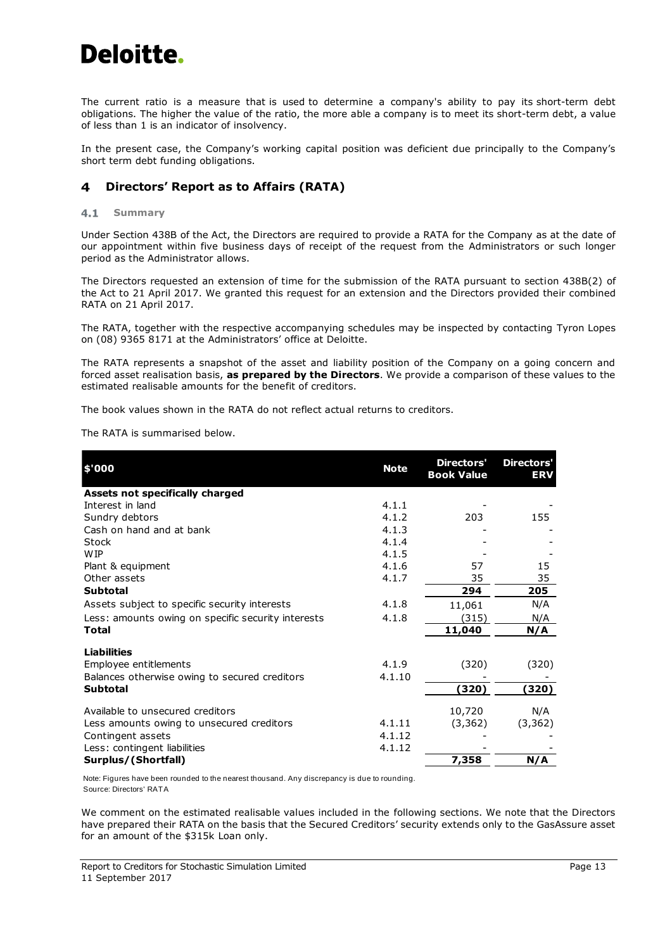The current ratio is a measure that is used to determine a company's ability to pay its short-term debt obligations. The higher the value of the ratio, the more able a company is to meet its short-term debt, a value of less than 1 is an indicator of insolvency.

In the present case, the Company's working capital position was deficient due principally to the Company's short term debt funding obligations.

#### <span id="page-15-0"></span>**Directors' Report as to Affairs (RATA)** 4

#### $4.1$ **Summary**

Under Section 438B of the Act, the Directors are required to provide a RATA for the Company as at the date of our appointment within five business days of receipt of the request from the Administrators or such longer period as the [Administrator](http://www.austlii.edu.au/au/legis/cth/consol_act/ca2001172/s9.html#administrator) allows.

The Directors requested an extension of time for the submission of the RATA pursuant to section 438B(2) of the Act to 21 April 2017. We granted this request for an extension and the Directors provided their combined RATA on 21 April 2017.

The RATA, together with the respective accompanying schedules may be inspected by contacting Tyron Lopes on (08) 9365 8171 at the Administrators' office at Deloitte.

The RATA represents a snapshot of the asset and liability position of the Company on a going concern and forced asset realisation basis, **as prepared by the Directors**. We provide a comparison of these values to the estimated realisable amounts for the benefit of creditors.

The book values shown in the RATA do not reflect actual returns to creditors.

The RATA is summarised below.

| \$'000                                             | <b>Note</b> | Directors'<br><b>Book Value</b> | <b>Directors'</b><br><b>ERV</b> |
|----------------------------------------------------|-------------|---------------------------------|---------------------------------|
| Assets not specifically charged                    |             |                                 |                                 |
| Interest in land                                   | 4.1.1       |                                 |                                 |
| Sundry debtors                                     | 4.1.2       | 203                             | 155                             |
| Cash on hand and at bank                           | 4.1.3       |                                 |                                 |
| Stock                                              | 4.1.4       |                                 |                                 |
| <b>WIP</b>                                         | 4.1.5       |                                 |                                 |
| Plant & equipment                                  | 4.1.6       | 57                              | 15                              |
| Other assets                                       | 4.1.7       | 35                              | 35                              |
| <b>Subtotal</b>                                    |             | 294                             | 205                             |
| Assets subject to specific security interests      | 4.1.8       | 11,061                          | N/A                             |
| Less: amounts owing on specific security interests | 4.1.8       | (315)                           | N/A                             |
| Total                                              |             | 11,040                          | N/A                             |
| <b>Liabilities</b>                                 |             |                                 |                                 |
| Employee entitlements                              | 4.1.9       | (320)                           | (320)                           |
| Balances otherwise owing to secured creditors      | 4.1.10      |                                 |                                 |
| <b>Subtotal</b>                                    |             | 320)                            | (320)                           |
| Available to unsecured creditors                   |             | 10,720                          | N/A                             |
| Less amounts owing to unsecured creditors          | 4.1.11      | (3, 362)                        | (3, 362)                        |
| Contingent assets                                  | 4.1.12      |                                 |                                 |
| Less: contingent liabilities                       | 4.1.12      |                                 |                                 |
| Surplus/(Shortfall)                                |             | 7,358                           | N/A                             |

Note: Figures have been rounded to the nearest thousand. Any discrepancy is due to rounding. Source: Directors' RATA

We comment on the estimated realisable values included in the following sections. We note that the Directors have prepared their RATA on the basis that the Secured Creditors' security extends only to the GasAssure asset for an amount of the \$315k Loan only.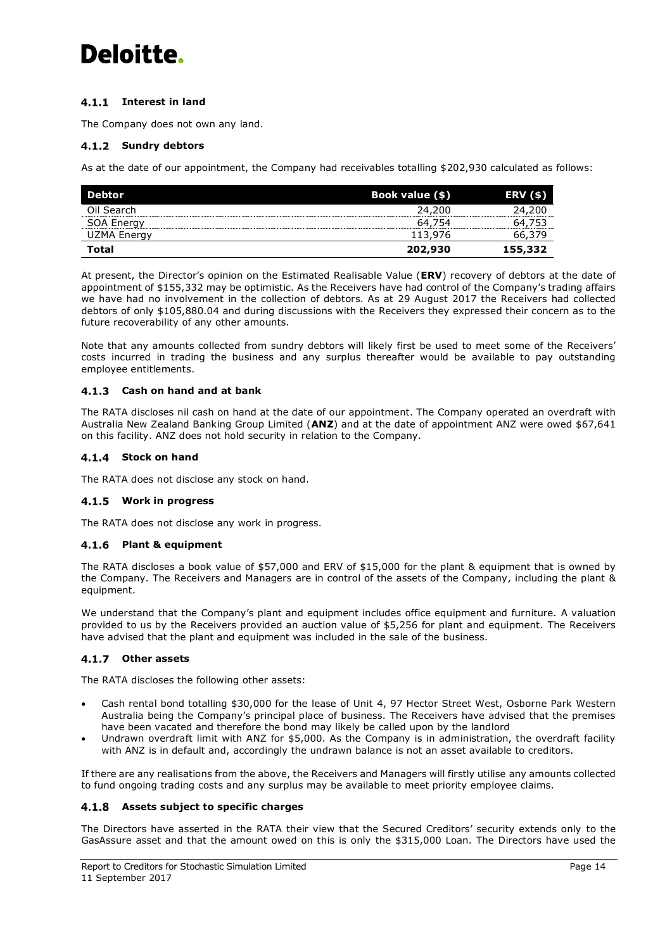## **Interest in land**

The Company does not own any land.

## **4.1.2 Sundry debtors**

As at the date of our appointment, the Company had receivables totalling \$202,930 calculated as follows:

| Debtor            | Book value (\$) | <b>ERV (\$)</b> |
|-------------------|-----------------|-----------------|
| Oil Search        | 24.200          | 24.200          |
| <b>SOA Energy</b> | 64.754          |                 |
| UZMA Energy       | 113,976         | 66.379          |
| Total             | 202,930         | 155,332         |

At present, the Director's opinion on the Estimated Realisable Value (**ERV**) recovery of debtors at the date of appointment of \$155,332 may be optimistic. As the Receivers have had control of the Company's trading affairs we have had no involvement in the collection of debtors. As at 29 August 2017 the Receivers had collected debtors of only \$105,880.04 and during discussions with the Receivers they expressed their concern as to the future recoverability of any other amounts.

Note that any amounts collected from sundry debtors will likely first be used to meet some of the Receivers' costs incurred in trading the business and any surplus thereafter would be available to pay outstanding employee entitlements.

## **Cash on hand and at bank**

The RATA discloses nil cash on hand at the date of our appointment. The Company operated an overdraft with Australia New Zealand Banking Group Limited (**ANZ**) and at the date of appointment ANZ were owed \$67,641 on this facility. ANZ does not hold security in relation to the Company.

## **Stock on hand**

The RATA does not disclose any stock on hand.

## **Work in progress**

The RATA does not disclose any work in progress.

## **Plant & equipment**

The RATA discloses a book value of \$57,000 and ERV of \$15,000 for the plant & equipment that is owned by the Company. The Receivers and Managers are in control of the assets of the Company, including the plant & equipment.

We understand that the Company's plant and equipment includes office equipment and furniture. A valuation provided to us by the Receivers provided an auction value of \$5,256 for plant and equipment. The Receivers have advised that the plant and equipment was included in the sale of the business.

## **Other assets**

The RATA discloses the following other assets:

- Cash rental bond totalling \$30,000 for the lease of Unit 4, 97 Hector Street West, Osborne Park Western Australia being the Company's principal place of business. The Receivers have advised that the premises have been vacated and therefore the bond may likely be called upon by the landlord
- Undrawn overdraft limit with ANZ for \$5,000. As the Company is in administration, the overdraft facility with ANZ is in default and, accordingly the undrawn balance is not an asset available to creditors.

If there are any realisations from the above, the Receivers and Managers will firstly utilise any amounts collected to fund ongoing trading costs and any surplus may be available to meet priority employee claims.

## <span id="page-16-0"></span>**Assets subject to specific charges**

The Directors have asserted in the RATA their view that the Secured Creditors' security extends only to the GasAssure asset and that the amount owed on this is only the \$315,000 Loan. The Directors have used the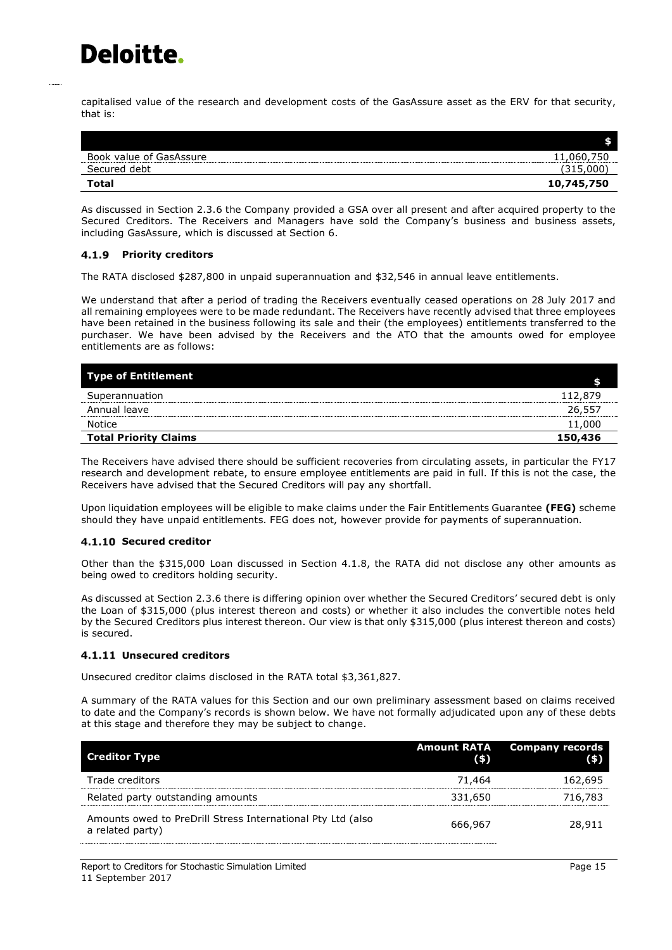capitalised value of the research and development costs of the GasAssure asset as the ERV for that security, that is:

| Book value of GasAssure | ,060,750<br>11 |
|-------------------------|----------------|
| Secured debt            | (315,000)      |
| Total                   | 10,745,750     |

As discussed in Section 2.3.6 the Company provided a GSA over all present and after acquired property to the Secured Creditors. The Receivers and Managers have sold the Company's business and business assets, including GasAssure, which is discussed at Section 6.

## **Priority creditors**

The RATA disclosed \$287,800 in unpaid superannuation and \$32,546 in annual leave entitlements.

We understand that after a period of trading the Receivers eventually ceased operations on 28 July 2017 and all remaining employees were to be made redundant. The Receivers have recently advised that three employees have been retained in the business following its sale and their (the employees) entitlements transferred to the purchaser. We have been advised by the Receivers and the ATO that the amounts owed for employee entitlements are as follows:

| <b>Type of Entitlement</b>   |         |
|------------------------------|---------|
| Superannuation               | 112,879 |
| Annual leave                 | 26,557  |
| Notice                       | 11,000  |
| <b>Total Priority Claims</b> | 150,436 |

The Receivers have advised there should be sufficient recoveries from circulating assets, in particular the FY17 research and development rebate, to ensure employee entitlements are paid in full. If this is not the case, the Receivers have advised that the Secured Creditors will pay any shortfall.

Upon liquidation employees will be eligible to make claims under the Fair Entitlements Guarantee **(FEG)** scheme should they have unpaid entitlements. FEG does not, however provide for payments of superannuation.

## **Secured creditor**

Other than the \$315,000 Loan discussed in Section [4.1.8,](#page-16-0) the RATA did not disclose any other amounts as being owed to creditors holding security.

As discussed at Section 2.3.6 there is differing opinion over whether the Secured Creditors' secured debt is only the Loan of \$315,000 (plus interest thereon and costs) or whether it also includes the convertible notes held by the Secured Creditors plus interest thereon. Our view is that only \$315,000 (plus interest thereon and costs) is secured.

## **Unsecured creditors**

Unsecured creditor claims disclosed in the RATA total \$3,361,827.

A summary of the RATA values for this Section and our own preliminary assessment based on claims received to date and the Company's records is shown below. We have not formally adjudicated upon any of these debts at this stage and therefore they may be subject to change.

| <b>Creditor Type</b>                                                            | <b>Amount RATA</b><br>$($ \$) | <b>Company records</b><br>(5) |
|---------------------------------------------------------------------------------|-------------------------------|-------------------------------|
| Trade creditors                                                                 | 71.464                        | 162,695                       |
| Related party outstanding amounts                                               | 331,650                       | 716,783                       |
| Amounts owed to PreDrill Stress International Pty Ltd (also<br>a related party) | 666,967                       | 28,911                        |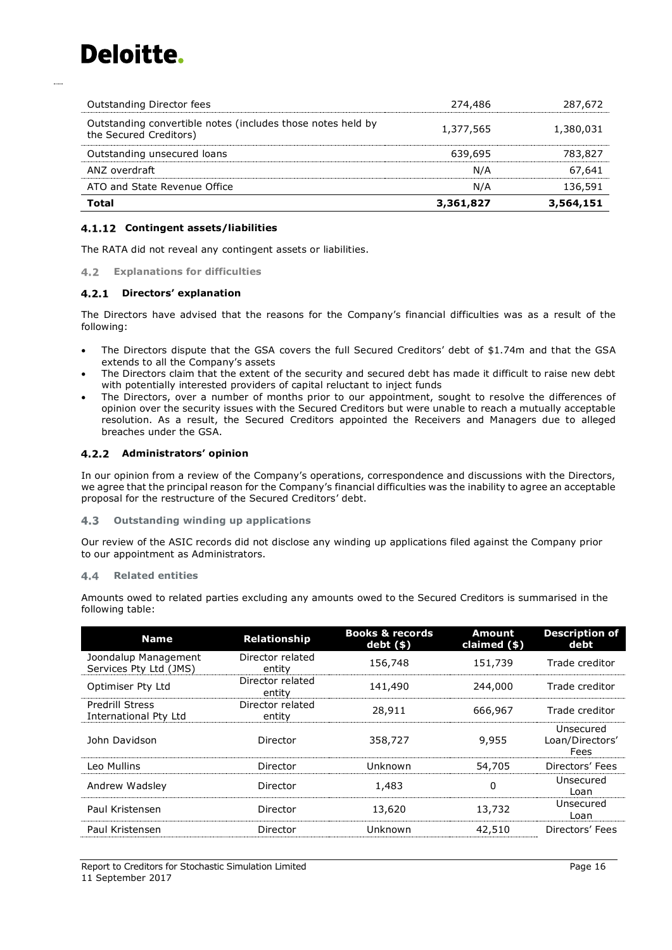| Total                                                                                 | 3,361,827 | 3,564,151 |
|---------------------------------------------------------------------------------------|-----------|-----------|
| ATO and State Revenue Office                                                          | N/A       | 136,591   |
| ANZ overdraft                                                                         | N/A       | 67.641    |
| Outstanding unsecured loans                                                           | 639,695   | 783,827   |
| Outstanding convertible notes (includes those notes held by<br>the Secured Creditors) | 1,377,565 | 1,380,031 |
| Outstanding Director fees                                                             | 274,486   | 287,672   |

## **Contingent assets/liabilities**

The RATA did not reveal any contingent assets or liabilities.

## **Explanations for difficulties**

## **Directors' explanation**

The Directors have advised that the reasons for the Company's financial difficulties was as a result of the following:

- The Directors dispute that the GSA covers the full Secured Creditors' debt of \$1.74m and that the GSA extends to all the Company's assets
- The Directors claim that the extent of the security and secured debt has made it difficult to raise new debt with potentially interested providers of capital reluctant to inject funds
- The Directors, over a number of months prior to our appointment, sought to resolve the differences of opinion over the security issues with the Secured Creditors but were unable to reach a mutually acceptable resolution. As a result, the Secured Creditors appointed the Receivers and Managers due to alleged breaches under the GSA.

## **Administrators' opinion**

In our opinion from a review of the Company's operations, correspondence and discussions with the Directors, we agree that the principal reason for the Company's financial difficulties was the inability to agree an acceptable proposal for the restructure of the Secured Creditors' debt.

#### $4.3$ **Outstanding winding up applications**

Our review of the ASIC records did not disclose any winding up applications filed against the Company prior to our appointment as Administrators.

### **Related entities**

Amounts owed to related parties excluding any amounts owed to the Secured Creditors is summarised in the following table:

| <b>Name</b>                                     | <b>Relationship</b>        | <b>Books &amp; records</b><br>$debt($ \$) | Amount<br>claimed $(*)$ | <b>Description of</b><br>debt        |
|-------------------------------------------------|----------------------------|-------------------------------------------|-------------------------|--------------------------------------|
| Joondalup Management<br>Services Pty Ltd (JMS)  | Director related<br>entity | 156,748                                   | 151,739                 | Trade creditor                       |
| Optimiser Pty Ltd                               | Director related<br>entity | 141,490                                   | 244,000                 | Trade creditor                       |
| <b>Predrill Stress</b><br>International Pty Ltd | Director related<br>entity | 28,911                                    | 666,967                 | Trade creditor                       |
| John Davidson                                   | Director                   | 358,727                                   | 9,955                   | Unsecured<br>Loan/Directors'<br>Fees |
| Leo Mullins                                     | Director                   | Unknown                                   | 54,705                  | Directors' Fees                      |
| Andrew Wadsley                                  | Director                   | 1,483                                     | 0                       | Unsecured<br>Loan                    |
| Paul Kristensen                                 | Director                   | 13,620                                    | 13,732                  | Unsecured<br>Loan                    |
| Paul Kristensen                                 | Director                   | Unknown                                   | 42,510                  | Directors' Fees                      |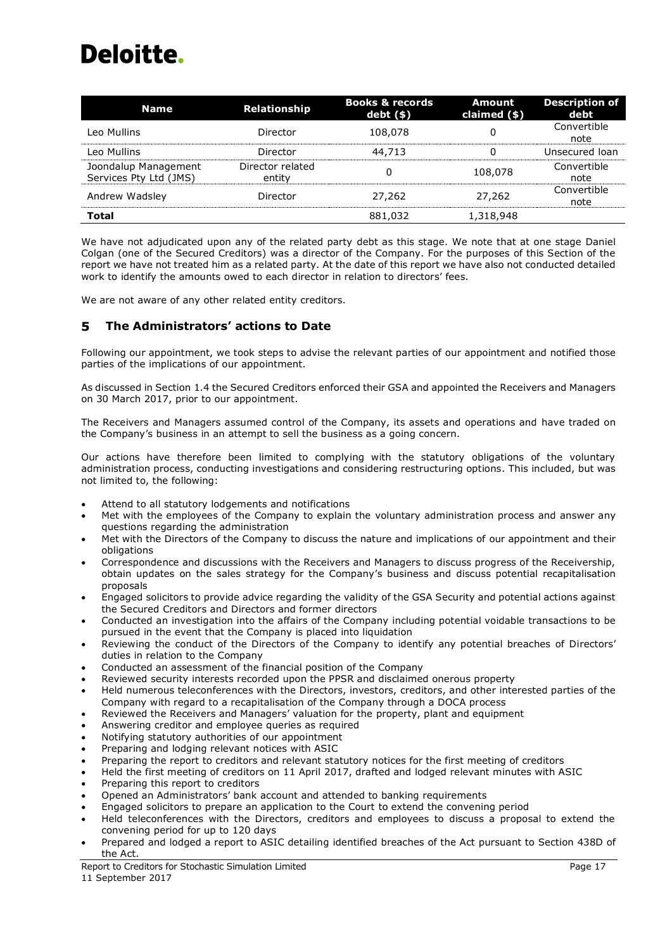| <b>Name</b>                                    | Relationship               | <b>Books &amp; records</b><br>$debt($ \$) | <b>Amount</b><br>claimed (\$) | <b>Description of</b><br>debt |
|------------------------------------------------|----------------------------|-------------------------------------------|-------------------------------|-------------------------------|
| Leo Mullins                                    | Director                   | 108,078                                   |                               | Convertible<br>note           |
| Leo Mullins                                    | Director                   | 44,713                                    | 0                             | Unsecured loan                |
| Joondalup Management<br>Services Pty Ltd (JMS) | Director related<br>entity | 0                                         | 108,078                       | Convertible<br>note           |
| Andrew Wadsley                                 | Director                   | 27,262                                    | 27,262                        | Convertible<br>note           |
| <b>Total</b>                                   |                            | 881,032                                   | 1,318,948                     |                               |

We have not adjudicated upon any of the related party debt as this stage. We note that at one stage Daniel Colgan (one of the Secured Creditors) was a director of the Company. For the purposes of this Section of the report we have not treated him as a related party. At the date of this report we have also not conducted detailed work to identify the amounts owed to each director in relation to directors' fees.

<span id="page-19-0"></span>We are not aware of any other related entity creditors.

#### 5 **The Administrators' actions to Date**

Following our appointment, we took steps to advise the relevant parties of our appointment and notified those parties of the implications of our appointment.

As discussed in Section [1.4](#page-6-1) the Secured Creditors enforced their GSA and appointed the Receivers and Managers on 30 March 2017, prior to our appointment.

The Receivers and Managers assumed control of the Company, its assets and operations and have traded on the Company's business in an attempt to sell the business as a going concern.

Our actions have therefore been limited to complying with the statutory obligations of the voluntary administration process, conducting investigations and considering restructuring options. This included, but was not limited to, the following:

- Attend to all statutory lodgements and notifications
- Met with the employees of the Company to explain the voluntary administration process and answer any questions regarding the administration
- Met with the Directors of the Company to discuss the nature and implications of our appointment and their obligations
- Correspondence and discussions with the Receivers and Managers to discuss progress of the Receivership, obtain updates on the sales strategy for the Company's business and discuss potential recapitalisation proposals
- Engaged solicitors to provide advice regarding the validity of the GSA Security and potential actions against the Secured Creditors and Directors and former directors
- Conducted an investigation into the affairs of the Company including potential voidable transactions to be pursued in the event that the Company is placed into liquidation
- Reviewing the conduct of the Directors of the Company to identify any potential breaches of Directors' duties in relation to the Company
- Conducted an assessment of the financial position of the Company
- Reviewed security interests recorded upon the PPSR and disclaimed onerous property
- Held numerous teleconferences with the Directors, investors, creditors, and other interested parties of the Company with regard to a recapitalisation of the Company through a DOCA process
- Reviewed the Receivers and Managers' valuation for the property, plant and equipment
- Answering creditor and employee queries as required
- Notifying statutory authorities of our appointment
- Preparing and lodging relevant notices with ASIC
- Preparing the report to creditors and relevant statutory notices for the first meeting of creditors
- Held the first meeting of creditors on 11 April 2017, drafted and lodged relevant minutes with ASIC
- Preparing this report to creditors
- Opened an Administrators' bank account and attended to banking requirements
- Engaged solicitors to prepare an application to the Court to extend the convening period
- Held teleconferences with the Directors, creditors and employees to discuss a proposal to extend the convening period for up to 120 days
- Prepared and lodged a report to ASIC detailing identified breaches of the Act pursuant to Section 438D of the Act.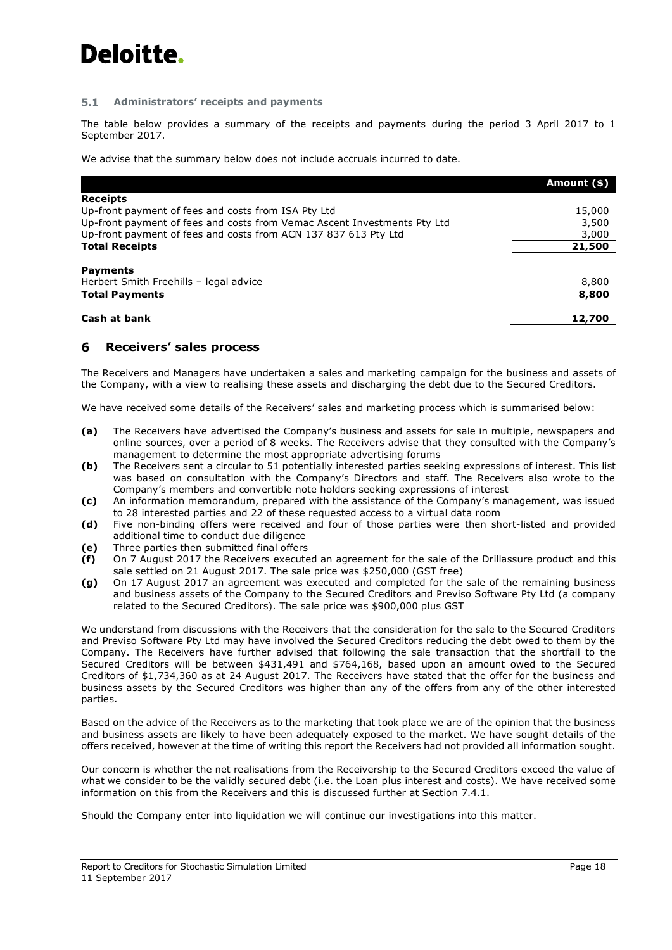#### $5.1$ **Administrators' receipts and payments**

The table below provides a summary of the receipts and payments during the period 3 April 2017 to 1 September 2017.

We advise that the summary below does not include accruals incurred to date.

|                                                                          | Amount (\$) |
|--------------------------------------------------------------------------|-------------|
| <b>Receipts</b>                                                          |             |
| Up-front payment of fees and costs from ISA Pty Ltd                      | 15,000      |
| Up-front payment of fees and costs from Vemac Ascent Investments Pty Ltd | 3,500       |
| Up-front payment of fees and costs from ACN 137 837 613 Pty Ltd          | 3,000       |
| <b>Total Receipts</b>                                                    | 21,500      |
| <b>Payments</b>                                                          |             |
| Herbert Smith Freehills - legal advice                                   | 8,800       |
| <b>Total Payments</b>                                                    | 8,800       |
|                                                                          |             |
| Cash at bank                                                             | 12,700      |

#### <span id="page-20-0"></span>6 **Receivers' sales process**

The Receivers and Managers have undertaken a sales and marketing campaign for the business and assets of the Company, with a view to realising these assets and discharging the debt due to the Secured Creditors.

We have received some details of the Receivers' sales and marketing process which is summarised below:

- **(a)** The Receivers have advertised the Company's business and assets for sale in multiple, newspapers and online sources, over a period of 8 weeks. The Receivers advise that they consulted with the Company's management to determine the most appropriate advertising forums
- **(b)** The Receivers sent a circular to 51 potentially interested parties seeking expressions of interest. This list was based on consultation with the Company's Directors and staff. The Receivers also wrote to the Company's members and convertible note holders seeking expressions of interest
- **(c)** An information memorandum, prepared with the assistance of the Company's management, was issued to 28 interested parties and 22 of these requested access to a virtual data room
- **(d)** Five non-binding offers were received and four of those parties were then short-listed and provided additional time to conduct due diligence
- **(e)** Three parties then submitted final offers
- **(f)** On 7 August 2017 the Receivers executed an agreement for the sale of the Drillassure product and this sale settled on 21 August 2017. The sale price was \$250,000 (GST free)
- **(g)** On 17 August 2017 an agreement was executed and completed for the sale of the remaining business and business assets of the Company to the Secured Creditors and Previso Software Pty Ltd (a company related to the Secured Creditors). The sale price was \$900,000 plus GST

We understand from discussions with the Receivers that the consideration for the sale to the Secured Creditors and Previso Software Pty Ltd may have involved the Secured Creditors reducing the debt owed to them by the Company. The Receivers have further advised that following the sale transaction that the shortfall to the Secured Creditors will be between \$431,491 and \$764,168, based upon an amount owed to the Secured Creditors of \$1,734,360 as at 24 August 2017. The Receivers have stated that the offer for the business and business assets by the Secured Creditors was higher than any of the offers from any of the other interested parties.

Based on the advice of the Receivers as to the marketing that took place we are of the opinion that the business and business assets are likely to have been adequately exposed to the market. We have sought details of the offers received, however at the time of writing this report the Receivers had not provided all information sought.

Our concern is whether the net realisations from the Receivership to the Secured Creditors exceed the value of what we consider to be the validly secured debt (i.e. the Loan plus interest and costs). We have received some information on this from the Receivers and this is discussed further at Section 7.4.1.

Should the Company enter into liquidation we will continue our investigations into this matter.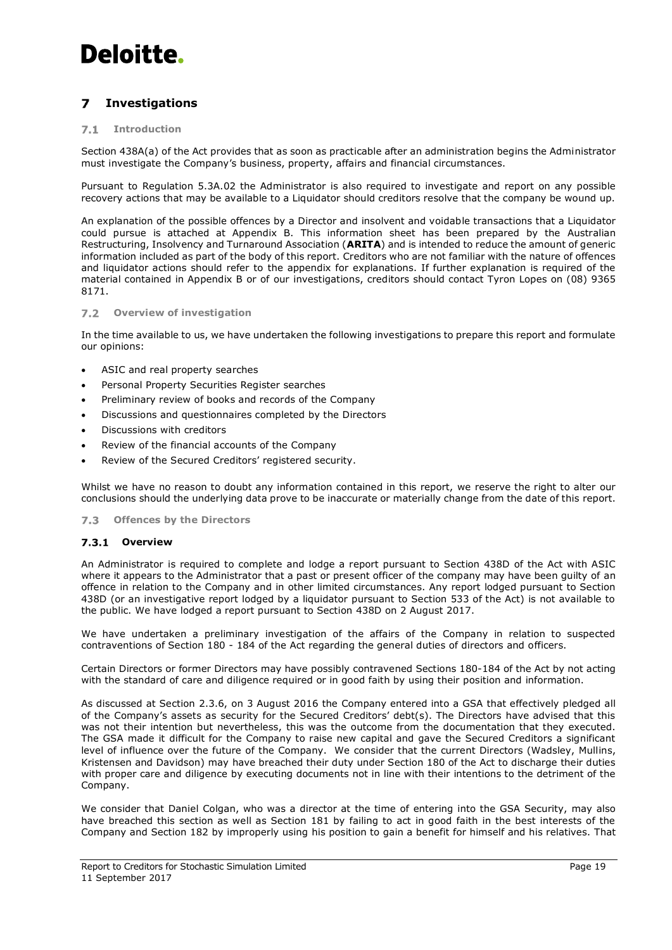#### <span id="page-21-0"></span>**Investigations**  $\overline{\mathbf{z}}$

#### $7.1$ **Introduction**

Section 438A(a) of the Act provides that as soon as practicable after an administration begins the Administrator must investigate the Company's business, property, affairs and financial circumstances.

Pursuant to Regulation 5.3A.02 the Administrator is also required to investigate and report on any possible recovery actions that may be available to a Liquidator should creditors resolve that the company be wound up.

An explanation of the possible offences by a Director and insolvent and voidable transactions that a Liquidator could pursue is attached at Appendix B. This information sheet has been prepared by the Australian Restructuring, Insolvency and Turnaround Association (**ARITA**) and is intended to reduce the amount of generic information included as part of the body of this report. Creditors who are not familiar with the nature of offences and liquidator actions should refer to the appendix for explanations. If further explanation is required of the material contained in Appendix B or of our investigations, creditors should contact Tyron Lopes on (08) 9365 8171.

## **Overview of investigation**

In the time available to us, we have undertaken the following investigations to prepare this report and formulate our opinions:

- ASIC and real property searches
- Personal Property Securities Register searches
- Preliminary review of books and records of the Company
- Discussions and questionnaires completed by the Directors
- Discussions with creditors
- Review of the financial accounts of the Company
- Review of the Secured Creditors' registered security.

Whilst we have no reason to doubt any information contained in this report, we reserve the right to alter our conclusions should the underlying data prove to be inaccurate or materially change from the date of this report.

#### $7.3$ **Offences by the Directors**

## <span id="page-21-1"></span>**Overview**

An Administrator is required to complete and lodge a report pursuant to Section 438D of the Act with ASIC where it appears to the Administrator that a past or present officer of the company may have been guilty of an offence in relation to the Company and in other limited circumstances. Any report lodged pursuant to Section 438D (or an investigative report lodged by a liquidator pursuant to Section 533 of the Act) is not available to the public. We have lodged a report pursuant to Section 438D on 2 August 2017.

We have undertaken a preliminary investigation of the affairs of the Company in relation to suspected contraventions of Section 180 - 184 of the Act regarding the general duties of directors and officers.

Certain Directors or former Directors may have possibly contravened Sections 180-184 of the Act by not acting with the standard of care and diligence required or in good faith by using their position and information.

As discussed at Section 2.3.6, on 3 August 2016 the Company entered into a GSA that effectively pledged all of the Company's assets as security for the Secured Creditors' debt(s). The Directors have advised that this was not their intention but nevertheless, this was the outcome from the documentation that they executed. The GSA made it difficult for the Company to raise new capital and gave the Secured Creditors a significant level of influence over the future of the Company. We consider that the current Directors (Wadsley, Mullins, Kristensen and Davidson) may have breached their duty under Section 180 of the Act to discharge their duties with proper care and diligence by executing documents not in line with their intentions to the detriment of the Company.

We consider that Daniel Colgan, who was a director at the time of entering into the GSA Security, may also have breached this section as well as Section 181 by failing to act in good faith in the best interests of the Company and Section 182 by improperly using his position to gain a benefit for himself and his relatives. That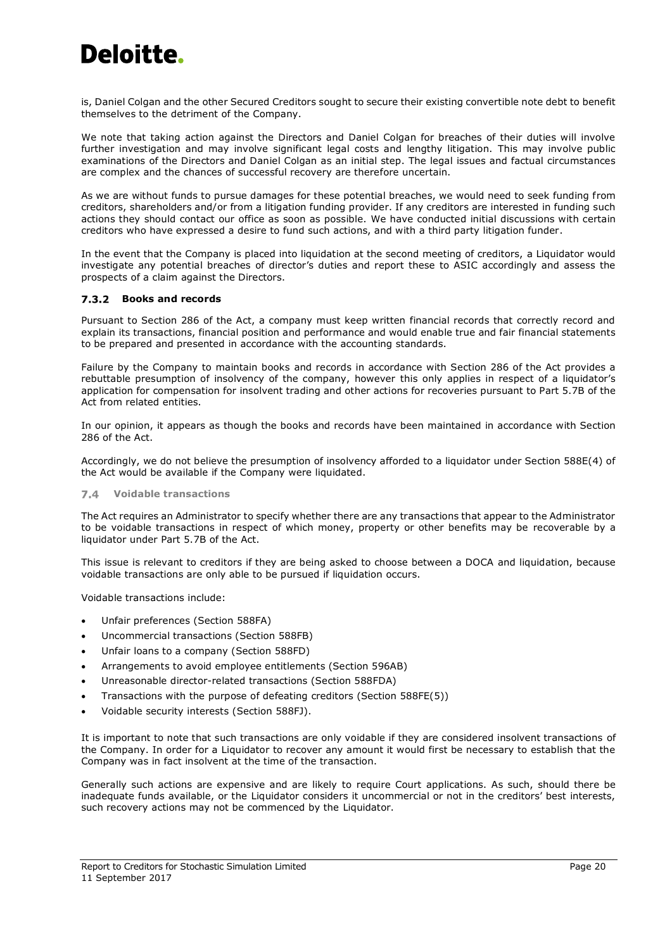is, Daniel Colgan and the other Secured Creditors sought to secure their existing convertible note debt to benefit themselves to the detriment of the Company.

We note that taking action against the Directors and Daniel Colgan for breaches of their duties will involve further investigation and may involve significant legal costs and lengthy litigation. This may involve public examinations of the Directors and Daniel Colgan as an initial step. The legal issues and factual circumstances are complex and the chances of successful recovery are therefore uncertain.

As we are without funds to pursue damages for these potential breaches, we would need to seek funding from creditors, shareholders and/or from a litigation funding provider. If any creditors are interested in funding such actions they should contact our office as soon as possible. We have conducted initial discussions with certain creditors who have expressed a desire to fund such actions, and with a third party litigation funder.

In the event that the Company is placed into liquidation at the second meeting of creditors, a Liquidator would investigate any potential breaches of director's duties and report these to ASIC accordingly and assess the prospects of a claim against the Directors.

## **Books and records**

Pursuant to Section 286 of the Act, a company must keep written financial records that correctly record and explain its transactions, financial position and performance and would enable true and fair financial statements to be prepared and presented in accordance with the accounting standards.

Failure by the Company to maintain books and records in accordance with Section 286 of the Act provides a rebuttable presumption of insolvency of the company, however this only applies in respect of a liquidator's application for compensation for insolvent trading and other actions for recoveries pursuant to Part 5.7B of the Act from related entities.

In our opinion, it appears as though the books and records have been maintained in accordance with Section 286 of the Act.

Accordingly, we do not believe the presumption of insolvency afforded to a liquidator under Section 588E(4) of the Act would be available if the Company were liquidated.

#### <span id="page-22-0"></span>**Voidable transactions**  $7.4$

The Act requires an Administrator to specify whether there are any transactions that appear to the Administrator to be voidable transactions in respect of which money, property or other benefits may be recoverable by a liquidator under Part 5.7B of the Act.

This issue is relevant to creditors if they are being asked to choose between a DOCA and liquidation, because voidable transactions are only able to be pursued if liquidation occurs.

Voidable transactions include:

- Unfair preferences (Section 588FA)
- Uncommercial transactions (Section 588FB)
- Unfair loans to a company (Section 588FD)
- Arrangements to avoid employee entitlements (Section 596AB)
- Unreasonable director-related transactions (Section 588FDA)
- Transactions with the purpose of defeating creditors (Section 588FE(5))
- Voidable security interests (Section 588FJ).

It is important to note that such transactions are only voidable if they are considered insolvent transactions of the Company. In order for a Liquidator to recover any amount it would first be necessary to establish that the Company was in fact insolvent at the time of the transaction.

Generally such actions are expensive and are likely to require Court applications. As such, should there be inadequate funds available, or the Liquidator considers it uncommercial or not in the creditors' best interests, such recovery actions may not be commenced by the Liquidator.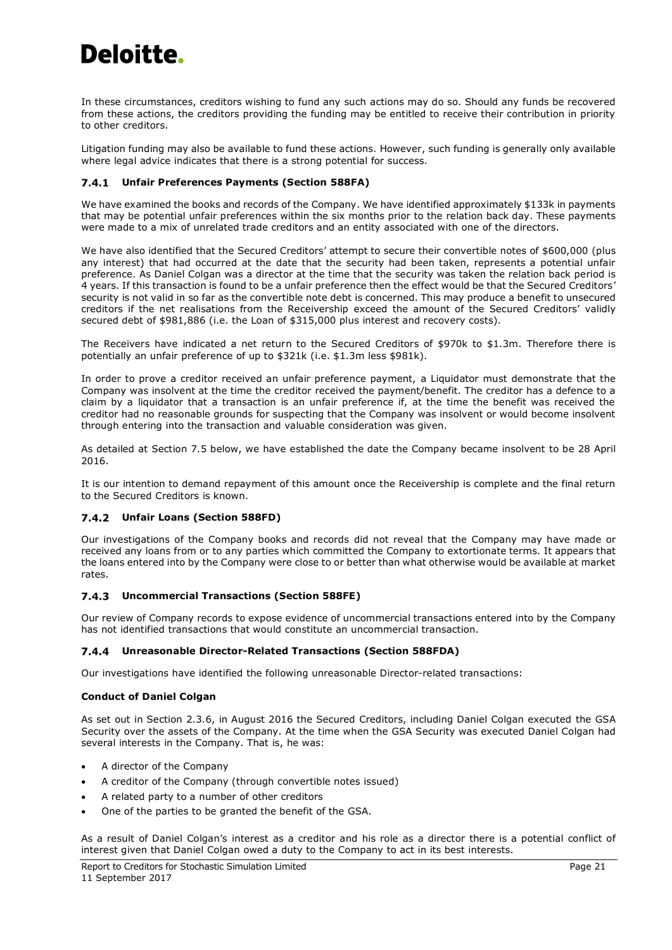In these circumstances, creditors wishing to fund any such actions may do so. Should any funds be recovered from these actions, the creditors providing the funding may be entitled to receive their contribution in priority to other creditors.

Litigation funding may also be available to fund these actions. However, such funding is generally only available where legal advice indicates that there is a strong potential for success.

## <span id="page-23-0"></span>**Unfair Preferences Payments (Section 588FA)**

We have examined the books and records of the Company. We have identified approximately \$133k in payments that may be potential unfair preferences within the six months prior to the relation back day. These payments were made to a mix of unrelated trade creditors and an entity associated with one of the directors.

We have also identified that the Secured Creditors' attempt to secure their convertible notes of \$600,000 (plus any interest) that had occurred at the date that the security had been taken, represents a potential unfair preference. As Daniel Colgan was a director at the time that the security was taken the relation back period is 4 years. If this transaction is found to be a unfair preference then the effect would be that the Secured Creditors' security is not valid in so far as the convertible note debt is concerned. This may produce a benefit to unsecured creditors if the net realisations from the Receivership exceed the amount of the Secured Creditors' validly secured debt of \$981,886 (i.e. the Loan of \$315,000 plus interest and recovery costs).

The Receivers have indicated a net return to the Secured Creditors of \$970k to \$1.3m. Therefore there is potentially an unfair preference of up to \$321k (i.e. \$1.3m less \$981k).

In order to prove a creditor received an unfair preference payment, a Liquidator must demonstrate that the Company was insolvent at the time the creditor received the payment/benefit. The creditor has a defence to a claim by a liquidator that a transaction is an unfair preference if, at the time the benefit was received the creditor had no reasonable grounds for suspecting that the Company was insolvent or would become insolvent through entering into the transaction and valuable consideration was given.

As detailed at Section [7.5](#page-24-0) below, we have established the date the Company became insolvent to be 28 April 2016.

It is our intention to demand repayment of this amount once the Receivership is complete and the final return to the Secured Creditors is known.

## **Unfair Loans (Section 588FD)**

Our investigations of the Company books and records did not reveal that the Company may have made or received any loans from or to any parties which committed the Company to extortionate terms. It appears that the loans entered into by the Company were close to or better than what otherwise would be available at market rates.

## **Uncommercial Transactions (Section 588FE)**

Our review of Company records to expose evidence of uncommercial transactions entered into by the Company has not identified transactions that would constitute an uncommercial transaction.

## <span id="page-23-1"></span>**Unreasonable Director-Related Transactions (Section 588FDA)**

Our investigations have identified the following unreasonable Director-related transactions:

## **Conduct of Daniel Colgan**

As set out in Section 2.3.6, in August 2016 the Secured Creditors, including Daniel Colgan executed the GSA Security over the assets of the Company. At the time when the GSA Security was executed Daniel Colgan had several interests in the Company. That is, he was:

- A director of the Company
- A creditor of the Company (through convertible notes issued)
- A related party to a number of other creditors
- One of the parties to be granted the benefit of the GSA.

As a result of Daniel Colgan's interest as a creditor and his role as a director there is a potential conflict of interest given that Daniel Colgan owed a duty to the Company to act in its best interests.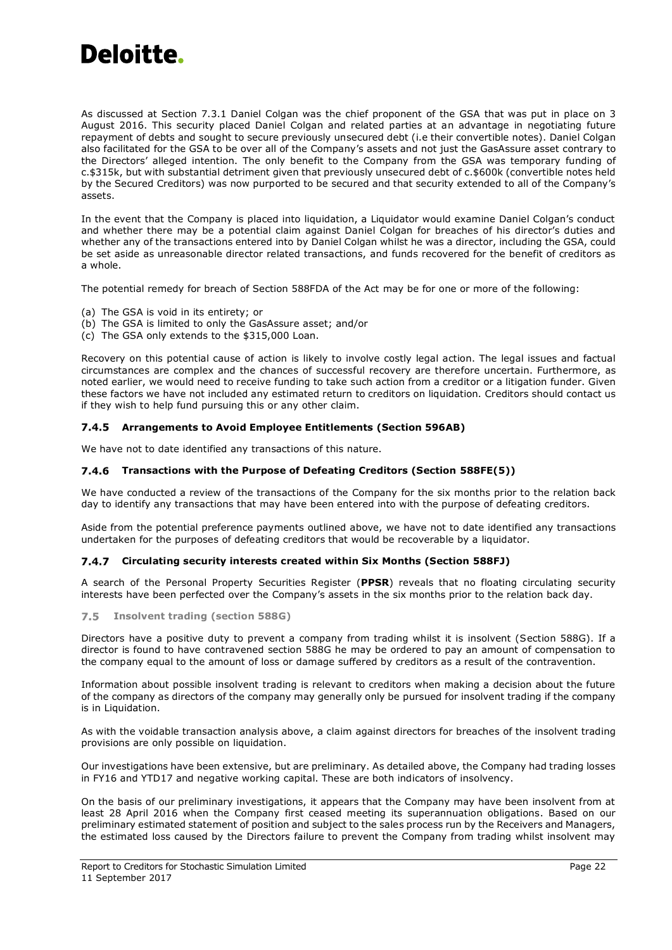

As discussed at Section [7.3.1](#page-21-1) Daniel Colgan was the chief proponent of the GSA that was put in place on 3 August 2016. This security placed Daniel Colgan and related parties at an advantage in negotiating future repayment of debts and sought to secure previously unsecured debt (i.e their convertible notes). Daniel Colgan also facilitated for the GSA to be over all of the Company's assets and not just the GasAssure asset contrary to the Directors' alleged intention. The only benefit to the Company from the GSA was temporary funding of c.\$315k, but with substantial detriment given that previously unsecured debt of c.\$600k (convertible notes held by the Secured Creditors) was now purported to be secured and that security extended to all of the Company's assets.

In the event that the Company is placed into liquidation, a Liquidator would examine Daniel Colgan's conduct and whether there may be a potential claim against Daniel Colgan for breaches of his director's duties and whether any of the transactions entered into by Daniel Colgan whilst he was a director, including the GSA, could be set aside as unreasonable director related transactions, and funds recovered for the benefit of creditors as a whole.

The potential remedy for breach of Section 588FDA of the Act may be for one or more of the following:

- (a) The GSA is void in its entirety; or
- (b) The GSA is limited to only the GasAssure asset; and/or
- (c) The GSA only extends to the \$315,000 Loan.

Recovery on this potential cause of action is likely to involve costly legal action. The legal issues and factual circumstances are complex and the chances of successful recovery are therefore uncertain. Furthermore, as noted earlier, we would need to receive funding to take such action from a creditor or a litigation funder. Given these factors we have not included any estimated return to creditors on liquidation. Creditors should contact us if they wish to help fund pursuing this or any other claim.

### **Arrangements to Avoid Employee Entitlements (Section 596AB)**

We have not to date identified any transactions of this nature.

### **Transactions with the Purpose of Defeating Creditors (Section 588FE(5))**

We have conducted a review of the transactions of the Company for the six months prior to the relation back day to identify any transactions that may have been entered into with the purpose of defeating creditors.

Aside from the potential preference payments outlined above, we have not to date identified any transactions undertaken for the purposes of defeating creditors that would be recoverable by a liquidator.

### **Circulating security interests created within Six Months (Section 588FJ)**

A search of the Personal Property Securities Register (**PPSR**) reveals that no floating circulating security interests have been perfected over the Company's assets in the six months prior to the relation back day.

### <span id="page-24-0"></span>**Insolvent trading (section 588G)**

Directors have a positive duty to prevent a company from trading whilst it is insolvent (Section 588G). If a director is found to have contravened section 588G he may be ordered to pay an amount of compensation to the company equal to the amount of loss or damage suffered by creditors as a result of the contravention.

Information about possible insolvent trading is relevant to creditors when making a decision about the future of the company as directors of the company may generally only be pursued for insolvent trading if the company is in Liquidation.

As with the voidable transaction analysis above, a claim against directors for breaches of the insolvent trading provisions are only possible on liquidation.

Our investigations have been extensive, but are preliminary. As detailed above, the Company had trading losses in FY16 and YTD17 and negative working capital. These are both indicators of insolvency.

On the basis of our preliminary investigations, it appears that the Company may have been insolvent from at least 28 April 2016 when the Company first ceased meeting its superannuation obligations. Based on our preliminary estimated statement of position and subject to the sales process run by the Receivers and Managers, the estimated loss caused by the Directors failure to prevent the Company from trading whilst insolvent may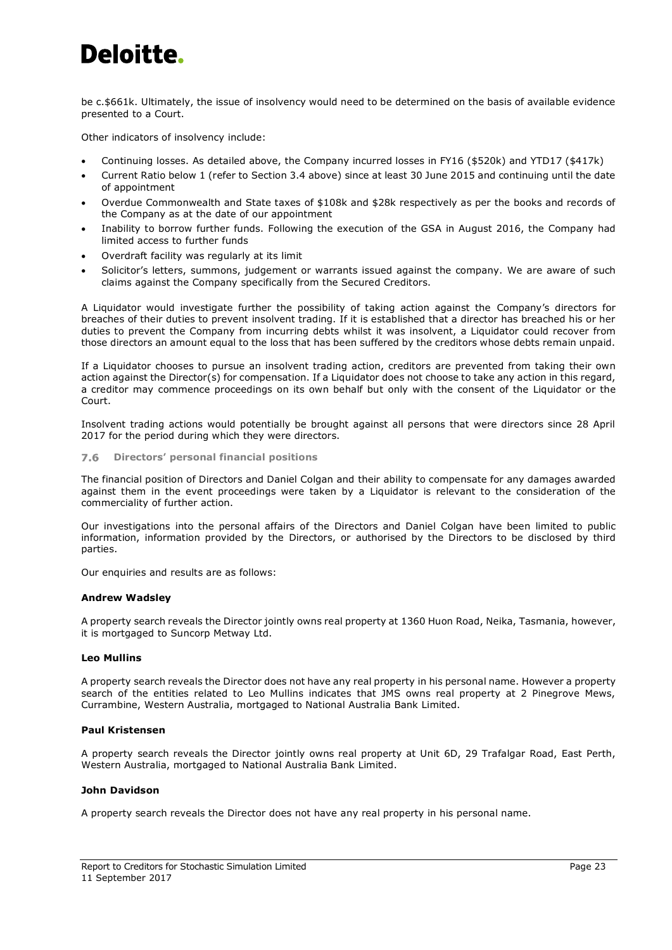be c.\$661k. Ultimately, the issue of insolvency would need to be determined on the basis of available evidence presented to a Court.

Other indicators of insolvency include:

- Continuing losses. As detailed above, the Company incurred losses in FY16 (\$520k) and YTD17 (\$417k)
- Current Ratio below 1 (refer to Section [3.4](#page-14-0) above) since at least 30 June 2015 and continuing until the date of appointment
- Overdue Commonwealth and State taxes of \$108k and \$28k respectively as per the books and records of the Company as at the date of our appointment
- Inability to borrow further funds. Following the execution of the GSA in August 2016, the Company had limited access to further funds
- Overdraft facility was regularly at its limit
- Solicitor's letters, summons, judgement or warrants issued against the company. We are aware of such claims against the Company specifically from the Secured Creditors.

A Liquidator would investigate further the possibility of taking action against the Company's directors for breaches of their duties to prevent insolvent trading. If it is established that a director has breached his or her duties to prevent the Company from incurring debts whilst it was insolvent, a Liquidator could recover from those directors an amount equal to the loss that has been suffered by the creditors whose debts remain unpaid.

If a Liquidator chooses to pursue an insolvent trading action, creditors are prevented from taking their own action against the Director(s) for compensation. If a Liquidator does not choose to take any action in this regard, a creditor may commence proceedings on its own behalf but only with the consent of the Liquidator or the Court.

Insolvent trading actions would potentially be brought against all persons that were directors since 28 April 2017 for the period during which they were directors.

#### $7.6$ **Directors' personal financial positions**

The financial position of Directors and Daniel Colgan and their ability to compensate for any damages awarded against them in the event proceedings were taken by a Liquidator is relevant to the consideration of the commerciality of further action.

Our investigations into the personal affairs of the Directors and Daniel Colgan have been limited to public information, information provided by the Directors, or authorised by the Directors to be disclosed by third parties.

Our enquiries and results are as follows:

## **Andrew Wadsley**

A property search reveals the Director jointly owns real property at 1360 Huon Road, Neika, Tasmania, however, it is mortgaged to Suncorp Metway Ltd.

### **Leo Mullins**

A property search reveals the Director does not have any real property in his personal name. However a property search of the entities related to Leo Mullins indicates that JMS owns real property at 2 Pinegrove Mews, Currambine, Western Australia, mortgaged to National Australia Bank Limited.

### **Paul Kristensen**

A property search reveals the Director jointly owns real property at Unit 6D, 29 Trafalgar Road, East Perth, Western Australia, mortgaged to National Australia Bank Limited.

## **John Davidson**

A property search reveals the Director does not have any real property in his personal name.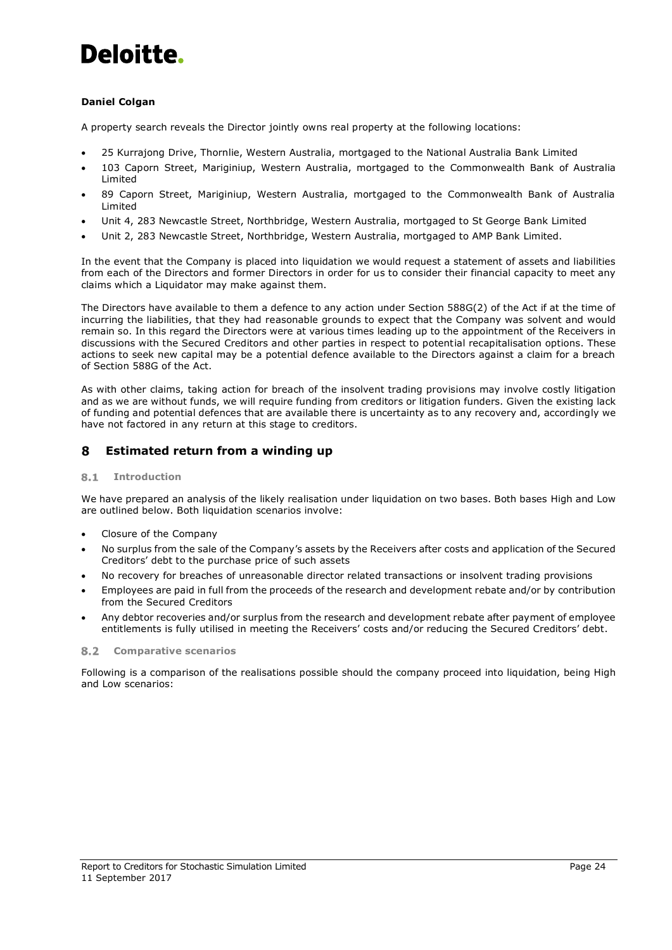## **Daniel Colgan**

A property search reveals the Director jointly owns real property at the following locations:

- 25 Kurrajong Drive, Thornlie, Western Australia, mortgaged to the National Australia Bank Limited
- 103 Caporn Street, Mariginiup, Western Australia, mortgaged to the Commonwealth Bank of Australia Limited
- 89 Caporn Street, Mariginiup, Western Australia, mortgaged to the Commonwealth Bank of Australia **Limited**
- Unit 4, 283 Newcastle Street, Northbridge, Western Australia, mortgaged to St George Bank Limited
- Unit 2, 283 Newcastle Street, Northbridge, Western Australia, mortgaged to AMP Bank Limited.

In the event that the Company is placed into liquidation we would request a statement of assets and liabilities from each of the Directors and former Directors in order for us to consider their financial capacity to meet any claims which a Liquidator may make against them.

The Directors have available to them a defence to any action under Section 588G(2) of the Act if at the time of incurring the liabilities, that they had reasonable grounds to expect that the Company was solvent and would remain so. In this regard the Directors were at various times leading up to the appointment of the Receivers in discussions with the Secured Creditors and other parties in respect to potential recapitalisation options. These actions to seek new capital may be a potential defence available to the Directors against a claim for a breach of Section 588G of the Act.

As with other claims, taking action for breach of the insolvent trading provisions may involve costly litigation and as we are without funds, we will require funding from creditors or litigation funders. Given the existing lack of funding and potential defences that are available there is uncertainty as to any recovery and, accordingly we have not factored in any return at this stage to creditors.

#### <span id="page-26-0"></span>8 **Estimated return from a winding up**

#### $8.1$ **Introduction**

We have prepared an analysis of the likely realisation under liquidation on two bases. Both bases High and Low are outlined below. Both liquidation scenarios involve:

- Closure of the Company
- No surplus from the sale of the Company's assets by the Receivers after costs and application of the Secured Creditors' debt to the purchase price of such assets
- No recovery for breaches of unreasonable director related transactions or insolvent trading provisions
- Employees are paid in full from the proceeds of the research and development rebate and/or by contribution from the Secured Creditors
- Any debtor recoveries and/or surplus from the research and development rebate after payment of employee entitlements is fully utilised in meeting the Receivers' costs and/or reducing the Secured Creditors' debt.

### **Comparative scenarios**

Following is a comparison of the realisations possible should the company proceed into liquidation, being High and Low scenarios: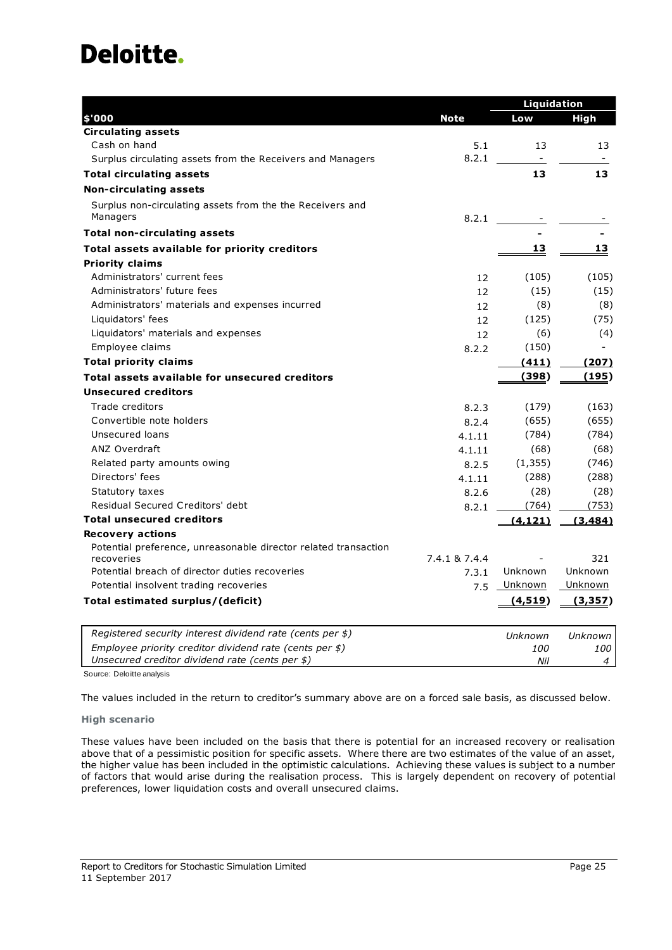|                                                                 |               | Liquidation    |          |
|-----------------------------------------------------------------|---------------|----------------|----------|
| \$'000                                                          | <b>Note</b>   | Low            | High     |
| <b>Circulating assets</b>                                       |               |                |          |
| Cash on hand                                                    | 5.1           | 13             | 13       |
| Surplus circulating assets from the Receivers and Managers      | 8.2.1         | $\blacksquare$ |          |
| <b>Total circulating assets</b>                                 |               | 13             | 13       |
| <b>Non-circulating assets</b>                                   |               |                |          |
| Surplus non-circulating assets from the the Receivers and       |               |                |          |
| Managers                                                        | 8.2.1         |                |          |
| <b>Total non-circulating assets</b>                             |               |                |          |
| Total assets available for priority creditors                   |               | 13             | 13       |
| <b>Priority claims</b>                                          |               |                |          |
| Administrators' current fees                                    | 12            | (105)          | (105)    |
| Administrators' future fees                                     | 12            | (15)           | (15)     |
| Administrators' materials and expenses incurred                 | 12            | (8)            | (8)      |
| Liquidators' fees                                               | 12            | (125)          | (75)     |
| Liquidators' materials and expenses                             | 12            | (6)            | (4)      |
| Employee claims                                                 | 8.2.2         | (150)          |          |
| <b>Total priority claims</b>                                    |               | (411)          | (207)    |
| Total assets available for unsecured creditors                  |               | (398)          | (195)    |
| <b>Unsecured creditors</b>                                      |               |                |          |
| Trade creditors                                                 | 8.2.3         | (179)          | (163)    |
| Convertible note holders                                        | 8.2.4         | (655)          | (655)    |
| Unsecured loans                                                 | 4.1.11        | (784)          | (784)    |
| <b>ANZ Overdraft</b>                                            | 4.1.11        | (68)           | (68)     |
| Related party amounts owing                                     | 8.2.5         | (1, 355)       | (746)    |
| Directors' fees                                                 | 4.1.11        | (288)          | (288)    |
| Statutory taxes                                                 | 8.2.6         | (28)           | (28)     |
| Residual Secured Creditors' debt                                | 8.2.1         | (764)          | (753)    |
| <b>Total unsecured creditors</b>                                |               | (4, 121)       | (3, 484) |
| <b>Recovery actions</b>                                         |               |                |          |
| Potential preference, unreasonable director related transaction |               |                |          |
| recoveries                                                      | 7.4.1 & 7.4.4 |                | 321      |
| Potential breach of director duties recoveries                  | 7.3.1         | Unknown        | Unknown  |
| Potential insolvent trading recoveries                          | 7.5           | Unknown        | Unknown  |
| Total estimated surplus/(deficit)                               |               | (4,519)        | (3,357)  |
| Registered security interest dividend rate (cents per \$)       |               | Unknown        | Unknown  |
| Employee priority creditor dividend rate (cents per $$$ )       |               | 100            | 100      |
| Unsecured creditor dividend rate (cents per \$)                 |               | Nil            | 4        |

Source: Deloitte analysis

The values included in the return to creditor's summary above are on a forced sale basis, as discussed below.

## **High scenario**

These values have been included on the basis that there is potential for an increased recovery or realisation above that of a pessimistic position for specific assets. Where there are two estimates of the value of an asset, the higher value has been included in the optimistic calculations. Achieving these values is subject to a number of factors that would arise during the realisation process. This is largely dependent on recovery of potential preferences, lower liquidation costs and overall unsecured claims.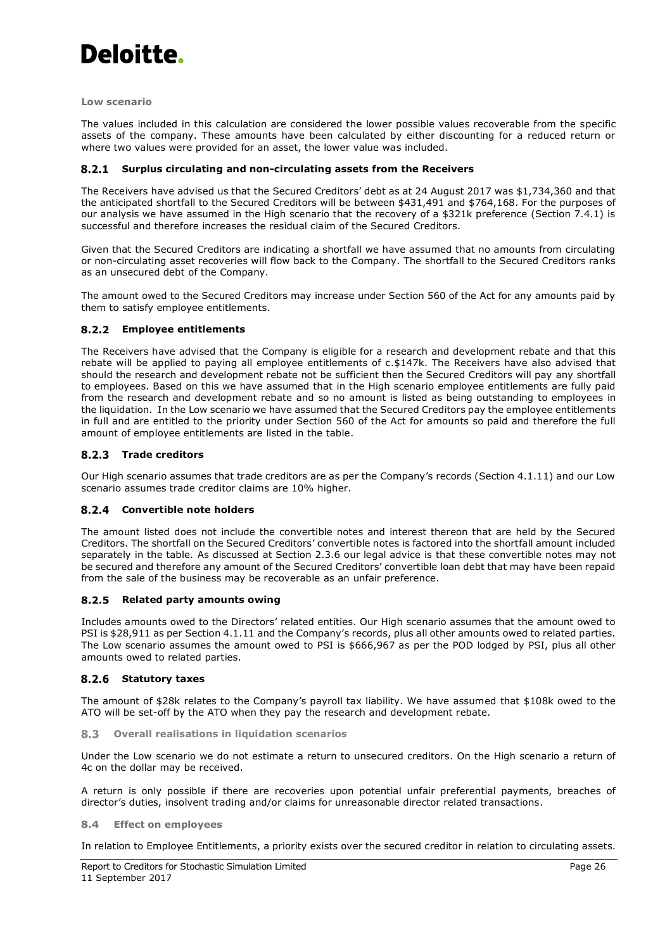

### **Low scenario**

The values included in this calculation are considered the lower possible values recoverable from the specific assets of the company. These amounts have been calculated by either discounting for a reduced return or where two values were provided for an asset, the lower value was included.

## **Surplus circulating and non-circulating assets from the Receivers**

The Receivers have advised us that the Secured Creditors' debt as at 24 August 2017 was \$1,734,360 and that the anticipated shortfall to the Secured Creditors will be between \$431,491 and \$764,168. For the purposes of our analysis we have assumed in the High scenario that the recovery of a \$321k preference (Section 7.4.1) is successful and therefore increases the residual claim of the Secured Creditors.

Given that the Secured Creditors are indicating a shortfall we have assumed that no amounts from circulating or non-circulating asset recoveries will flow back to the Company. The shortfall to the Secured Creditors ranks as an unsecured debt of the Company.

The amount owed to the Secured Creditors may increase under Section 560 of the Act for any amounts paid by them to satisfy employee entitlements.

## **Employee entitlements**

The Receivers have advised that the Company is eligible for a research and development rebate and that this rebate will be applied to paying all employee entitlements of c.\$147k. The Receivers have also advised that should the research and development rebate not be sufficient then the Secured Creditors will pay any shortfall to employees. Based on this we have assumed that in the High scenario employee entitlements are fully paid from the research and development rebate and so no amount is listed as being outstanding to employees in the liquidation. In the Low scenario we have assumed that the Secured Creditors pay the employee entitlements in full and are entitled to the priority under Section 560 of the Act for amounts so paid and therefore the full amount of employee entitlements are listed in the table.

## 8.2.3 Trade creditors

Our High scenario assumes that trade creditors are as per the Company's records (Section 4.1.11) and our Low scenario assumes trade creditor claims are 10% higher.

### **Convertible note holders**

The amount listed does not include the convertible notes and interest thereon that are held by the Secured Creditors. The shortfall on the Secured Creditors' convertible notes is factored into the shortfall amount included separately in the table. As discussed at Section 2.3.6 our legal advice is that these convertible notes may not be secured and therefore any amount of the Secured Creditors' convertible loan debt that may have been repaid from the sale of the business may be recoverable as an unfair preference.

## **Related party amounts owing**

Includes amounts owed to the Directors' related entities. Our High scenario assumes that the amount owed to PSI is \$28,911 as per Section 4.1.11 and the Company's records, plus all other amounts owed to related parties. The Low scenario assumes the amount owed to PSI is \$666,967 as per the POD lodged by PSI, plus all other amounts owed to related parties.

### **Statutory taxes**

The amount of \$28k relates to the Company's payroll tax liability. We have assumed that \$108k owed to the ATO will be set-off by the ATO when they pay the research and development rebate.

#### 8.3 **Overall realisations in liquidation scenarios**

Under the Low scenario we do not estimate a return to unsecured creditors. On the High scenario a return of 4c on the dollar may be received.

A return is only possible if there are recoveries upon potential unfair preferential payments, breaches of director's duties, insolvent trading and/or claims for unreasonable director related transactions.

#### 8.4 **Effect on employees**

In relation to Employee Entitlements, a priority exists over the secured creditor in relation to circulating assets.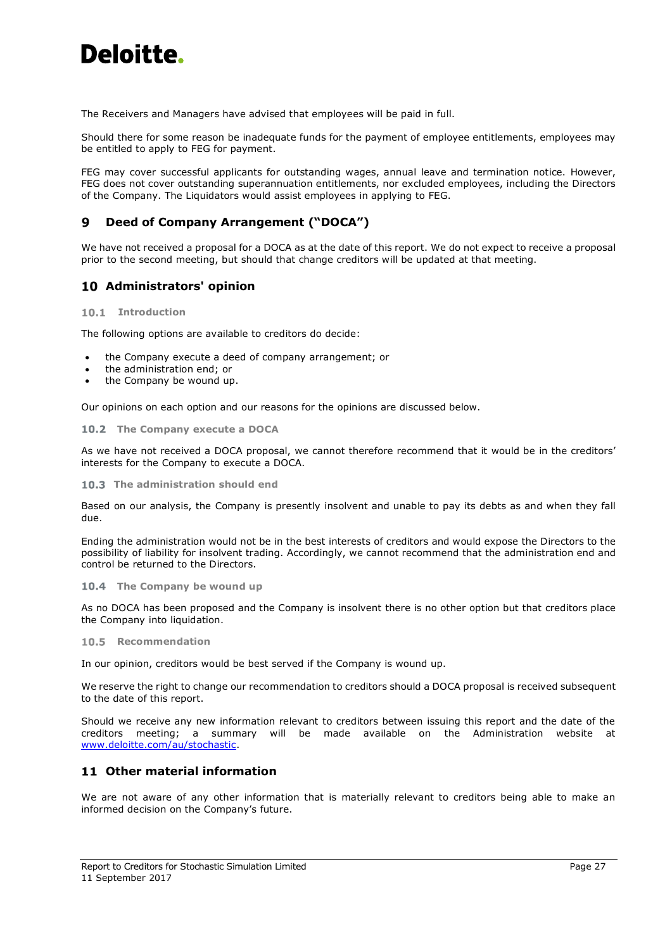The Receivers and Managers have advised that employees will be paid in full.

Should there for some reason be inadequate funds for the payment of employee entitlements, employees may be entitled to apply to FEG for payment.

FEG may cover successful applicants for outstanding wages, annual leave and termination notice. However, FEG does not cover outstanding superannuation entitlements, nor excluded employees, including the Directors of the Company. The Liquidators would assist employees in applying to FEG.

#### <span id="page-29-0"></span>**Deed of Company Arrangement ("DOCA")** 9

We have not received a proposal for a DOCA as at the date of this report. We do not expect to receive a proposal prior to the second meeting, but should that change creditors will be updated at that meeting.

## <span id="page-29-1"></span>**Administrators' opinion**

### **Introduction**

The following options are available to creditors do decide:

- the Company execute a deed of company arrangement; or
- the administration end; or
- the Company be wound up.

Our opinions on each option and our reasons for the opinions are discussed below.

## **The Company execute a DOCA**

As we have not received a DOCA proposal, we cannot therefore recommend that it would be in the creditors' interests for the Company to execute a DOCA.

### **The administration should end**

Based on our analysis, the Company is presently insolvent and unable to pay its debts as and when they fall due.

Ending the administration would not be in the best interests of creditors and would expose the Directors to the possibility of liability for insolvent trading. Accordingly, we cannot recommend that the administration end and control be returned to the Directors.

### 10.4 The Company be wound up

As no DOCA has been proposed and the Company is insolvent there is no other option but that creditors place the Company into liquidation.

### 10.5 Recommendation

In our opinion, creditors would be best served if the Company is wound up.

We reserve the right to change our recommendation to creditors should a DOCA proposal is received subsequent to the date of this report.

Should we receive any new information relevant to creditors between issuing this report and the date of the creditors meeting; a summary will be made available on the Administration website at [www.deloitte.com/au/stochastic.](https://www.stochasticsimulation.com/)

## <span id="page-29-2"></span>**Other material information**

We are not aware of any other information that is materially relevant to creditors being able to make an informed decision on the Company's future.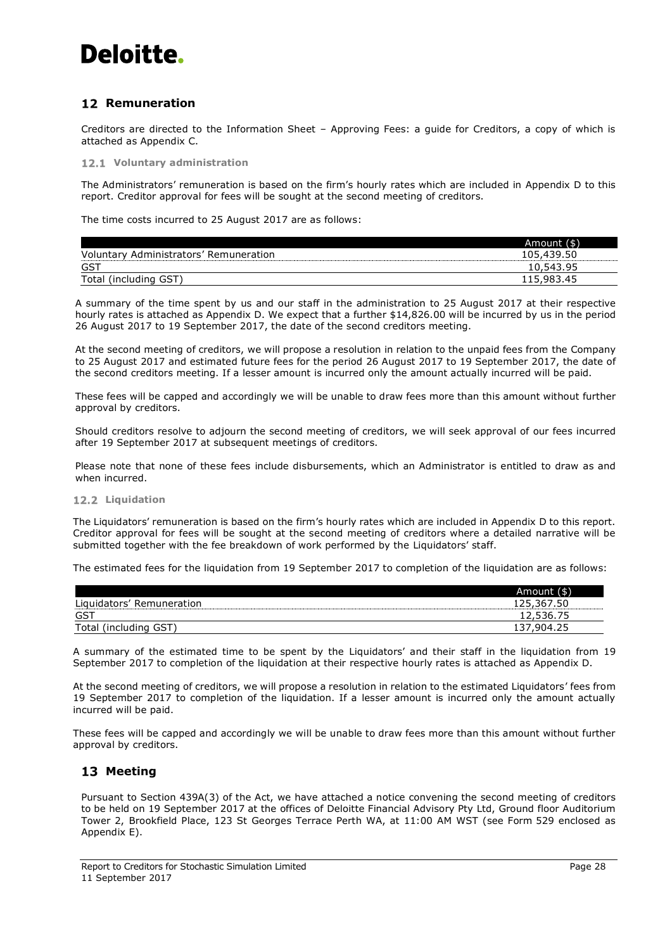## <span id="page-30-0"></span>**12 Remuneration**

Creditors are directed to the Information Sheet – Approving Fees: a guide for Creditors, a copy of which is attached as Appendix C.

**Voluntary administration** 

The Administrators' remuneration is based on the firm's hourly rates which are included in Appendix D to this report. Creditor approval for fees will be sought at the second meeting of creditors.

The time costs incurred to 25 August 2017 are as follows:

|                                        | Amount (\$) |
|----------------------------------------|-------------|
| Voluntary Administrators' Remuneration | 105,439.50  |
| GST                                    | 10,543.95   |
| Total (including GST)                  | 115,983.45  |

A summary of the time spent by us and our staff in the administration to 25 August 2017 at their respective hourly rates is attached as Appendix D. We expect that a further \$14,826.00 will be incurred by us in the period 26 August 2017 to 19 September 2017, the date of the second creditors meeting.

At the second meeting of creditors, we will propose a resolution in relation to the unpaid fees from the Company to 25 August 2017 and estimated future fees for the period 26 August 2017 to 19 September 2017, the date of the second creditors meeting. If a lesser amount is incurred only the amount actually incurred will be paid.

These fees will be capped and accordingly we will be unable to draw fees more than this amount without further approval by creditors.

Should creditors resolve to adjourn the second meeting of creditors, we will seek approval of our fees incurred after 19 September 2017 at subsequent meetings of creditors.

Please note that none of these fees include disbursements, which an Administrator is entitled to draw as and when incurred.

### **Liquidation**

The Liquidators' remuneration is based on the firm's hourly rates which are included in Appendix D to this report. Creditor approval for fees will be sought at the second meeting of creditors where a detailed narrative will be submitted together with the fee breakdown of work performed by the Liquidators' staff.

The estimated fees for the liquidation from 19 September 2017 to completion of the liquidation are as follows:

|                           | Amount (\$) |
|---------------------------|-------------|
| Liquidators' Remuneration | 125,367.50  |
| GST                       | 12,536.75   |
| (including GST)<br>Tota   | $-904.2$    |

A summary of the estimated time to be spent by the Liquidators' and their staff in the liquidation from 19 September 2017 to completion of the liquidation at their respective hourly rates is attached as Appendix D.

At the second meeting of creditors, we will propose a resolution in relation to the estimated Liquidators' fees from 19 September 2017 to completion of the liquidation. If a lesser amount is incurred only the amount actually incurred will be paid.

These fees will be capped and accordingly we will be unable to draw fees more than this amount without further approval by creditors.

## <span id="page-30-1"></span>13 Meeting

Pursuant to Section 439A(3) of the Act, we have attached a notice convening the second meeting of creditors to be held on 19 September 2017 at the offices of Deloitte Financial Advisory Pty Ltd, Ground floor Auditorium Tower 2, Brookfield Place, 123 St Georges Terrace Perth WA, at 11:00 AM WST (see Form 529 enclosed as Appendix E).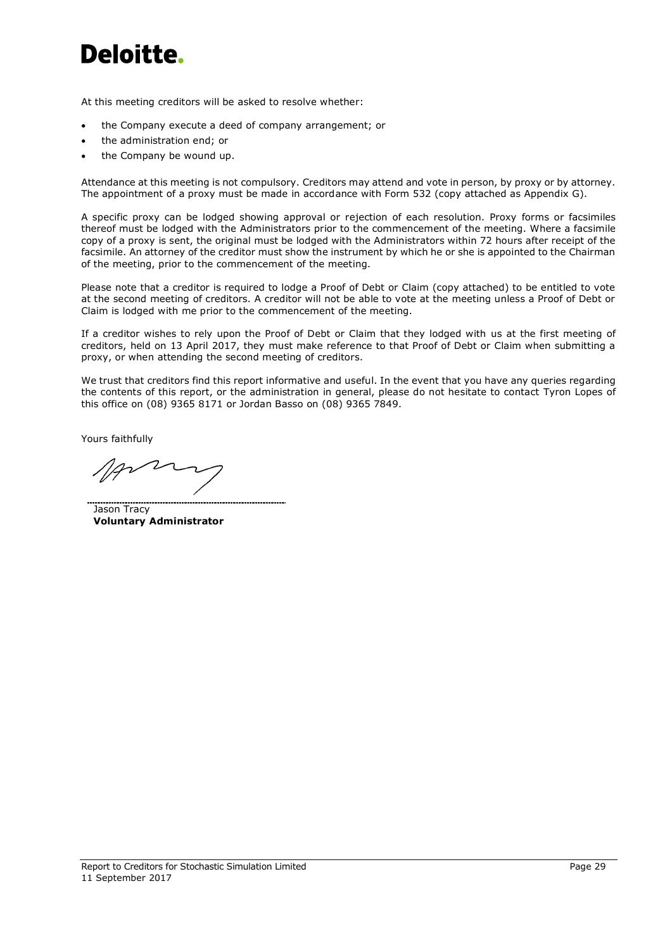At this meeting creditors will be asked to resolve whether:

- the Company execute a deed of company arrangement; or
- the administration end; or
- the Company be wound up.

Attendance at this meeting is not compulsory. Creditors may attend and vote in person, by proxy or by attorney. The appointment of a proxy must be made in accordance with Form 532 (copy attached as Appendix G).

A specific proxy can be lodged showing approval or rejection of each resolution. Proxy forms or facsimiles thereof must be lodged with the Administrators prior to the commencement of the meeting. Where a facsimile copy of a proxy is sent, the original must be lodged with the Administrators within 72 hours after receipt of the facsimile. An attorney of the creditor must show the instrument by which he or she is appointed to the Chairman of the meeting, prior to the commencement of the meeting.

Please note that a creditor is required to lodge a Proof of Debt or Claim (copy attached) to be entitled to vote at the second meeting of creditors. A creditor will not be able to vote at the meeting unless a Proof of Debt or Claim is lodged with me prior to the commencement of the meeting.

If a creditor wishes to rely upon the Proof of Debt or Claim that they lodged with us at the first meeting of creditors, held on 13 April 2017, they must make reference to that Proof of Debt or Claim when submitting a proxy, or when attending the second meeting of creditors.

We trust that creditors find this report informative and useful. In the event that you have any queries regarding the contents of this report, or the administration in general, please do not hesitate to contact Tyron Lopes of this office on (08) 9365 8171 or Jordan Basso on (08) 9365 7849.

Yours faithfully

 $2$ 

Jason Tracy **Voluntary Administrator**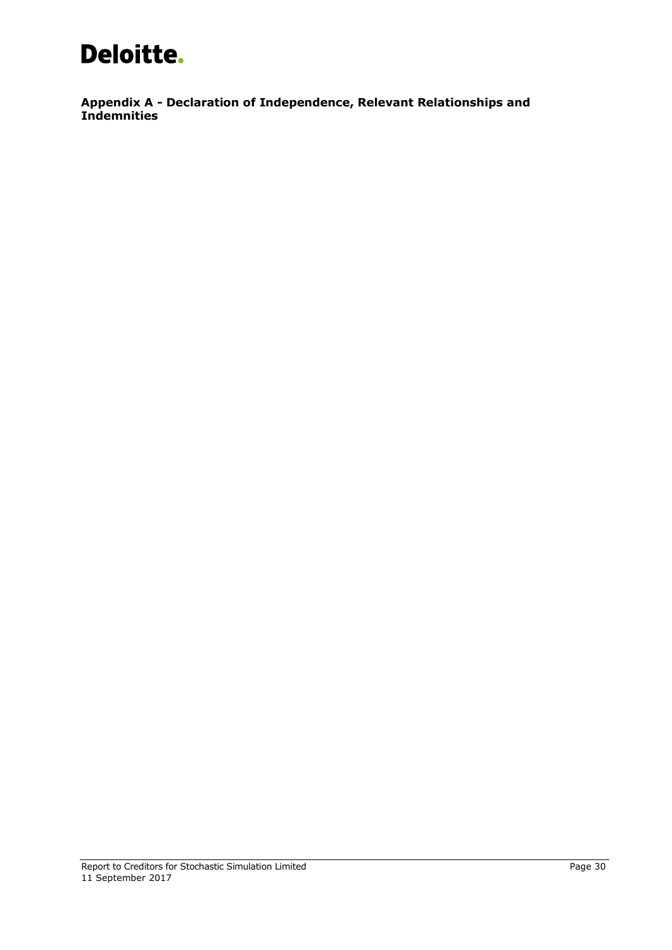<span id="page-32-0"></span>**Appendix A - Declaration of Independence, Relevant Relationships and Indemnities**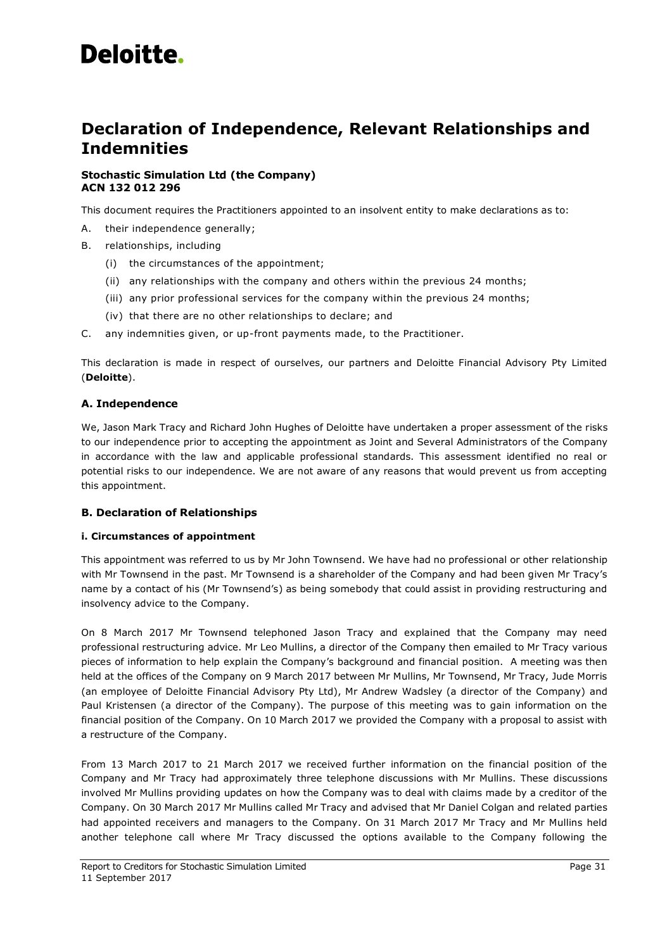## **Declaration of Independence, Relevant Relationships and Indemnities**

## **Stochastic Simulation Ltd (the Company) ACN 132 012 296**

This document requires the Practitioners appointed to an insolvent entity to make declarations as to:

- A. their independence generally;
- B. relationships, including
	- (i) the circumstances of the appointment;
	- (ii) any relationships with the company and others within the previous 24 months;
	- (iii) any prior professional services for the company within the previous 24 months;
	- (iv) that there are no other relationships to declare; and
- C. any indemnities given, or up-front payments made, to the Practitioner.

This declaration is made in respect of ourselves, our partners and Deloitte Financial Advisory Pty Limited (**Deloitte**).

## **A. Independence**

We, Jason Mark Tracy and Richard John Hughes of Deloitte have undertaken a proper assessment of the risks to our independence prior to accepting the appointment as Joint and Several Administrators of the Company in accordance with the law and applicable professional standards. This assessment identified no real or potential risks to our independence. We are not aware of any reasons that would prevent us from accepting this appointment.

## **B. Declaration of Relationships**

### **i. Circumstances of appointment**

This appointment was referred to us by Mr John Townsend. We have had no professional or other relationship with Mr Townsend in the past. Mr Townsend is a shareholder of the Company and had been given Mr Tracy's name by a contact of his (Mr Townsend's) as being somebody that could assist in providing restructuring and insolvency advice to the Company.

On 8 March 2017 Mr Townsend telephoned Jason Tracy and explained that the Company may need professional restructuring advice. Mr Leo Mullins, a director of the Company then emailed to Mr Tracy various pieces of information to help explain the Company's background and financial position. A meeting was then held at the offices of the Company on 9 March 2017 between Mr Mullins, Mr Townsend, Mr Tracy, Jude Morris (an employee of Deloitte Financial Advisory Pty Ltd), Mr Andrew Wadsley (a director of the Company) and Paul Kristensen (a director of the Company). The purpose of this meeting was to gain information on the financial position of the Company. On 10 March 2017 we provided the Company with a proposal to assist with a restructure of the Company.

From 13 March 2017 to 21 March 2017 we received further information on the financial position of the Company and Mr Tracy had approximately three telephone discussions with Mr Mullins. These discussions involved Mr Mullins providing updates on how the Company was to deal with claims made by a creditor of the Company. On 30 March 2017 Mr Mullins called Mr Tracy and advised that Mr Daniel Colgan and related parties had appointed receivers and managers to the Company. On 31 March 2017 Mr Tracy and Mr Mullins held another telephone call where Mr Tracy discussed the options available to the Company following the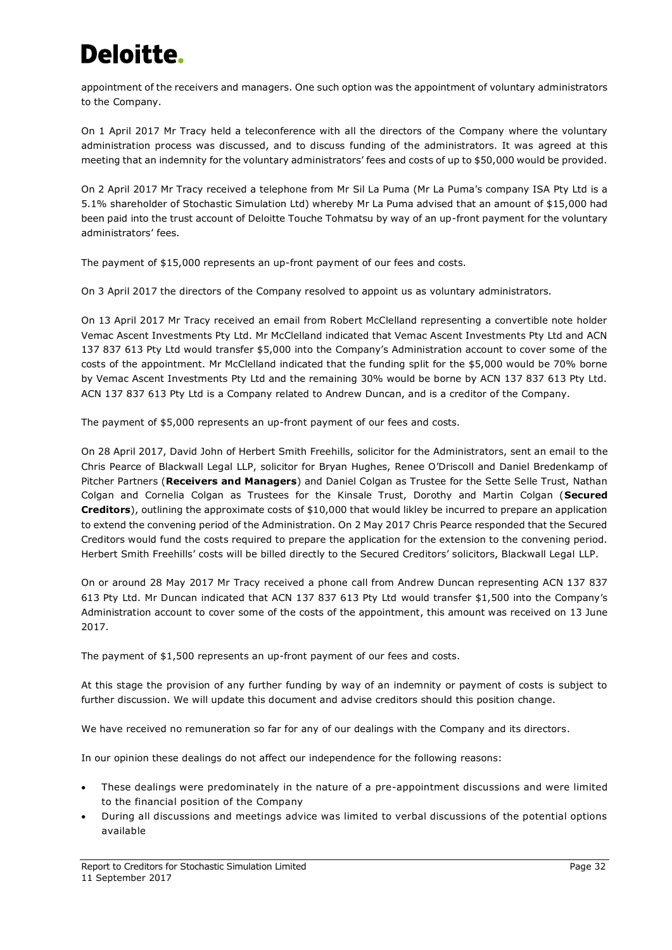appointment of the receivers and managers. One such option was the appointment of voluntary administrators to the Company.

On 1 April 2017 Mr Tracy held a teleconference with all the directors of the Company where the voluntary administration process was discussed, and to discuss funding of the administrators. It was agreed at this meeting that an indemnity for the voluntary administrators' fees and costs of up to \$50,000 would be provided.

On 2 April 2017 Mr Tracy received a telephone from Mr Sil La Puma (Mr La Puma's company ISA Pty Ltd is a 5.1% shareholder of Stochastic Simulation Ltd) whereby Mr La Puma advised that an amount of \$15,000 had been paid into the trust account of Deloitte Touche Tohmatsu by way of an up-front payment for the voluntary administrators' fees.

The payment of \$15,000 represents an up-front payment of our fees and costs.

On 3 April 2017 the directors of the Company resolved to appoint us as voluntary administrators.

On 13 April 2017 Mr Tracy received an email from Robert McClelland representing a convertible note holder Vemac Ascent Investments Pty Ltd. Mr McClelland indicated that Vemac Ascent Investments Pty Ltd and ACN 137 837 613 Pty Ltd would transfer \$5,000 into the Company's Administration account to cover some of the costs of the appointment. Mr McClelland indicated that the funding split for the \$5,000 would be 70% borne by Vemac Ascent Investments Pty Ltd and the remaining 30% would be borne by ACN 137 837 613 Pty Ltd. ACN 137 837 613 Pty Ltd is a Company related to Andrew Duncan, and is a creditor of the Company.

The payment of \$5,000 represents an up-front payment of our fees and costs.

On 28 April 2017, David John of Herbert Smith Freehills, solicitor for the Administrators, sent an email to the Chris Pearce of Blackwall Legal LLP, solicitor for Bryan Hughes, Renee O'Driscoll and Daniel Bredenkamp of Pitcher Partners (**Receivers and Managers**) and Daniel Colgan as Trustee for the Sette Selle Trust, Nathan Colgan and Cornelia Colgan as Trustees for the Kinsale Trust, Dorothy and Martin Colgan (**Secured Creditors**), outlining the approximate costs of \$10,000 that would likley be incurred to prepare an application to extend the convening period of the Administration. On 2 May 2017 Chris Pearce responded that the Secured Creditors would fund the costs required to prepare the application for the extension to the convening period. Herbert Smith Freehills' costs will be billed directly to the Secured Creditors' solicitors, Blackwall Legal LLP.

On or around 28 May 2017 Mr Tracy received a phone call from Andrew Duncan representing ACN 137 837 613 Pty Ltd. Mr Duncan indicated that ACN 137 837 613 Pty Ltd would transfer \$1,500 into the Company's Administration account to cover some of the costs of the appointment, this amount was received on 13 June 2017.

The payment of \$1,500 represents an up-front payment of our fees and costs.

At this stage the provision of any further funding by way of an indemnity or payment of costs is subject to further discussion. We will update this document and advise creditors should this position change.

We have received no remuneration so far for any of our dealings with the Company and its directors.

In our opinion these dealings do not affect our independence for the following reasons:

- These dealings were predominately in the nature of a pre-appointment discussions and were limited to the financial position of the Company
- During all discussions and meetings advice was limited to verbal discussions of the potential options available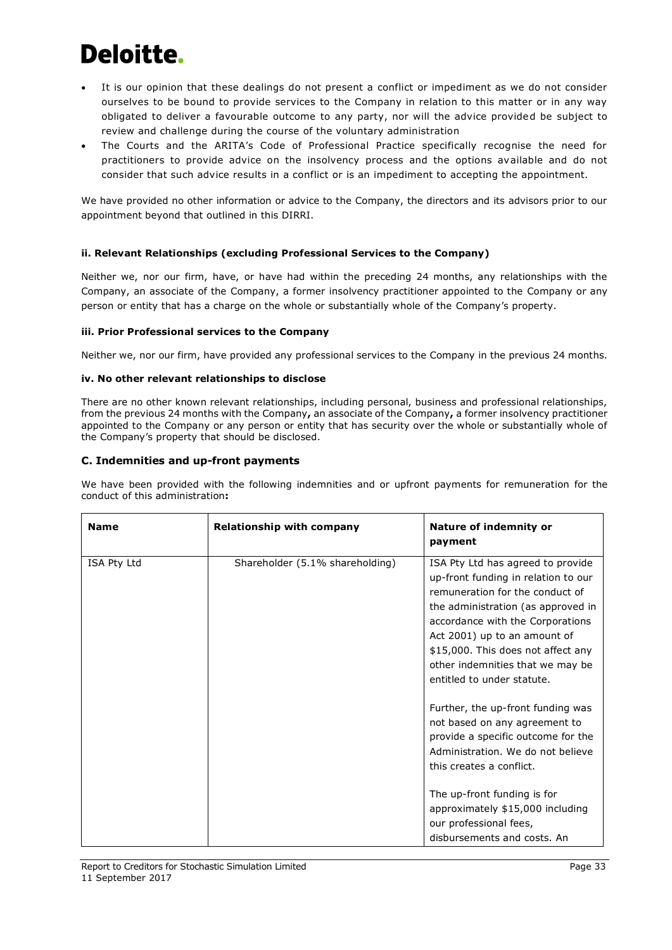- It is our opinion that these dealings do not present a conflict or impediment as we do not consider ourselves to be bound to provide services to the Company in relation to this matter or in any way obligated to deliver a favourable outcome to any party, nor will the advice provided be subject to review and challenge during the course of the voluntary administration
- The Courts and the ARITA's Code of Professional Practice specifically recognise the need for practitioners to provide advice on the insolvency process and the options available and do not consider that such advice results in a conflict or is an impediment to accepting the appointment.

We have provided no other information or advice to the Company, the directors and its advisors prior to our appointment beyond that outlined in this DIRRI.

## **ii. Relevant Relationships (excluding Professional Services to the Company)**

Neither we, nor our firm, have, or have had within the preceding 24 months, any relationships with the Company, an associate of the Company, a former insolvency practitioner appointed to the Company or any person or entity that has a charge on the whole or substantially whole of the Company's property.

## **iii. Prior Professional services to the Company**

Neither we, nor our firm, have provided any professional services to the Company in the previous 24 months.

## **iv. No other relevant relationships to disclose**

There are no other known relevant relationships, including personal, business and professional relationships, from the previous 24 months with the Company**,** an associate of the Company**,** a former insolvency practitioner appointed to the Company or any person or entity that has security over the whole or substantially whole of the Company's property that should be disclosed.

## **C. Indemnities and up-front payments**

We have been provided with the following indemnities and or upfront payments for remuneration for the conduct of this administration**:**

| <b>Name</b> | <b>Relationship with company</b> | Nature of indemnity or<br>payment                                                                                                                                                                                                                                                                                             |
|-------------|----------------------------------|-------------------------------------------------------------------------------------------------------------------------------------------------------------------------------------------------------------------------------------------------------------------------------------------------------------------------------|
| ISA Pty Ltd | Shareholder (5.1% shareholding)  | ISA Pty Ltd has agreed to provide<br>up-front funding in relation to our<br>remuneration for the conduct of<br>the administration (as approved in<br>accordance with the Corporations<br>Act 2001) up to an amount of<br>\$15,000. This does not affect any<br>other indemnities that we may be<br>entitled to under statute. |
|             |                                  | Further, the up-front funding was<br>not based on any agreement to<br>provide a specific outcome for the<br>Administration. We do not believe<br>this creates a conflict.<br>The up-front funding is for<br>approximately \$15,000 including<br>our professional fees,<br>disbursements and costs. An                         |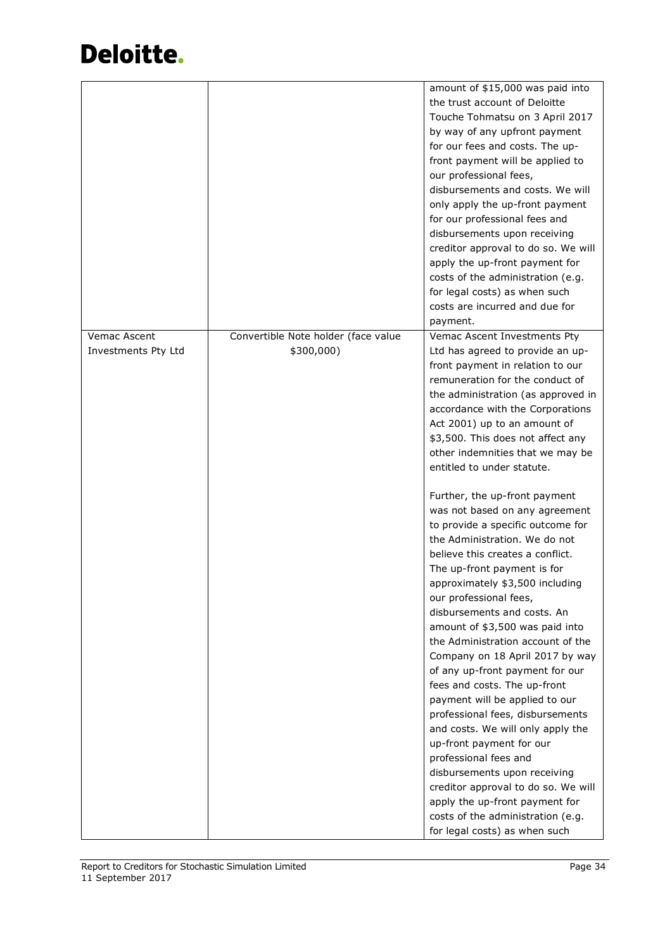|                                     |                                                   | amount of \$15,000 was paid into<br>the trust account of Deloitte<br>Touche Tohmatsu on 3 April 2017<br>by way of any upfront payment                                                                                                                                                                                                                                                                                                                                                                                                                                                                                                                                                                                                                                                                                             |
|-------------------------------------|---------------------------------------------------|-----------------------------------------------------------------------------------------------------------------------------------------------------------------------------------------------------------------------------------------------------------------------------------------------------------------------------------------------------------------------------------------------------------------------------------------------------------------------------------------------------------------------------------------------------------------------------------------------------------------------------------------------------------------------------------------------------------------------------------------------------------------------------------------------------------------------------------|
|                                     |                                                   | for our fees and costs. The up-<br>front payment will be applied to<br>our professional fees,<br>disbursements and costs. We will                                                                                                                                                                                                                                                                                                                                                                                                                                                                                                                                                                                                                                                                                                 |
|                                     |                                                   | only apply the up-front payment<br>for our professional fees and<br>disbursements upon receiving                                                                                                                                                                                                                                                                                                                                                                                                                                                                                                                                                                                                                                                                                                                                  |
|                                     |                                                   | creditor approval to do so. We will<br>apply the up-front payment for<br>costs of the administration (e.g.                                                                                                                                                                                                                                                                                                                                                                                                                                                                                                                                                                                                                                                                                                                        |
|                                     |                                                   | for legal costs) as when such<br>costs are incurred and due for<br>payment.                                                                                                                                                                                                                                                                                                                                                                                                                                                                                                                                                                                                                                                                                                                                                       |
| Vemac Ascent<br>Investments Pty Ltd | Convertible Note holder (face value<br>\$300,000) | Vemac Ascent Investments Pty<br>Ltd has agreed to provide an up-<br>front payment in relation to our<br>remuneration for the conduct of<br>the administration (as approved in<br>accordance with the Corporations<br>Act 2001) up to an amount of<br>\$3,500. This does not affect any<br>other indemnities that we may be<br>entitled to under statute.                                                                                                                                                                                                                                                                                                                                                                                                                                                                          |
|                                     |                                                   | Further, the up-front payment<br>was not based on any agreement<br>to provide a specific outcome for<br>the Administration. We do not<br>believe this creates a conflict.<br>The up-front payment is for<br>approximately \$3,500 including<br>our professional fees,<br>disbursements and costs. An<br>amount of \$3,500 was paid into<br>the Administration account of the<br>Company on 18 April 2017 by way<br>of any up-front payment for our<br>fees and costs. The up-front<br>payment will be applied to our<br>professional fees, disbursements<br>and costs. We will only apply the<br>up-front payment for our<br>professional fees and<br>disbursements upon receiving<br>creditor approval to do so. We will<br>apply the up-front payment for<br>costs of the administration (e.g.<br>for legal costs) as when such |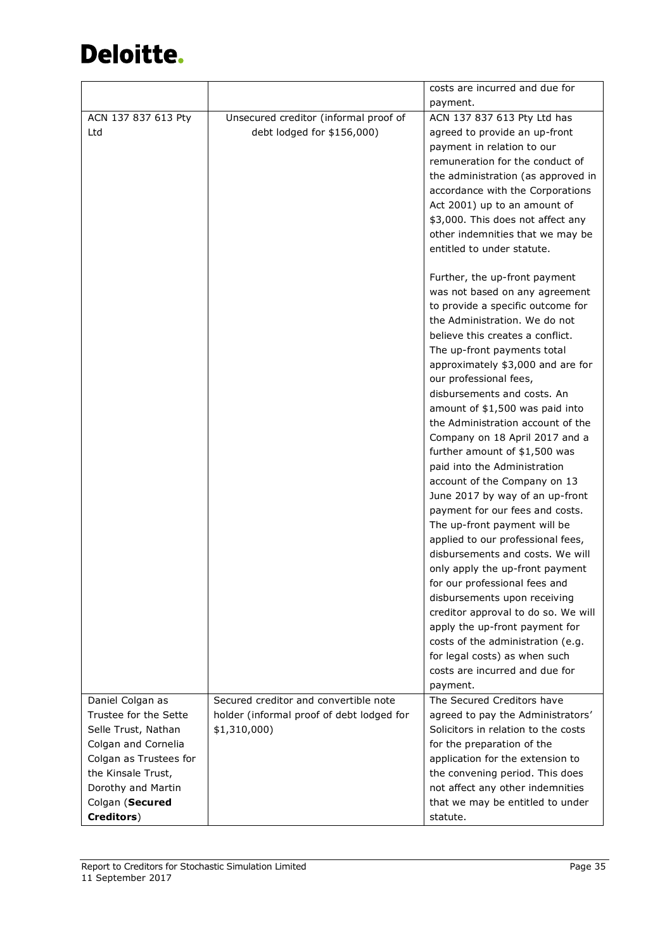|                        |                                           | costs are incurred and due for      |
|------------------------|-------------------------------------------|-------------------------------------|
|                        |                                           | payment.                            |
| ACN 137 837 613 Pty    | Unsecured creditor (informal proof of     | ACN 137 837 613 Pty Ltd has         |
| Ltd                    | debt lodged for \$156,000)                | agreed to provide an up-front       |
|                        |                                           | payment in relation to our          |
|                        |                                           | remuneration for the conduct of     |
|                        |                                           | the administration (as approved in  |
|                        |                                           | accordance with the Corporations    |
|                        |                                           | Act 2001) up to an amount of        |
|                        |                                           | \$3,000. This does not affect any   |
|                        |                                           | other indemnities that we may be    |
|                        |                                           | entitled to under statute.          |
|                        |                                           |                                     |
|                        |                                           | Further, the up-front payment       |
|                        |                                           | was not based on any agreement      |
|                        |                                           | to provide a specific outcome for   |
|                        |                                           | the Administration. We do not       |
|                        |                                           | believe this creates a conflict.    |
|                        |                                           | The up-front payments total         |
|                        |                                           | approximately \$3,000 and are for   |
|                        |                                           | our professional fees,              |
|                        |                                           | disbursements and costs. An         |
|                        |                                           | amount of \$1,500 was paid into     |
|                        |                                           | the Administration account of the   |
|                        |                                           | Company on 18 April 2017 and a      |
|                        |                                           | further amount of \$1,500 was       |
|                        |                                           | paid into the Administration        |
|                        |                                           | account of the Company on 13        |
|                        |                                           | June 2017 by way of an up-front     |
|                        |                                           | payment for our fees and costs.     |
|                        |                                           | The up-front payment will be        |
|                        |                                           | applied to our professional fees,   |
|                        |                                           | disbursements and costs. We will    |
|                        |                                           | only apply the up-front payment     |
|                        |                                           | for our professional fees and       |
|                        |                                           | disbursements upon receiving        |
|                        |                                           | creditor approval to do so. We will |
|                        |                                           | apply the up-front payment for      |
|                        |                                           | costs of the administration (e.g.   |
|                        |                                           | for legal costs) as when such       |
|                        |                                           | costs are incurred and due for      |
|                        |                                           | payment.                            |
| Daniel Colgan as       | Secured creditor and convertible note     | The Secured Creditors have          |
| Trustee for the Sette  | holder (informal proof of debt lodged for | agreed to pay the Administrators'   |
| Selle Trust, Nathan    | \$1,310,000                               | Solicitors in relation to the costs |
| Colgan and Cornelia    |                                           | for the preparation of the          |
| Colgan as Trustees for |                                           | application for the extension to    |
| the Kinsale Trust,     |                                           | the convening period. This does     |
| Dorothy and Martin     |                                           | not affect any other indemnities    |
| Colgan (Secured        |                                           | that we may be entitled to under    |
| Creditors)             |                                           | statute.                            |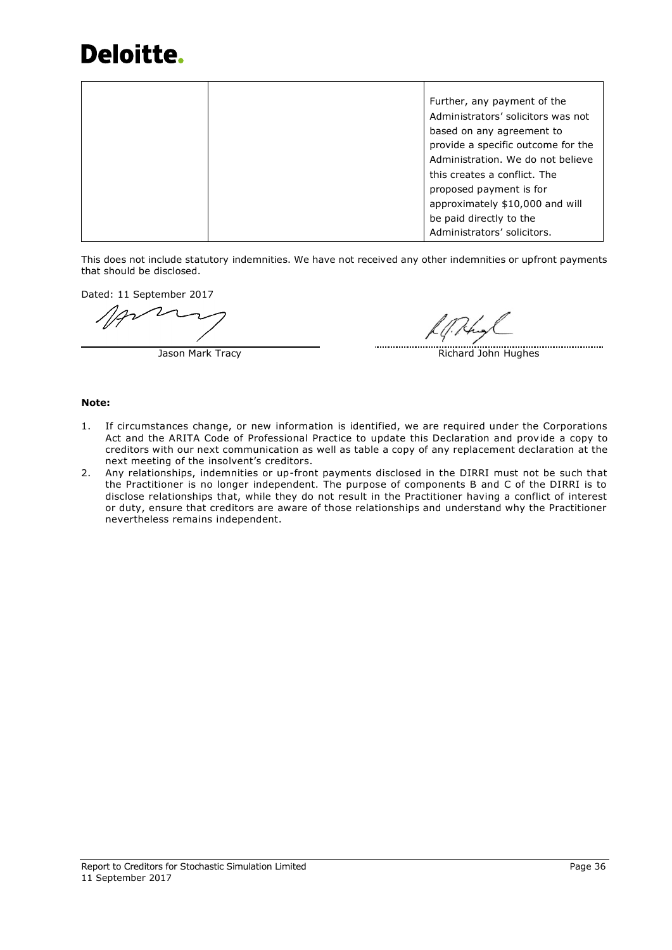|  | Further, any payment of the        |
|--|------------------------------------|
|  | Administrators' solicitors was not |
|  | based on any agreement to          |
|  | provide a specific outcome for the |
|  | Administration. We do not believe  |
|  | this creates a conflict. The       |
|  | proposed payment is for            |
|  | approximately \$10,000 and will    |
|  | be paid directly to the            |
|  | Administrators' solicitors.        |

This does not include statutory indemnities. We have not received any other indemnities or upfront payments that should be disclosed.

Dated: 11 September 2017

Jason Mark Tracy **Richard John Hughes** Richard John Hughes

## **Note:**

- 1. If circumstances change, or new information is identified, we are required under the Corporations Act and the ARITA Code of Professional Practice to update this Declaration and provide a copy to creditors with our next communication as well as table a copy of any replacement declaration at the next meeting of the insolvent's creditors.
- 2. Any relationships, indemnities or up-front payments disclosed in the DIRRI must not be such that the Practitioner is no longer independent. The purpose of components B and C of the DIRRI is to disclose relationships that, while they do not result in the Practitioner having a conflict of interest or duty, ensure that creditors are aware of those relationships and understand why the Practitioner nevertheless remains independent.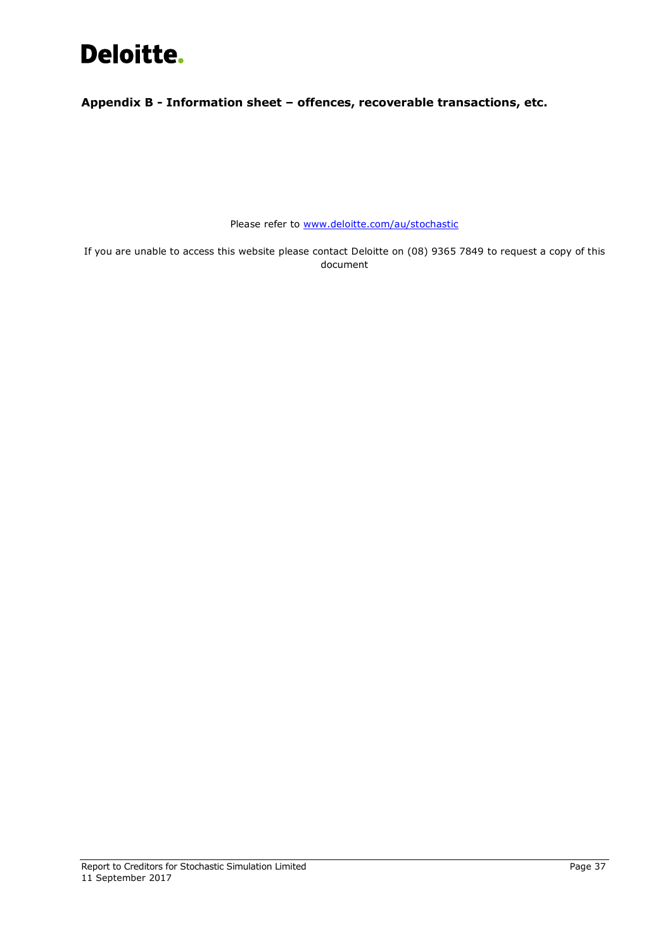<span id="page-39-0"></span>**Appendix B - Information sheet – offences, recoverable transactions, etc.**

Please refer to [www.deloitte.com/au/stochastic](https://www.stochasticsimulation.com/)

If you are unable to access this website please contact Deloitte on (08) 9365 7849 to request a copy of this document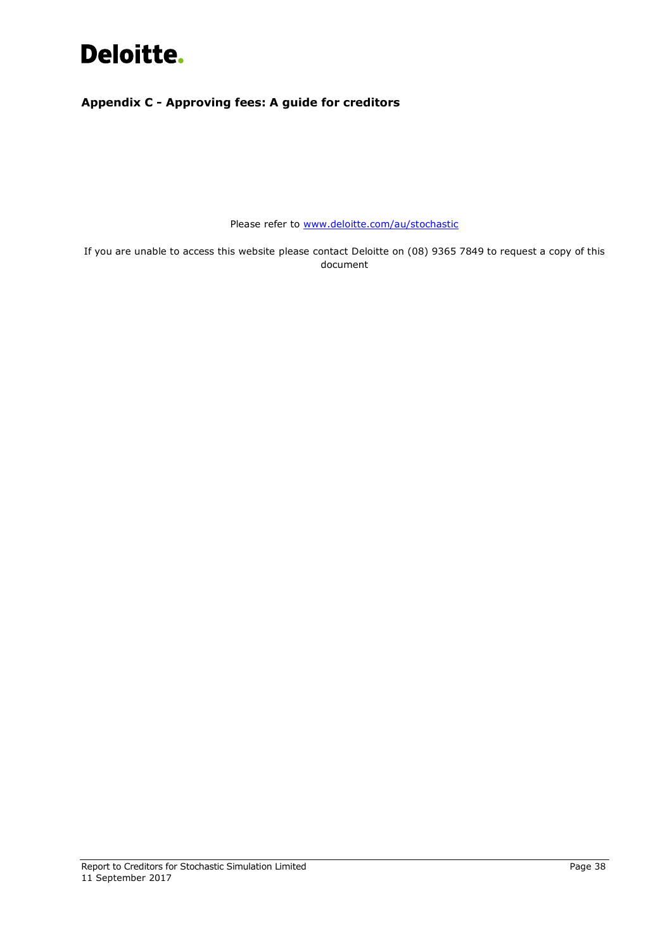## <span id="page-40-0"></span>**Appendix C - Approving fees: A guide for creditors**

Please refer to [www.deloitte.com/au/stochastic](https://www.stochasticsimulation.com/)

<span id="page-40-1"></span>If you are unable to access this website please contact Deloitte on (08) 9365 7849 to request a copy of this document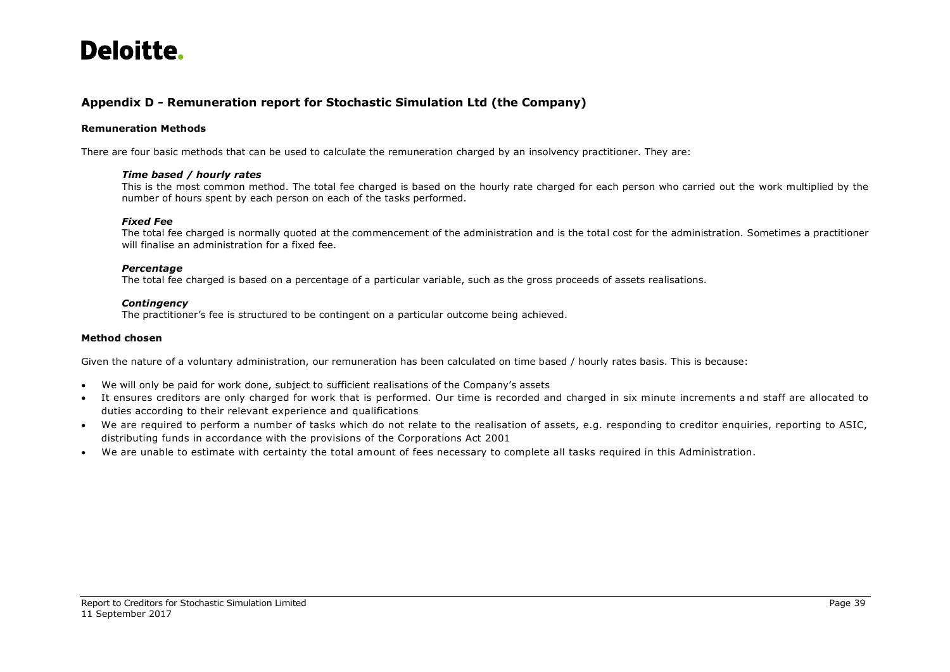## **Appendix D - Remuneration report for Stochastic Simulation Ltd (the Company)**

## **Remuneration Methods**

There are four basic methods that can be used to calculate the remuneration charged by an insolvency practitioner. They are:

### *Time based / hourly rates*

This is the most common method. The total fee charged is based on the hourly rate charged for each person who carried out the work multiplied by the number of hours spent by each person on each of the tasks performed.

### *Fixed Fee*

The total fee charged is normally quoted at the commencement of the administration and is the total cost for the administration. Sometimes a practitioner will finalise an administration for a fixed fee.

### *Percentage*

The total fee charged is based on a percentage of a particular variable, such as the gross proceeds of assets realisations.

### *Contingency*

The practitioner's fee is structured to be contingent on a particular outcome being achieved.

## **Method chosen**

Given the nature of a voluntary administration, our remuneration has been calculated on time based / hourly rates basis. This is because:

- We will only be paid for work done, subject to sufficient realisations of the Company's assets
- It ensures creditors are only charged for work that is performed. Our time is recorded and charged in six minute increments a nd staff are allocated to duties according to their relevant experience and qualifications
- We are required to perform a number of tasks which do not relate to the realisation of assets, e.g. responding to creditor enquiries, reporting to ASIC, distributing funds in accordance with the provisions of the Corporations Act 2001
- We are unable to estimate with certainty the total amount of fees necessary to complete all tasks required in this Administration.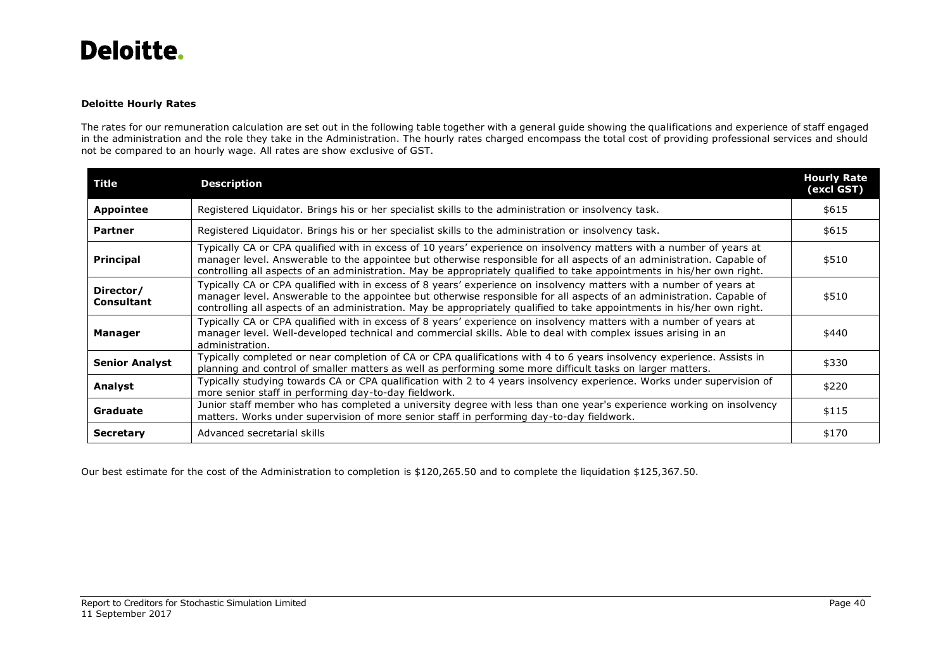## **Deloitte Hourly Rates**

The rates for our remuneration calculation are set out in the following table together with a general guide showing the qualifications and experience of staff engaged in the administration and the role they take in the Administration. The hourly rates charged encompass the total cost of providing professional services and should not be compared to an hourly wage. All rates are show exclusive of GST.

| Title                          | <b>Description</b>                                                                                                                                                                                                                                                                                                                                                       | <b>Hourly Rate</b><br>(excl GST) |
|--------------------------------|--------------------------------------------------------------------------------------------------------------------------------------------------------------------------------------------------------------------------------------------------------------------------------------------------------------------------------------------------------------------------|----------------------------------|
| <b>Appointee</b>               | Registered Liquidator. Brings his or her specialist skills to the administration or insolvency task.                                                                                                                                                                                                                                                                     | \$615                            |
| <b>Partner</b>                 | Registered Liquidator. Brings his or her specialist skills to the administration or insolvency task.                                                                                                                                                                                                                                                                     | \$615                            |
| <b>Principal</b>               | Typically CA or CPA qualified with in excess of 10 years' experience on insolvency matters with a number of years at<br>manager level. Answerable to the appointee but otherwise responsible for all aspects of an administration. Capable of<br>controlling all aspects of an administration. May be appropriately qualified to take appointments in his/her own right. | \$510                            |
| Director/<br><b>Consultant</b> | Typically CA or CPA qualified with in excess of 8 years' experience on insolvency matters with a number of years at<br>manager level. Answerable to the appointee but otherwise responsible for all aspects of an administration. Capable of<br>controlling all aspects of an administration. May be appropriately qualified to take appointments in his/her own right.  | \$510                            |
| Manager                        | Typically CA or CPA qualified with in excess of 8 years' experience on insolvency matters with a number of years at<br>manager level. Well-developed technical and commercial skills. Able to deal with complex issues arising in an<br>administration.                                                                                                                  | \$440                            |
| <b>Senior Analyst</b>          | Typically completed or near completion of CA or CPA qualifications with 4 to 6 years insolvency experience. Assists in<br>planning and control of smaller matters as well as performing some more difficult tasks on larger matters.                                                                                                                                     | \$330                            |
| Analyst                        | Typically studying towards CA or CPA qualification with 2 to 4 years insolvency experience. Works under supervision of<br>more senior staff in performing day-to-day fieldwork.                                                                                                                                                                                          | \$220                            |
| Graduate                       | Junior staff member who has completed a university degree with less than one year's experience working on insolvency<br>matters. Works under supervision of more senior staff in performing day-to-day fieldwork.                                                                                                                                                        | \$115                            |
| <b>Secretary</b>               | Advanced secretarial skills                                                                                                                                                                                                                                                                                                                                              | \$170                            |

Our best estimate for the cost of the Administration to completion is \$120,265.50 and to complete the liquidation \$125,367.50.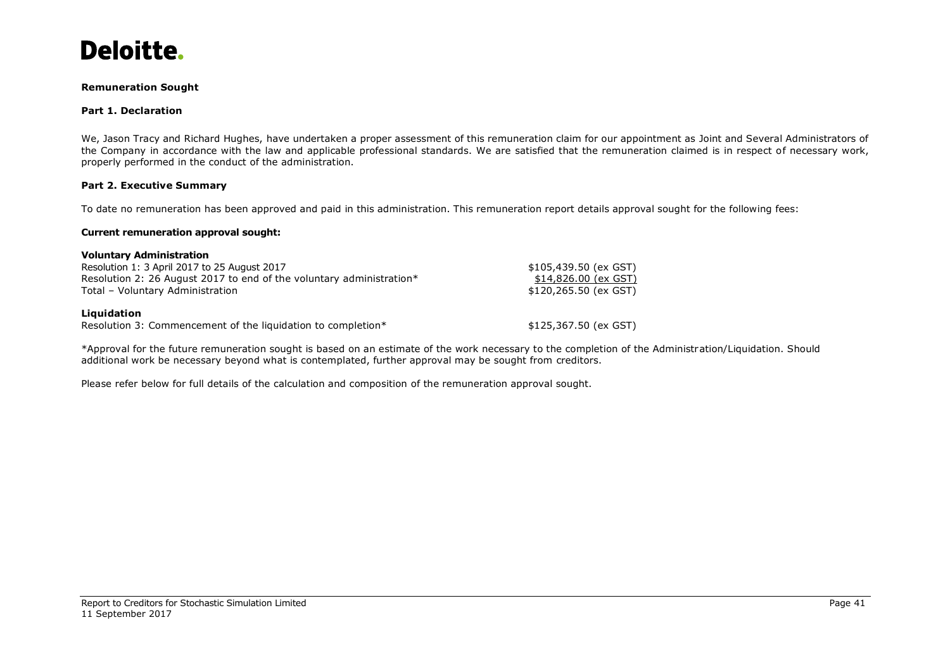

### **Remuneration Sought**

### **Part 1. Declaration**

We, Jason Tracy and Richard Hughes, have undertaken a proper assessment of this remuneration claim for our appointment as Joint and Several Administrators of the Company in accordance with the law and applicable professional standards. We are satisfied that the remuneration claimed is in respect of necessary work, properly performed in the conduct of the administration.

### **Part 2. Executive Summary**

To date no remuneration has been approved and paid in this administration. This remuneration report details approval sought for the following fees:

### **Current remuneration approval sought:**

| <b>Voluntary Administration</b>                                      |                        |
|----------------------------------------------------------------------|------------------------|
| Resolution 1: 3 April 2017 to 25 August 2017                         | \$105,439.50 (ex GST)  |
| Resolution 2: 26 August 2017 to end of the voluntary administration* | \$14,826.00 (ex GST)   |
| Total - Voluntary Administration                                     | $$120,265.50$ (ex GST) |
| Liquidation                                                          |                        |
| Resolution 3: Commencement of the liquidation to completion*         | $$125,367.50$ (ex GST) |

\*Approval for the future remuneration sought is based on an estimate of the work necessary to the completion of the Administration/Liquidation. Should additional work be necessary beyond what is contemplated, further approval may be sought from creditors.

Please refer below for full details of the calculation and composition of the remuneration approval sought.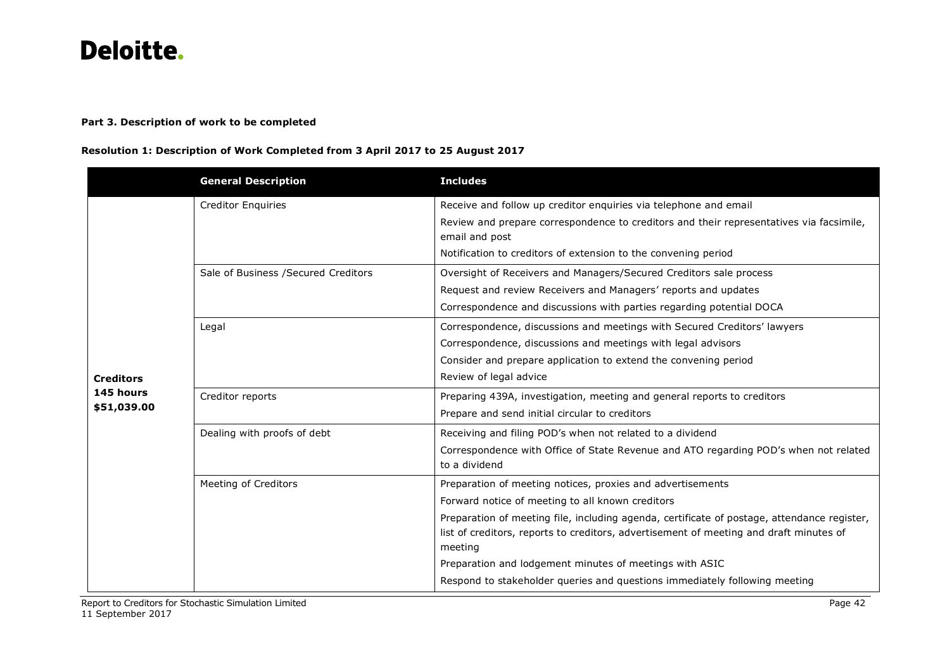## **Part 3. Description of work to be completed**

## **Resolution 1: Description of Work Completed from 3 April 2017 to 25 August 2017**

|                  | <b>General Description</b>           | <b>Includes</b>                                                                                           |
|------------------|--------------------------------------|-----------------------------------------------------------------------------------------------------------|
|                  | <b>Creditor Enquiries</b>            | Receive and follow up creditor enquiries via telephone and email                                          |
|                  |                                      | Review and prepare correspondence to creditors and their representatives via facsimile,<br>email and post |
|                  |                                      | Notification to creditors of extension to the convening period                                            |
|                  | Sale of Business / Secured Creditors | Oversight of Receivers and Managers/Secured Creditors sale process                                        |
|                  |                                      | Request and review Receivers and Managers' reports and updates                                            |
|                  |                                      | Correspondence and discussions with parties regarding potential DOCA                                      |
|                  | Legal                                | Correspondence, discussions and meetings with Secured Creditors' lawyers                                  |
|                  |                                      | Correspondence, discussions and meetings with legal advisors                                              |
|                  |                                      | Consider and prepare application to extend the convening period                                           |
| <b>Creditors</b> |                                      | Review of legal advice                                                                                    |
| 145 hours        | Creditor reports                     | Preparing 439A, investigation, meeting and general reports to creditors                                   |
| \$51,039.00      |                                      | Prepare and send initial circular to creditors                                                            |
|                  | Dealing with proofs of debt          | Receiving and filing POD's when not related to a dividend                                                 |
|                  |                                      | Correspondence with Office of State Revenue and ATO regarding POD's when not related<br>to a dividend     |
|                  | Meeting of Creditors                 | Preparation of meeting notices, proxies and advertisements                                                |
|                  |                                      | Forward notice of meeting to all known creditors                                                          |
|                  |                                      | Preparation of meeting file, including agenda, certificate of postage, attendance register,               |
|                  |                                      | list of creditors, reports to creditors, advertisement of meeting and draft minutes of<br>meeting         |
|                  |                                      | Preparation and lodgement minutes of meetings with ASIC                                                   |
|                  |                                      | Respond to stakeholder queries and questions immediately following meeting                                |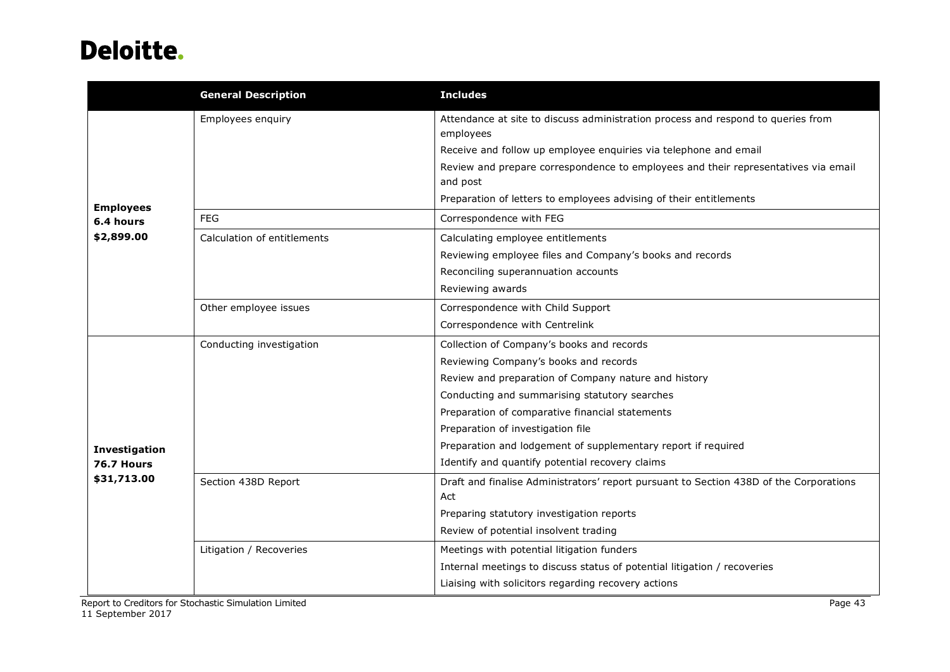|                   | <b>General Description</b>  | <b>Includes</b>                                                                                |  |
|-------------------|-----------------------------|------------------------------------------------------------------------------------------------|--|
|                   | Employees enquiry           | Attendance at site to discuss administration process and respond to queries from<br>employees  |  |
|                   |                             | Receive and follow up employee enquiries via telephone and email                               |  |
|                   |                             | Review and prepare correspondence to employees and their representatives via email<br>and post |  |
| <b>Employees</b>  |                             | Preparation of letters to employees advising of their entitlements                             |  |
| 6.4 hours         | <b>FEG</b>                  | Correspondence with FEG                                                                        |  |
| \$2,899.00        | Calculation of entitlements | Calculating employee entitlements                                                              |  |
|                   |                             | Reviewing employee files and Company's books and records                                       |  |
|                   |                             | Reconciling superannuation accounts                                                            |  |
|                   |                             | Reviewing awards                                                                               |  |
|                   | Other employee issues       | Correspondence with Child Support                                                              |  |
|                   |                             | Correspondence with Centrelink                                                                 |  |
|                   | Conducting investigation    | Collection of Company's books and records                                                      |  |
|                   |                             | Reviewing Company's books and records                                                          |  |
|                   |                             | Review and preparation of Company nature and history                                           |  |
|                   |                             | Conducting and summarising statutory searches                                                  |  |
|                   |                             | Preparation of comparative financial statements                                                |  |
|                   |                             | Preparation of investigation file                                                              |  |
| Investigation     |                             | Preparation and lodgement of supplementary report if required                                  |  |
| <b>76.7 Hours</b> |                             | Identify and quantify potential recovery claims                                                |  |
| \$31,713.00       | Section 438D Report         | Draft and finalise Administrators' report pursuant to Section 438D of the Corporations<br>Act  |  |
|                   |                             | Preparing statutory investigation reports                                                      |  |
|                   |                             | Review of potential insolvent trading                                                          |  |
|                   | Litigation / Recoveries     | Meetings with potential litigation funders                                                     |  |
|                   |                             | Internal meetings to discuss status of potential litigation / recoveries                       |  |
|                   |                             | Liaising with solicitors regarding recovery actions                                            |  |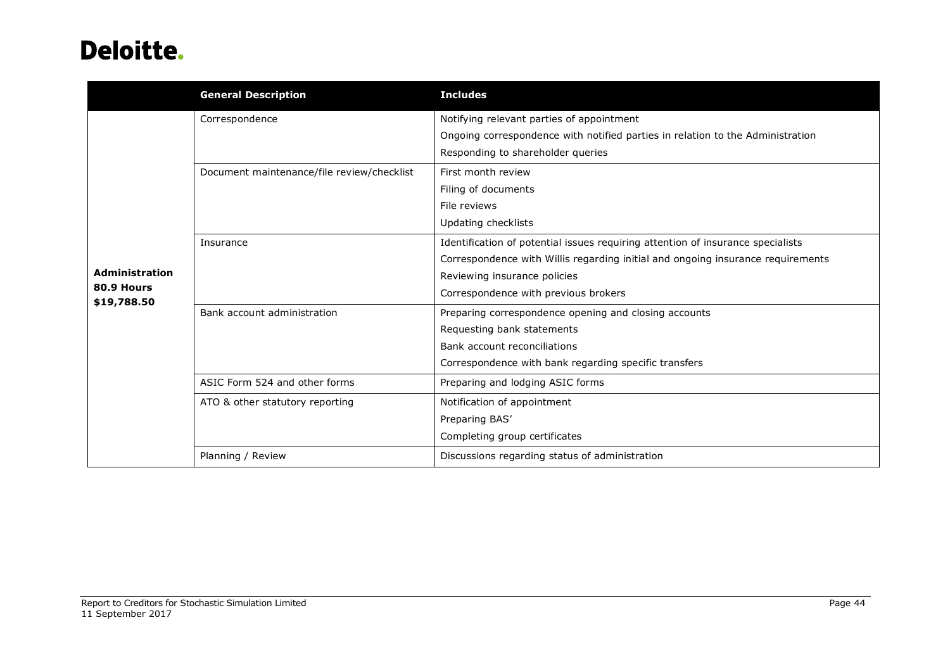|                           | <b>General Description</b>                 | <b>Includes</b>                                                                 |
|---------------------------|--------------------------------------------|---------------------------------------------------------------------------------|
|                           | Correspondence                             | Notifying relevant parties of appointment                                       |
|                           |                                            | Ongoing correspondence with notified parties in relation to the Administration  |
|                           |                                            | Responding to shareholder queries                                               |
|                           | Document maintenance/file review/checklist | First month review                                                              |
|                           |                                            | Filing of documents                                                             |
|                           |                                            | File reviews                                                                    |
|                           |                                            | Updating checklists                                                             |
|                           | Insurance                                  | Identification of potential issues requiring attention of insurance specialists |
|                           |                                            | Correspondence with Willis regarding initial and ongoing insurance requirements |
| Administration            |                                            | Reviewing insurance policies                                                    |
| 80.9 Hours<br>\$19,788.50 |                                            | Correspondence with previous brokers                                            |
|                           | Bank account administration                | Preparing correspondence opening and closing accounts                           |
|                           |                                            | Requesting bank statements                                                      |
|                           |                                            | Bank account reconciliations                                                    |
|                           |                                            | Correspondence with bank regarding specific transfers                           |
|                           | ASIC Form 524 and other forms              | Preparing and lodging ASIC forms                                                |
|                           | ATO & other statutory reporting            | Notification of appointment                                                     |
|                           |                                            | Preparing BAS'                                                                  |
|                           |                                            | Completing group certificates                                                   |
|                           | Planning / Review                          | Discussions regarding status of administration                                  |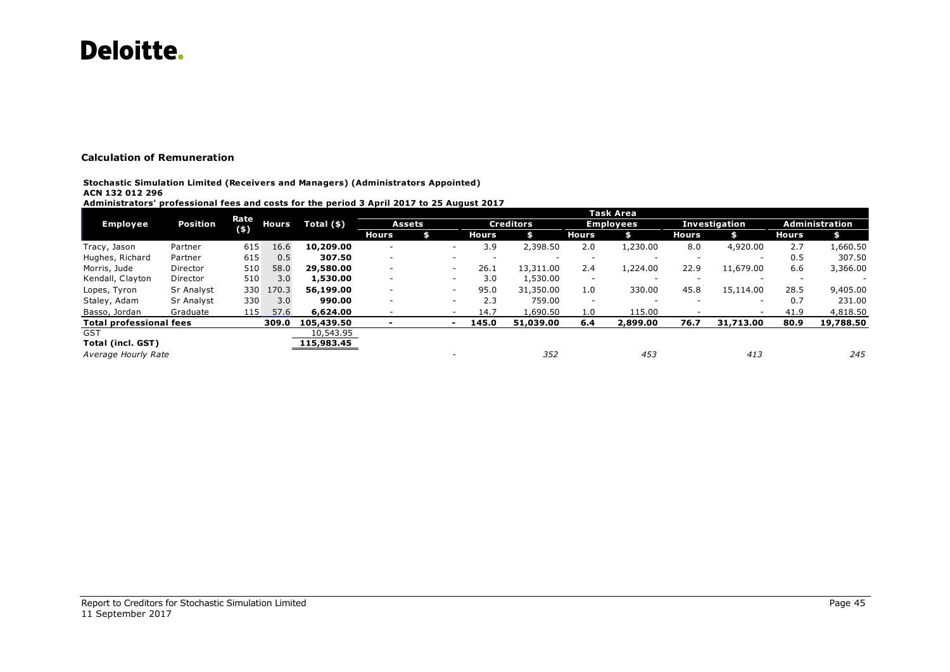## **Calculation of Remuneration**

### **Stochastic Simulation Limited (Receivers and Managers) (Administrators Appointed) ACN 132 012 296**

**Administrators' professional fees and costs for the period 3 April 2017 to 25 August 2017**

|                                         |                 |               |                          |             |                          |               |                          |              |                  |                          | Task Area                |       |               |                          |                |
|-----------------------------------------|-----------------|---------------|--------------------------|-------------|--------------------------|---------------|--------------------------|--------------|------------------|--------------------------|--------------------------|-------|---------------|--------------------------|----------------|
| <b>Employee</b>                         | <b>Position</b> | Rate<br>$(*)$ | <b>Hours</b>             | Total $(*)$ |                          | <b>Assets</b> |                          |              | <b>Creditors</b> |                          | <b>Employees</b>         |       | Investigation |                          | Administration |
|                                         |                 |               |                          |             | <b>Hours</b>             |               |                          | <b>Hours</b> |                  | <b>Hours</b>             |                          | Hours |               | Hours                    |                |
| Tracy, Jason                            | Partner         | 615           | 16.6                     | 10,209.00   | $\overline{\phantom{a}}$ |               | -                        | 3.9          | 2,398.50         | 2.0                      | 1,230.00                 | 8.0   | 4,920.00      | 2.7                      | 1,660.50       |
| Hughes, Richard                         | Partner         | 615           | 0.5                      | 307.50      | $\overline{\phantom{a}}$ |               | -                        |              |                  |                          |                          |       |               | 0.5                      | 307.50         |
| Morris, Jude                            | Director        | 510           | 58.0                     | 29,580.00   | $\overline{\phantom{a}}$ |               | ۰                        | 26.1         | 13,311.00        | 2.4                      | 1,224.00                 | 22.9  | 11,679.00     | 6.6                      | 3,366.00       |
| Kendall, Clayton                        | Director        | 510           | 3.0                      | 1,530.00    | $\sim$                   |               | -                        | 3.0          | 1,530.00         | $\overline{\phantom{a}}$ | $\overline{\phantom{a}}$ | -     | . .           | $\overline{\phantom{a}}$ |                |
| Lopes, Tyron                            | Sr Analyst      | 330           | 170.3                    | 56,199.00   | $\sim$                   |               | $\overline{\phantom{a}}$ | 95.0         | 31,350.00        | 1.0                      | 330.00                   | 45.8  | 15,114.00     | 28.5                     | 9,405.00       |
| Staley, Adam                            | Sr Analyst      | 330           | 3.0                      | 990.00      | -                        |               | -                        | 2.3          | 759.00           | $\overline{\phantom{a}}$ |                          |       | . .           | 0.7                      | 231.00         |
| Basso, Jordan                           | Graduate        | 115           | 57.6                     | 6,624,00    |                          |               |                          | 14.7         | 1,690.50         | 1.0                      | 115.00                   |       |               | 41.9                     | 4,818.50       |
| <b>Total professional fees</b><br>309.0 |                 | 105,439.50    | $\overline{\phantom{a}}$ |             | $\overline{\phantom{0}}$ | 145.0         | 51,039.00                | 6.4          | 2,899.00         | 76.7                     | 31,713.00                | 80.9  | 19,788.50     |                          |                |
| <b>GST</b>                              |                 |               |                          | 10,543.95   |                          |               |                          |              |                  |                          |                          |       |               |                          |                |
| <b>Total (incl. GST)</b>                |                 |               |                          | 115,983.45  |                          |               |                          |              |                  |                          |                          |       |               |                          |                |
| Average Hourly Rate                     |                 |               |                          |             |                          |               |                          |              | 352              |                          | 453                      |       | 413           |                          | 245            |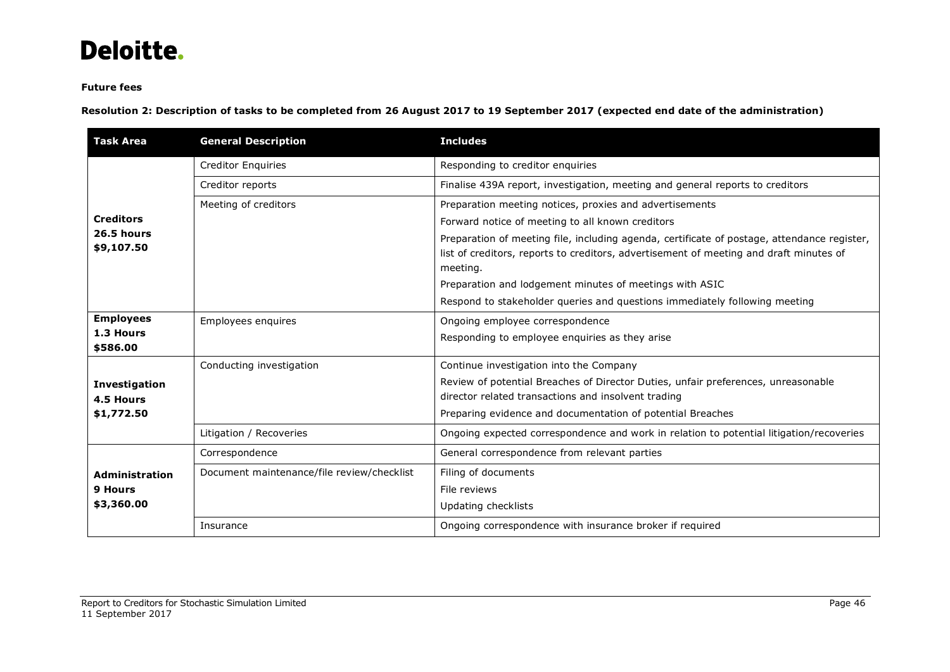## **Future fees**

**Resolution 2: Description of tasks to be completed from 26 August 2017 to 19 September 2017 (expected end date of the administration)** 

| <b>Task Area</b>                  | <b>General Description</b>                 | <b>Includes</b>                                                                             |  |  |  |  |
|-----------------------------------|--------------------------------------------|---------------------------------------------------------------------------------------------|--|--|--|--|
|                                   | <b>Creditor Enquiries</b>                  | Responding to creditor enquiries                                                            |  |  |  |  |
|                                   | Creditor reports                           | Finalise 439A report, investigation, meeting and general reports to creditors               |  |  |  |  |
|                                   | Meeting of creditors                       | Preparation meeting notices, proxies and advertisements                                     |  |  |  |  |
| <b>Creditors</b>                  |                                            | Forward notice of meeting to all known creditors                                            |  |  |  |  |
| 26.5 hours<br>\$9,107.50          |                                            | Preparation of meeting file, including agenda, certificate of postage, attendance register, |  |  |  |  |
|                                   |                                            | list of creditors, reports to creditors, advertisement of meeting and draft minutes of      |  |  |  |  |
|                                   |                                            | meeting.                                                                                    |  |  |  |  |
|                                   |                                            | Preparation and lodgement minutes of meetings with ASIC                                     |  |  |  |  |
|                                   |                                            | Respond to stakeholder queries and questions immediately following meeting                  |  |  |  |  |
| <b>Employees</b>                  | Employees enquires                         | Ongoing employee correspondence                                                             |  |  |  |  |
| 1.3 Hours<br>\$586.00             |                                            | Responding to employee enquiries as they arise                                              |  |  |  |  |
|                                   | Conducting investigation                   | Continue investigation into the Company                                                     |  |  |  |  |
|                                   |                                            | Review of potential Breaches of Director Duties, unfair preferences, unreasonable           |  |  |  |  |
| <b>Investigation</b><br>4.5 Hours |                                            | director related transactions and insolvent trading                                         |  |  |  |  |
| \$1,772.50                        |                                            | Preparing evidence and documentation of potential Breaches                                  |  |  |  |  |
|                                   | Litigation / Recoveries                    | Ongoing expected correspondence and work in relation to potential litigation/recoveries     |  |  |  |  |
|                                   | Correspondence                             | General correspondence from relevant parties                                                |  |  |  |  |
| <b>Administration</b>             | Document maintenance/file review/checklist | Filing of documents                                                                         |  |  |  |  |
| 9 Hours                           |                                            | File reviews                                                                                |  |  |  |  |
| \$3,360.00                        |                                            | Updating checklists                                                                         |  |  |  |  |
|                                   | Insurance                                  | Ongoing correspondence with insurance broker if required                                    |  |  |  |  |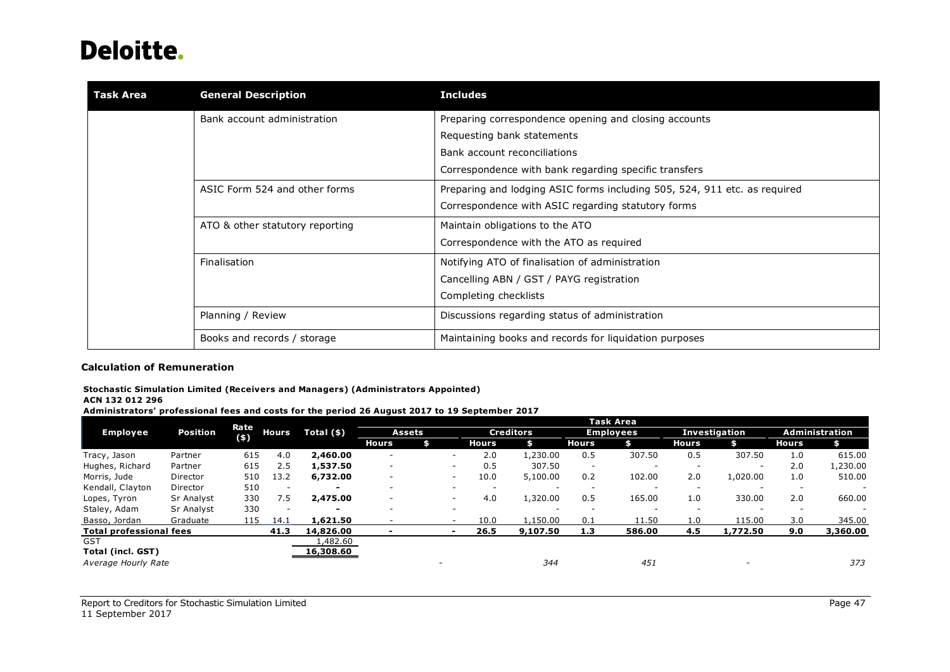| Task Area | <b>General Description</b>      | <b>Includes</b>                                                           |  |  |  |  |
|-----------|---------------------------------|---------------------------------------------------------------------------|--|--|--|--|
|           | Bank account administration     | Preparing correspondence opening and closing accounts                     |  |  |  |  |
|           |                                 | Requesting bank statements                                                |  |  |  |  |
|           |                                 | Bank account reconciliations                                              |  |  |  |  |
|           |                                 | Correspondence with bank regarding specific transfers                     |  |  |  |  |
|           | ASIC Form 524 and other forms   | Preparing and lodging ASIC forms including 505, 524, 911 etc. as required |  |  |  |  |
|           |                                 | Correspondence with ASIC regarding statutory forms                        |  |  |  |  |
|           | ATO & other statutory reporting | Maintain obligations to the ATO                                           |  |  |  |  |
|           |                                 | Correspondence with the ATO as required                                   |  |  |  |  |
|           | Finalisation                    | Notifying ATO of finalisation of administration                           |  |  |  |  |
|           |                                 | Cancelling ABN / GST / PAYG registration                                  |  |  |  |  |
|           |                                 | Completing checklists                                                     |  |  |  |  |
|           | Planning / Review               | Discussions regarding status of administration                            |  |  |  |  |
|           | Books and records / storage     | Maintaining books and records for liquidation purposes                    |  |  |  |  |

## **Calculation of Remuneration**

### **Stochastic Simulation Limited (Receivers and Managers) (Administrators Appointed)**

#### **ACN 132 012 296**

**Administrators' professional fees and costs for the period 26 August 2017 to 19 September 2017** 

|                                                     |            |               |              |                          |                          |        |              |              |                  |                          | <b>Task Area</b>         |                          |                          |              |                |
|-----------------------------------------------------|------------|---------------|--------------|--------------------------|--------------------------|--------|--------------|--------------|------------------|--------------------------|--------------------------|--------------------------|--------------------------|--------------|----------------|
| <b>Employee</b>                                     | Position   | Rate<br>$(*)$ | <b>Hours</b> | Total $(*)$              |                          | Assets |              |              | <b>Creditors</b> |                          | <b>Employees</b>         |                          | Investigation            |              | Administration |
|                                                     |            |               |              |                          | <b>Hours</b>             |        |              | <b>Hours</b> |                  | Hours                    |                          | <b>Hours</b>             |                          | <b>Hours</b> |                |
| Tracy, Jason                                        | Partner    | 615           | 4.0          | 2,460.00                 | <b>умера</b>             |        | <b>умера</b> | 2.0          | 1,230.00         | 0.5                      | 307.50                   | 0.5                      | 307.50                   | 1.0          | 615.00         |
| Hughes, Richard                                     | Partner    | 615           | 2.5          | 1,537.50                 | $\overline{\phantom{a}}$ |        |              | 0.5          | 307.50           | $\overline{\phantom{a}}$ | $\overline{\phantom{a}}$ | $\overline{\phantom{a}}$ | $\overline{\phantom{a}}$ | 2.0          | 1,230.00       |
| Morris, Jude                                        | Director   | 510           | 13.2         | 6,732.00                 | $\overline{\phantom{a}}$ |        | $\sim$       | 10.0         | 5,100.00         | 0.2                      | 102.00                   | 2.0                      | 1,020.00                 | 1.0          | 510.00         |
| Kendall, Clayton                                    | Director   | 510           | $\sim$       | $\overline{\phantom{a}}$ | -                        |        |              |              |                  | $\sim$                   | $\overline{\phantom{a}}$ | $\overline{\phantom{a}}$ |                          |              |                |
| Lopes, Tyron                                        | Sr Analyst | 330           | 7.5          | 2,475.00                 | ۰                        |        | ۰            | 4.0          | 1,320.00         | 0.5                      | 165.00                   | 1.0                      | 330.00                   | 2.0          | 660.00         |
| Staley, Adam                                        | Sr Analyst | 330           | $\sim$       |                          | -                        |        | $\sim$       |              |                  |                          | $\overline{\phantom{a}}$ |                          |                          |              |                |
| Basso, Jordan                                       | Graduate   | 115           | 14.1         | 1,621.50                 |                          |        | $\sim$       | 10.0         | 1,150.00         | 0.1                      | 11.50                    | 1.0                      | 115.00                   | 3.0          | 345.00         |
| 41.3<br><b>Total professional fees</b><br>14,826,00 |            |               | $\,$         |                          |                          | 26.5   | 9,107.50     | 1.3          | 586.00           | 4.5                      | 1,772.50                 | 9.0                      | 3,360.00                 |              |                |
| <b>GST</b>                                          |            |               |              | 482.60 l                 |                          |        |              |              |                  |                          |                          |                          |                          |              |                |
| <b>Total (incl. GST)</b>                            |            |               |              | 16,308.60                |                          |        |              |              |                  |                          |                          |                          |                          |              |                |
| Average Hourly Rate                                 |            |               |              |                          |                          |        |              |              | 344              |                          | 451                      |                          |                          |              | 373            |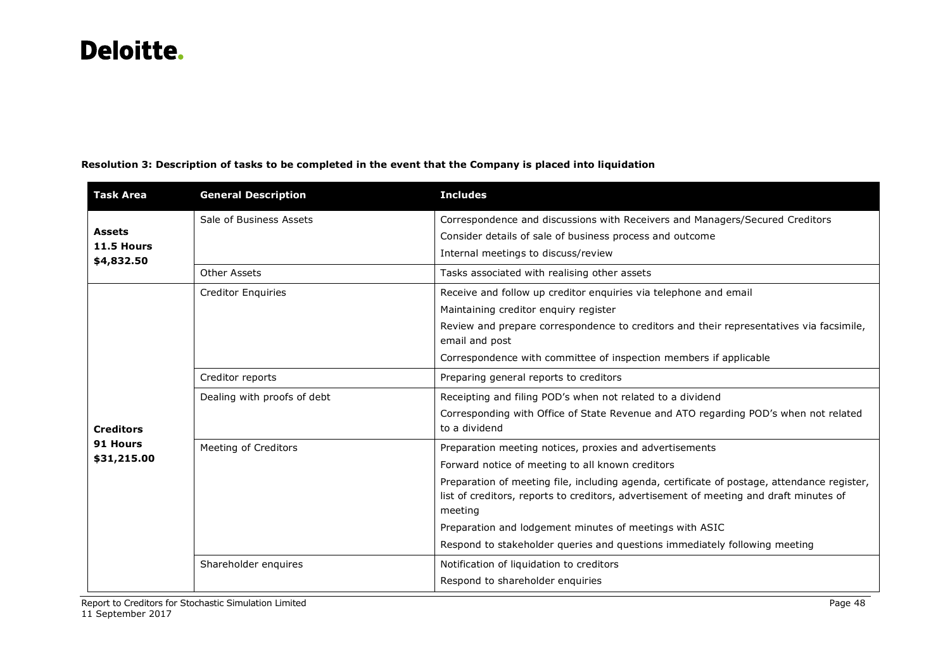| <b>Task Area</b>                          | <b>General Description</b>  | <b>Includes</b>                                                                                                                                                                                                                                                                                                                                                                                                                                          |  |  |  |  |
|-------------------------------------------|-----------------------------|----------------------------------------------------------------------------------------------------------------------------------------------------------------------------------------------------------------------------------------------------------------------------------------------------------------------------------------------------------------------------------------------------------------------------------------------------------|--|--|--|--|
| <b>Assets</b><br>11.5 Hours<br>\$4,832.50 | Sale of Business Assets     | Correspondence and discussions with Receivers and Managers/Secured Creditors<br>Consider details of sale of business process and outcome<br>Internal meetings to discuss/review                                                                                                                                                                                                                                                                          |  |  |  |  |
|                                           | Other Assets                | Tasks associated with realising other assets                                                                                                                                                                                                                                                                                                                                                                                                             |  |  |  |  |
|                                           | <b>Creditor Enquiries</b>   | Receive and follow up creditor enquiries via telephone and email<br>Maintaining creditor enquiry register<br>Review and prepare correspondence to creditors and their representatives via facsimile,<br>email and post<br>Correspondence with committee of inspection members if applicable                                                                                                                                                              |  |  |  |  |
|                                           | Creditor reports            | Preparing general reports to creditors                                                                                                                                                                                                                                                                                                                                                                                                                   |  |  |  |  |
| <b>Creditors</b>                          | Dealing with proofs of debt | Receipting and filing POD's when not related to a dividend<br>Corresponding with Office of State Revenue and ATO regarding POD's when not related<br>to a dividend                                                                                                                                                                                                                                                                                       |  |  |  |  |
| 91 Hours<br>\$31,215.00                   | Meeting of Creditors        | Preparation meeting notices, proxies and advertisements<br>Forward notice of meeting to all known creditors<br>Preparation of meeting file, including agenda, certificate of postage, attendance register,<br>list of creditors, reports to creditors, advertisement of meeting and draft minutes of<br>meeting<br>Preparation and lodgement minutes of meetings with ASIC<br>Respond to stakeholder queries and questions immediately following meeting |  |  |  |  |
|                                           | Shareholder enquires        | Notification of liquidation to creditors<br>Respond to shareholder enquiries                                                                                                                                                                                                                                                                                                                                                                             |  |  |  |  |

## **Resolution 3: Description of tasks to be completed in the event that the Company is placed into liquidation**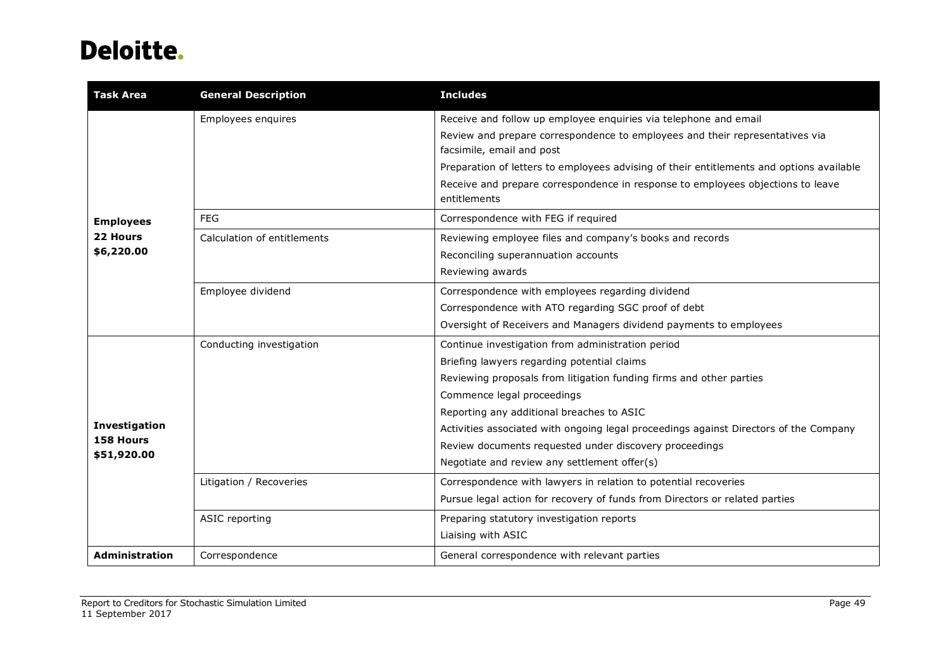| <b>Task Area</b>           | <b>General Description</b>  | <b>Includes</b>                                                                                 |  |  |  |  |
|----------------------------|-----------------------------|-------------------------------------------------------------------------------------------------|--|--|--|--|
|                            | Employees enquires          | Receive and follow up employee enquiries via telephone and email                                |  |  |  |  |
|                            |                             | Review and prepare correspondence to employees and their representatives via                    |  |  |  |  |
|                            |                             | facsimile, email and post                                                                       |  |  |  |  |
|                            |                             | Preparation of letters to employees advising of their entitlements and options available        |  |  |  |  |
|                            |                             | Receive and prepare correspondence in response to employees objections to leave<br>entitlements |  |  |  |  |
| <b>Employees</b>           | <b>FEG</b>                  | Correspondence with FEG if required                                                             |  |  |  |  |
| 22 Hours                   | Calculation of entitlements | Reviewing employee files and company's books and records                                        |  |  |  |  |
| \$6,220.00                 |                             | Reconciling superannuation accounts                                                             |  |  |  |  |
|                            |                             | Reviewing awards                                                                                |  |  |  |  |
|                            | Employee dividend           | Correspondence with employees regarding dividend                                                |  |  |  |  |
|                            |                             | Correspondence with ATO regarding SGC proof of debt                                             |  |  |  |  |
|                            |                             | Oversight of Receivers and Managers dividend payments to employees                              |  |  |  |  |
|                            | Conducting investigation    | Continue investigation from administration period                                               |  |  |  |  |
|                            |                             | Briefing lawyers regarding potential claims                                                     |  |  |  |  |
|                            |                             | Reviewing proposals from litigation funding firms and other parties                             |  |  |  |  |
|                            |                             | Commence legal proceedings                                                                      |  |  |  |  |
|                            |                             | Reporting any additional breaches to ASIC                                                       |  |  |  |  |
| Investigation<br>158 Hours |                             | Activities associated with ongoing legal proceedings against Directors of the Company           |  |  |  |  |
| \$51,920.00                |                             | Review documents requested under discovery proceedings                                          |  |  |  |  |
|                            |                             | Negotiate and review any settlement offer(s)                                                    |  |  |  |  |
|                            | Litigation / Recoveries     | Correspondence with lawyers in relation to potential recoveries                                 |  |  |  |  |
|                            |                             | Pursue legal action for recovery of funds from Directors or related parties                     |  |  |  |  |
|                            | ASIC reporting              | Preparing statutory investigation reports                                                       |  |  |  |  |
|                            |                             | Liaising with ASIC                                                                              |  |  |  |  |
| <b>Administration</b>      | Correspondence              | General correspondence with relevant parties                                                    |  |  |  |  |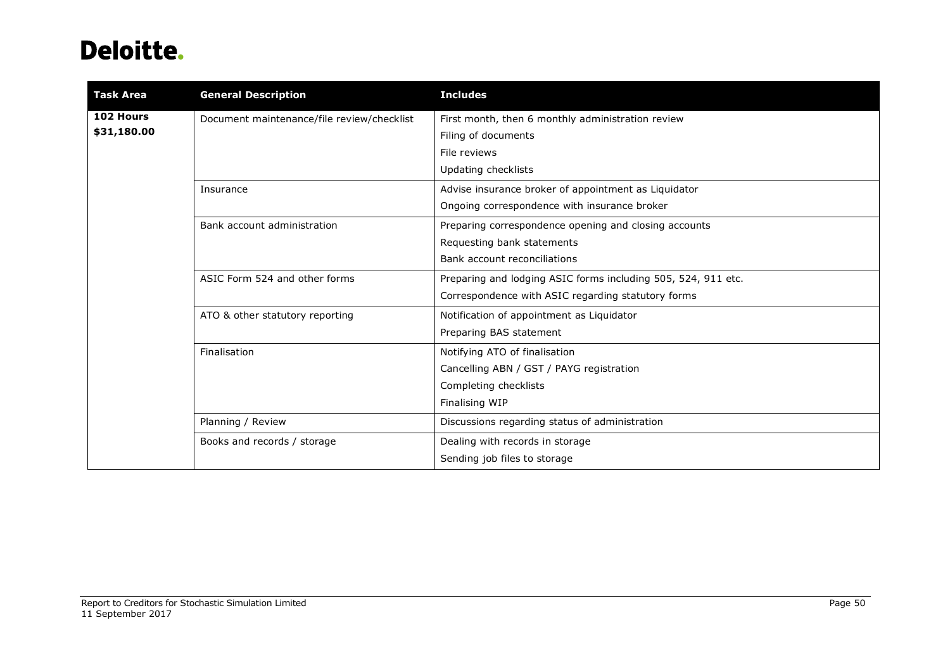| <b>Task Area</b> | <b>General Description</b>                 | <b>Includes</b>                                               |
|------------------|--------------------------------------------|---------------------------------------------------------------|
| 102 Hours        | Document maintenance/file review/checklist | First month, then 6 monthly administration review             |
| \$31,180.00      |                                            | Filing of documents                                           |
|                  |                                            | File reviews                                                  |
|                  |                                            | Updating checklists                                           |
|                  | Insurance                                  | Advise insurance broker of appointment as Liquidator          |
|                  |                                            | Ongoing correspondence with insurance broker                  |
|                  | Bank account administration                | Preparing correspondence opening and closing accounts         |
|                  |                                            | Requesting bank statements                                    |
|                  |                                            | Bank account reconciliations                                  |
|                  | ASIC Form 524 and other forms              | Preparing and lodging ASIC forms including 505, 524, 911 etc. |
|                  |                                            | Correspondence with ASIC regarding statutory forms            |
|                  | ATO & other statutory reporting            | Notification of appointment as Liquidator                     |
|                  |                                            | Preparing BAS statement                                       |
|                  | Finalisation                               | Notifying ATO of finalisation                                 |
|                  |                                            | Cancelling ABN / GST / PAYG registration                      |
|                  |                                            | Completing checklists                                         |
|                  |                                            | Finalising WIP                                                |
|                  | Planning / Review                          | Discussions regarding status of administration                |
|                  | Books and records / storage                | Dealing with records in storage                               |
|                  |                                            | Sending job files to storage                                  |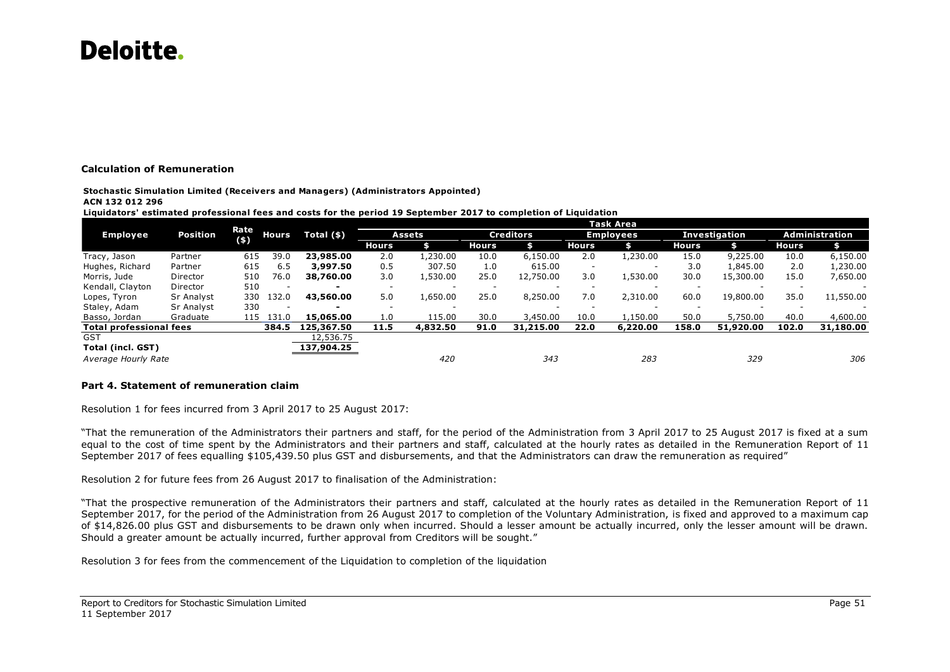### **Calculation of Remuneration**

**Stochastic Simulation Limited (Receivers and Managers) (Administrators Appointed) ACN 132 012 296**

#### **Liquidators' estimated professional fees and costs for the period 19 September 2017 to completion of Liquidation**

|                                                       |                 |               |                          |                          |              |           |                  |           |                          | Task Area                |               |           |                |           |
|-------------------------------------------------------|-----------------|---------------|--------------------------|--------------------------|--------------|-----------|------------------|-----------|--------------------------|--------------------------|---------------|-----------|----------------|-----------|
| <b>Employee</b>                                       | <b>Position</b> | Rate<br>$(*)$ | <b>Hours</b>             | Total $(*)$              | Assets       |           | <b>Creditors</b> |           | <b>Employees</b>         |                          | Investigation |           | Administration |           |
|                                                       |                 |               |                          |                          | <b>Hours</b> |           | <b>Hours</b>     | \$        | Hours                    | \$                       | <b>Hours</b>  | \$        | <b>Hours</b>   |           |
| Tracy, Jason                                          | Partner         | 615           | 39.0                     | 23,985.00                | 2.0          | .230.00   | 10.0             | 6,150.00  | 2.0                      | 1,230.00                 | 15.0          | 9,225.00  | 10.0           | 6,150.00  |
| Hughes, Richard                                       | Partner         | 615           | 6.5                      | 3,997.50                 | 0.5          | 307.50    | 1.0              | 615.00    | $\overline{\phantom{0}}$ | $\overline{\phantom{a}}$ | 3.0           | 1,845.00  | 2.0            | 1,230.00  |
| Morris, Jude                                          | Director        | 510           | 76.0                     | 38,760.00                | 3.0          | L.530.00  | 25.0             | 12,750.00 | 3.0                      | 1,530.00                 | 30.0          | 15,300.00 | 15.0           | 7,650.00  |
| Kendall, Clayton                                      | Director        | 510           | $\overline{\phantom{a}}$ | $\overline{\phantom{0}}$ | -            |           |                  |           |                          | $\overline{\phantom{a}}$ |               |           |                |           |
| Lopes, Tyron                                          | Sr Analyst      | 330           | 132.0                    | 43,560.00                | 5.0          | 1,650.00  | 25.0             | 8,250.00  | 7.0                      | 2,310.00                 | 60.0          | 19,800.00 | 35.0           | 11,550.00 |
| Staley, Adam                                          | Sr Analyst      | 330           |                          | -                        | -            |           |                  |           |                          |                          |               |           |                |           |
| Basso, Jordan                                         | Graduate        | 115           | 131.0                    | 15,065,00                | 1.0          | 115.00    | 30.0             | 3,450.00  | 10.0                     | l,150.00                 | 50.0          | 5,750.00  | 40.0           | 4,600.00  |
| <b>Total professional fees</b><br>384.5<br>125,367.50 |                 |               | 11.5                     | 4,832.50                 | 91.0         | 31,215.00 | 22.0             | 6,220,00  | 158.0                    | 51,920.00                | 102.0         | 31,180.00 |                |           |
| <b>GST</b>                                            |                 |               |                          | 12,536.75                |              |           |                  |           |                          |                          |               |           |                |           |
| <b>Total (incl. GST)</b>                              |                 |               |                          | 137,904.25               |              |           |                  |           |                          |                          |               |           |                |           |
| Average Hourly Rate                                   |                 |               |                          |                          |              | 420       |                  | 343       |                          | 283                      |               | 329       |                | 306       |

### **Part 4. Statement of remuneration claim**

Resolution 1 for fees incurred from 3 April 2017 to 25 August 2017:

"That the remuneration of the Administrators their partners and staff, for the period of the Administration from 3 April 2017 to 25 August 2017 is fixed at a sum equal to the cost of time spent by the Administrators and their partners and staff, calculated at the hourly rates as detailed in the Remuneration Report of 11 September 2017 of fees equalling \$105,439.50 plus GST and disbursements, and that the Administrators can draw the remuneration as required"

Resolution 2 for future fees from 26 August 2017 to finalisation of the Administration:

"That the prospective remuneration of the Administrators their partners and staff, calculated at the hourly rates as detailed in the Remuneration Report of 11 September 2017, for the period of the Administration from 26 August 2017 to completion of the Voluntary Administration, is fixed and approved to a maximum cap of \$14,826.00 plus GST and disbursements to be drawn only when incurred. Should a lesser amount be actually incurred, only the lesser amount will be drawn. Should a greater amount be actually incurred, further approval from Creditors will be sought."

Resolution 3 for fees from the commencement of the Liquidation to completion of the liquidation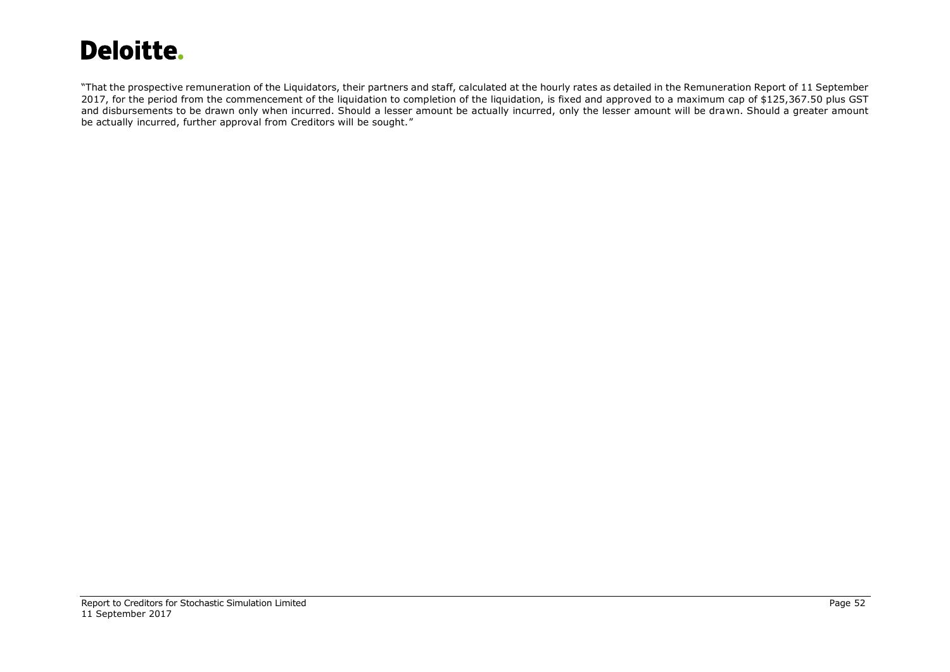"That the prospective remuneration of the Liquidators, their partners and staff, calculated at the hourly rates as detailed in the Remuneration Report of 11 September 2017, for the period from the commencement of the liquidation to completion of the liquidation, is fixed and approved to a maximum cap of \$125,367.50 plus GST and disbursements to be drawn only when incurred. Should a lesser amount be actually incurred, only the lesser amount will be drawn. Should a greater amount be actually incurred, further approval from Creditors will be sought."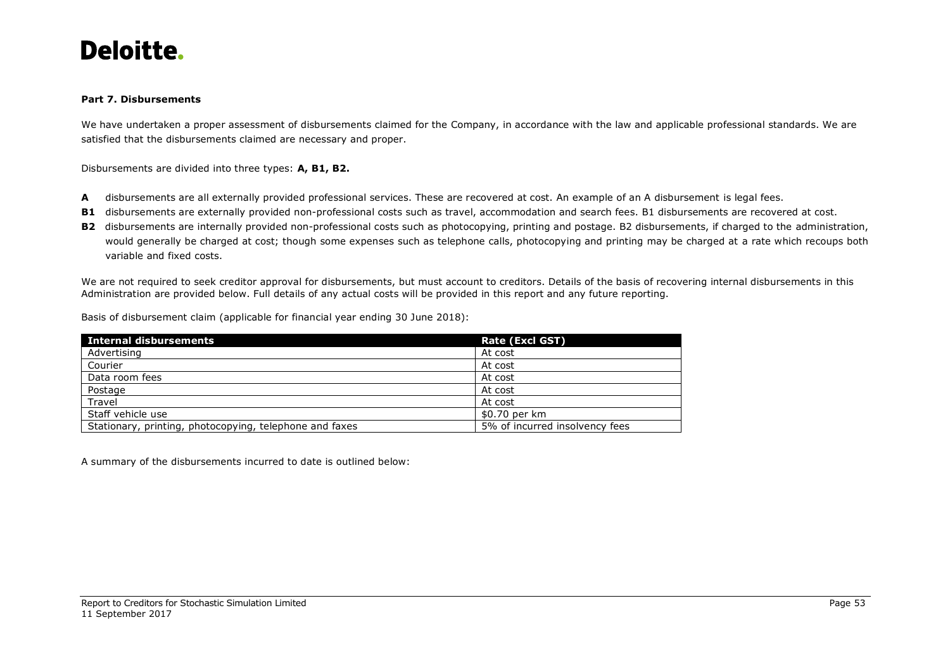

### **Part 7. Disbursements**

We have undertaken a proper assessment of disbursements claimed for the Company, in accordance with the law and applicable professional standards. We are satisfied that the disbursements claimed are necessary and proper.

Disbursements are divided into three types: **A, B1, B2.**

- **A** disbursements are all externally provided professional services. These are recovered at cost. An example of an A disbursement is legal fees.
- **B1** disbursements are externally provided non-professional costs such as travel, accommodation and search fees. B1 disbursements are recovered at cost.
- **B2** disbursements are internally provided non-professional costs such as photocopying, printing and postage. B2 disbursements, if charged to the administration, would generally be charged at cost; though some expenses such as telephone calls, photocopying and printing may be charged at a rate which recoups both variable and fixed costs.

We are not required to seek creditor approval for disbursements, but must account to creditors. Details of the basis of recovering internal disbursements in this Administration are provided below. Full details of any actual costs will be provided in this report and any future reporting.

Basis of disbursement claim (applicable for financial year ending 30 June 2018):

| Internal disbursements                                  | Rate (Excl GST)                |
|---------------------------------------------------------|--------------------------------|
| Advertising                                             | At cost                        |
| Courier                                                 | At cost                        |
| Data room fees                                          | At cost                        |
| Postage                                                 | At cost                        |
| Travel                                                  | At cost                        |
| Staff vehicle use                                       | \$0.70 per km                  |
| Stationary, printing, photocopying, telephone and faxes | 5% of incurred insolvency fees |

A summary of the disbursements incurred to date is outlined below: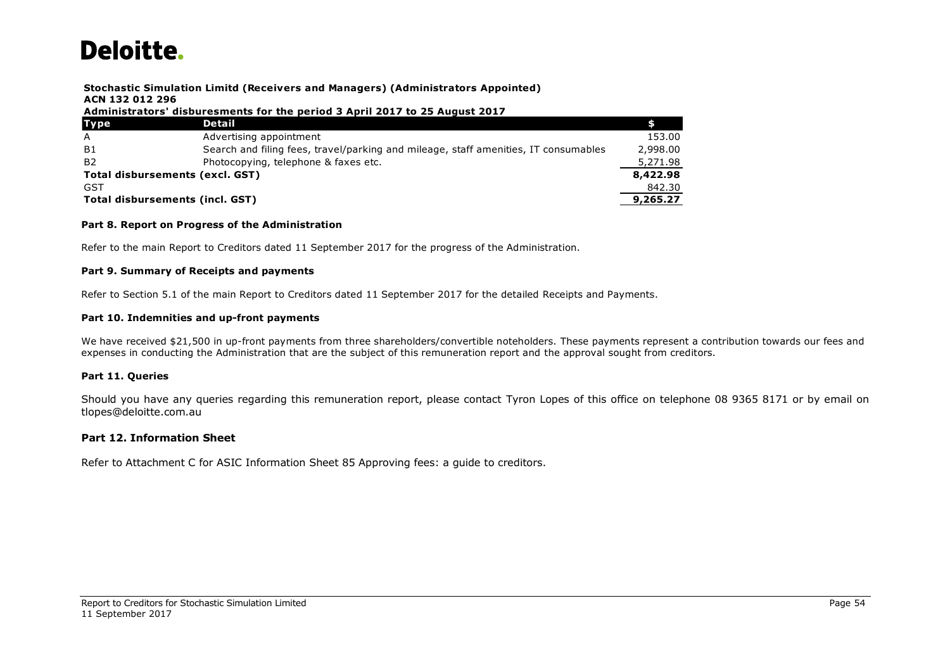## **Stochastic Simulation Limitd (Receivers and Managers) (Administrators Appointed) ACN 132 012 296**

### **Administrators' disburesments for the period 3 April 2017 to 25 August 2017**

| Stochastic Simulation Limitd (Receivers and Managers) (Administrators Appointed) |                                                                                     |          |  |  |  |  |  |
|----------------------------------------------------------------------------------|-------------------------------------------------------------------------------------|----------|--|--|--|--|--|
| ACN 132 012 296                                                                  |                                                                                     |          |  |  |  |  |  |
| Administrators' disburesments for the period 3 April 2017 to 25 August 2017      |                                                                                     |          |  |  |  |  |  |
| <b>Type</b>                                                                      | Detail                                                                              |          |  |  |  |  |  |
| $\overline{A}$                                                                   | Advertising appointment                                                             | 153.00   |  |  |  |  |  |
| - B1                                                                             | Search and filing fees, travel/parking and mileage, staff amenities, IT consumables | 2,998.00 |  |  |  |  |  |
| B <sub>2</sub>                                                                   | Photocopying, telephone & faxes etc.                                                | 5,271.98 |  |  |  |  |  |
| Total disbursements (excl. GST)                                                  |                                                                                     | 8,422.98 |  |  |  |  |  |
| <b>GST</b>                                                                       |                                                                                     | 842.30   |  |  |  |  |  |
| Total disbursements (incl. GST)<br>9,265.27                                      |                                                                                     |          |  |  |  |  |  |

### **Part 8. Report on Progress of the Administration**

Refer to the main Report to Creditors dated 11 September 2017 for the progress of the Administration.

### **Part 9. Summary of Receipts and payments**

Refer to Section 5.1 of the main Report to Creditors dated 11 September 2017 for the detailed Receipts and Payments.

### **Part 10. Indemnities and up-front payments**

We have received \$21,500 in up-front payments from three shareholders/convertible noteholders. These payments represent a contribution towards our fees and expenses in conducting the Administration that are the subject of this remuneration report and the approval sought from creditors.

### **Part 11. Queries**

Should you have any queries regarding this remuneration report, please contact Tyron Lopes of this office on telephone 08 9365 8171 or by email on tlopes@deloitte.com.au

### **Part 12. Information Sheet**

Refer to Attachment C for ASIC Information Sheet 85 Approving fees: a guide to creditors.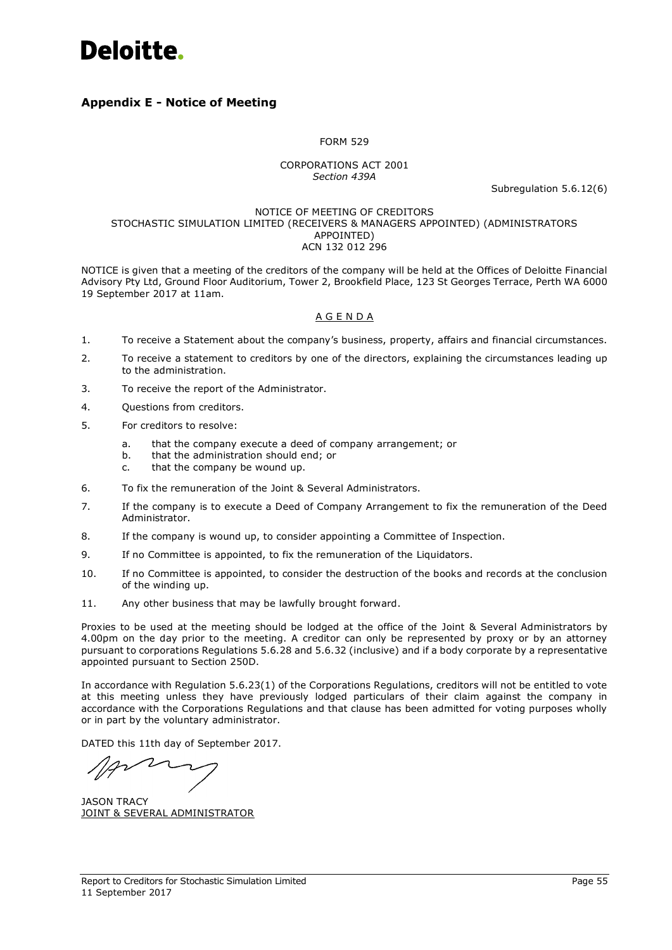

## <span id="page-57-0"></span>**Appendix E - Notice of Meeting**

### FORM 529

## CORPORATIONS ACT 2001 *Section 439A*

Subregulation 5.6.12(6)

### NOTICE OF MEETING OF CREDITORS STOCHASTIC SIMULATION LIMITED (RECEIVERS & MANAGERS APPOINTED) (ADMINISTRATORS APPOINTED) ACN 132 012 296

NOTICE is given that a meeting of the creditors of the company will be held at the Offices of Deloitte Financial Advisory Pty Ltd, Ground Floor Auditorium, Tower 2, Brookfield Place, 123 St Georges Terrace, Perth WA 6000 19 September 2017 at 11am.

## A G E N D A

- 1. To receive a Statement about the company's business, property, affairs and financial circumstances.
- 2. To receive a statement to creditors by one of the directors, explaining the circumstances leading up to the administration.
- 3. To receive the report of the Administrator.
- 4. Questions from creditors.
- 5. For creditors to resolve:
	- a. that the company execute a deed of company arrangement; or
	- b. that the administration should end; or
	- c. that the company be wound up.
- 6. To fix the remuneration of the Joint & Several Administrators.
- 7. If the company is to execute a Deed of Company Arrangement to fix the remuneration of the Deed Administrator.
- 8. If the company is wound up, to consider appointing a Committee of Inspection.
- 9. If no Committee is appointed, to fix the remuneration of the Liquidators.
- 10. If no Committee is appointed, to consider the destruction of the books and records at the conclusion of the winding up.
- 11. Any other business that may be lawfully brought forward.

Proxies to be used at the meeting should be lodged at the office of the Joint & Several Administrators by 4.00pm on the day prior to the meeting. A creditor can only be represented by proxy or by an attorney pursuant to corporations Regulations 5.6.28 and 5.6.32 (inclusive) and if a body corporate by a representative appointed pursuant to Section 250D.

In accordance with Regulation 5.6.23(1) of the Corporations Regulations, creditors will not be entitled to vote at this meeting unless they have previously lodged particulars of their claim against the company in accordance with the Corporations Regulations and that clause has been admitted for voting purposes wholly or in part by the voluntary administrator.

DATED this 11th day of September 2017.

JASON TRACY JOINT & SEVERAL ADMINISTRATOR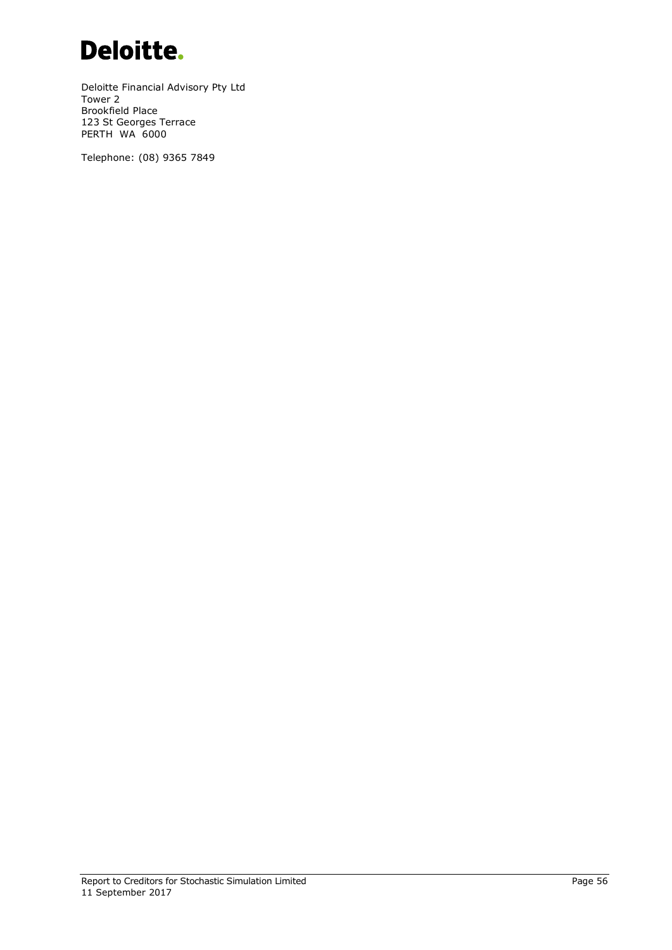

Deloitte Financial Advisory Pty Ltd Tower 2 Brookfield Place 123 St Georges Terrace PERTH WA 6000

Telephone: (08) 9365 7849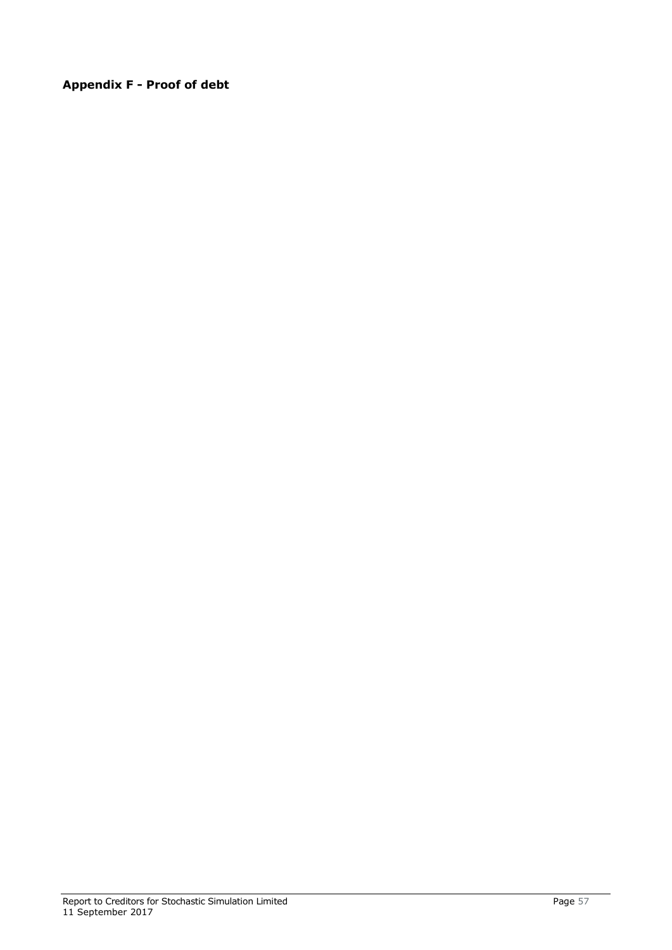<span id="page-59-0"></span>**Appendix F - Proof of debt**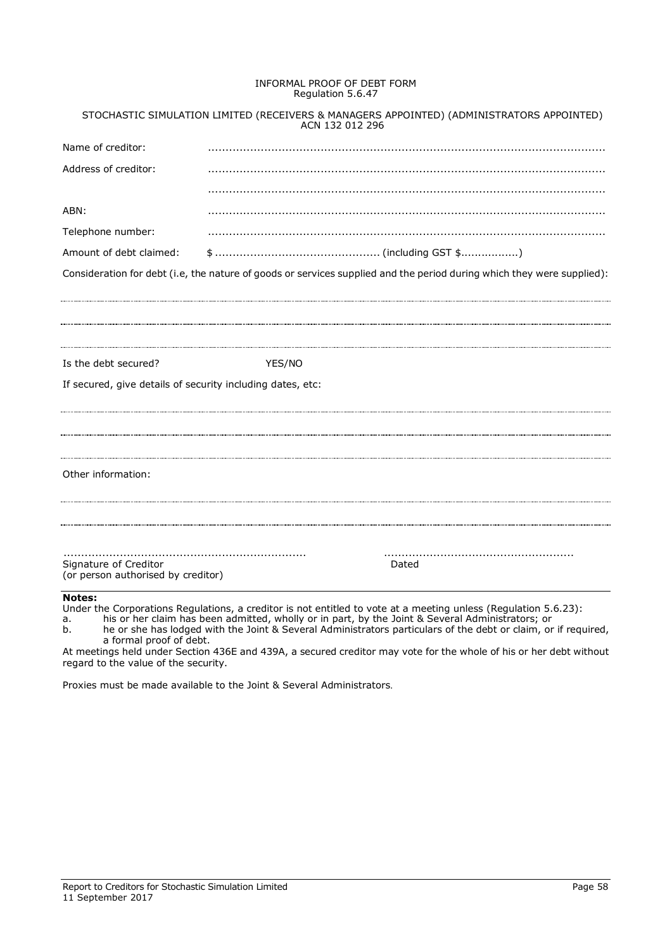### INFORMAL PROOF OF DEBT FORM Regulation 5.6.47

|                                                             | ACN 132 012 296 | STOCHASTIC SIMULATION LIMITED (RECEIVERS & MANAGERS APPOINTED) (ADMINISTRATORS APPOINTED)                              |
|-------------------------------------------------------------|-----------------|------------------------------------------------------------------------------------------------------------------------|
| Name of creditor:                                           |                 |                                                                                                                        |
| Address of creditor:                                        |                 |                                                                                                                        |
|                                                             |                 |                                                                                                                        |
| ABN:                                                        |                 |                                                                                                                        |
| Telephone number:                                           |                 |                                                                                                                        |
| Amount of debt claimed:                                     |                 |                                                                                                                        |
|                                                             |                 | Consideration for debt (i.e, the nature of goods or services supplied and the period during which they were supplied): |
|                                                             |                 |                                                                                                                        |
|                                                             |                 |                                                                                                                        |
| Is the debt secured?                                        | YES/NO          |                                                                                                                        |
| If secured, give details of security including dates, etc:  |                 |                                                                                                                        |
|                                                             |                 |                                                                                                                        |
|                                                             |                 |                                                                                                                        |
| Other information:                                          |                 |                                                                                                                        |
|                                                             |                 |                                                                                                                        |
|                                                             |                 |                                                                                                                        |
| Signature of Creditor<br>(or person authorised by creditor) |                 | Dated                                                                                                                  |
| <b>Notes:</b>                                               |                 |                                                                                                                        |

Under the Corporations Regulations, a creditor is not entitled to vote at a meeting unless (Regulation 5.6.23):

a. his or her claim has been admitted, wholly or in part, by the Joint & Several Administrators; or

b. he or she has lodged with the Joint & Several Administrators particulars of the debt or claim, or if required, a formal proof of debt.

At meetings held under Section 436E and 439A, a secured creditor may vote for the whole of his or her debt without regard to the value of the security.

Proxies must be made available to the Joint & Several Administrators.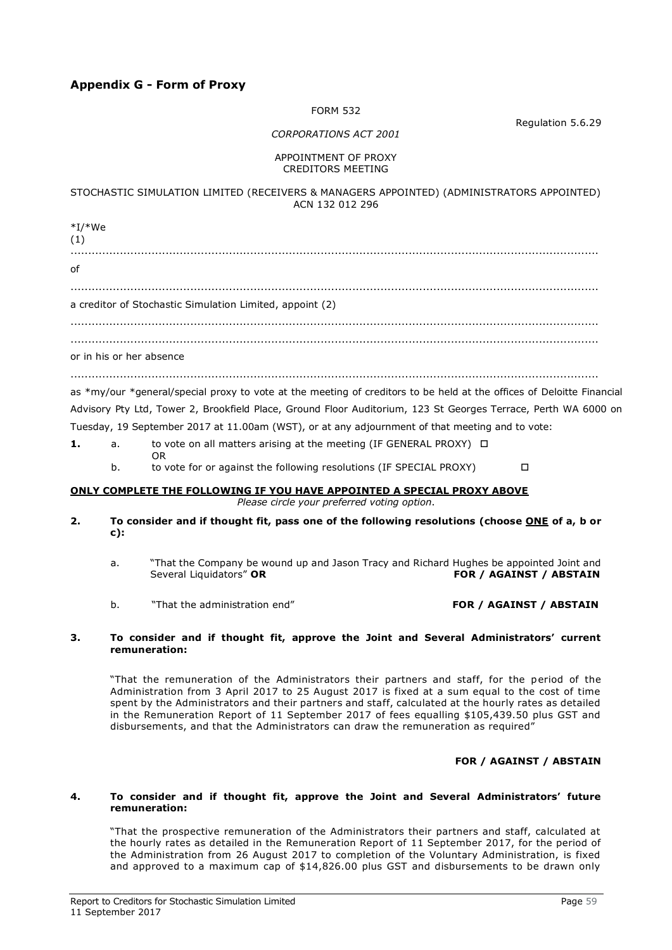## <span id="page-61-0"></span>**Appendix G - Form of Proxy**

OR

### FORM 532

Regulation 5.6.29

## *CORPORATIONS ACT 2001*

### APPOINTMENT OF PROXY CREDITORS MEETING

## STOCHASTIC SIMULATION LIMITED (RECEIVERS & MANAGERS APPOINTED) (ADMINISTRATORS APPOINTED) ACN 132 012 296

\*I/\*We (1) ......................................................................................................................................................  $\mathsf{f}$ ...................................................................................................................................................... a creditor of Stochastic Simulation Limited, appoint (2) ...................................................................................................................................................... ...................................................................................................................................................... or in his or her absence ...................................................................................................................................................... as \*my/our \*general/special proxy to vote at the meeting of creditors to be held at the offices of Deloitte Financial Advisory Pty Ltd, Tower 2, Brookfield Place, Ground Floor Auditorium, 123 St Georges Terrace, Perth WA 6000 on Tuesday, 19 September 2017 at 11.00am (WST), or at any adjournment of that meeting and to vote:

**1.** a. to vote on all matters arising at the meeting (IF GENERAL PROXY) □

b. to vote for or against the following resolutions (IF SPECIAL PROXY)

## **ONLY COMPLETE THE FOLLOWING IF YOU HAVE APPOINTED A SPECIAL PROXY ABOVE**

*Please circle your preferred voting option*.

- **2. To consider and if thought fit, pass one of the following resolutions (choose ONE of a, b or c):**
	- a. That the Company be wound up and Jason Tracy and Richard Hughes be appointed Joint and<br>Several Liquidators" OR (FOR / AGAINST / ABSTAIN **FOR / AGAINST / ABSTAIN**
	- b. "That the administration end" **FOR / AGAINST / ABSTAIN**

### **3. To consider and if thought fit, approve the Joint and Several Administrators' current remuneration:**

"That the remuneration of the Administrators their partners and staff, for the period of the Administration from 3 April 2017 to 25 August 2017 is fixed at a sum equal to the cost of time spent by the Administrators and their partners and staff, calculated at the hourly rates as detailed in the Remuneration Report of 11 September 2017 of fees equalling \$105,439.50 plus GST and disbursements, and that the Administrators can draw the remuneration as required"

## **FOR / AGAINST / ABSTAIN**

### **4. To consider and if thought fit, approve the Joint and Several Administrators' future remuneration:**

"That the prospective remuneration of the Administrators their partners and staff, calculated at the hourly rates as detailed in the Remuneration Report of 11 September 2017, for the period of the Administration from 26 August 2017 to completion of the Voluntary Administration, is fixed and approved to a maximum cap of \$14,826.00 plus GST and disbursements to be drawn only